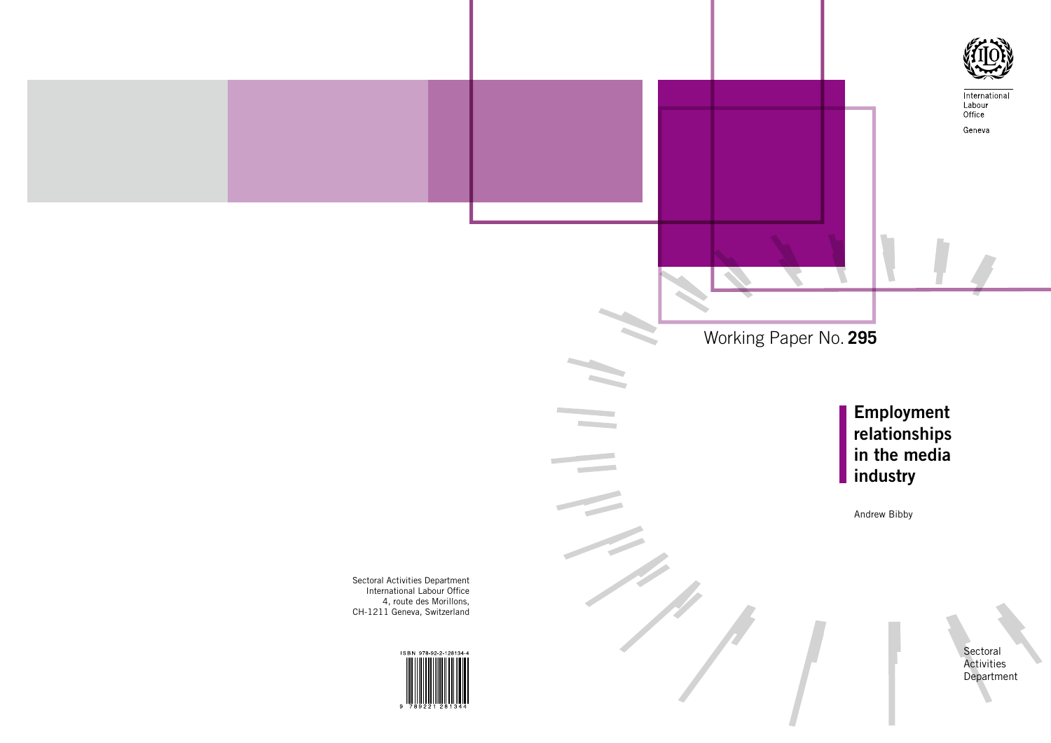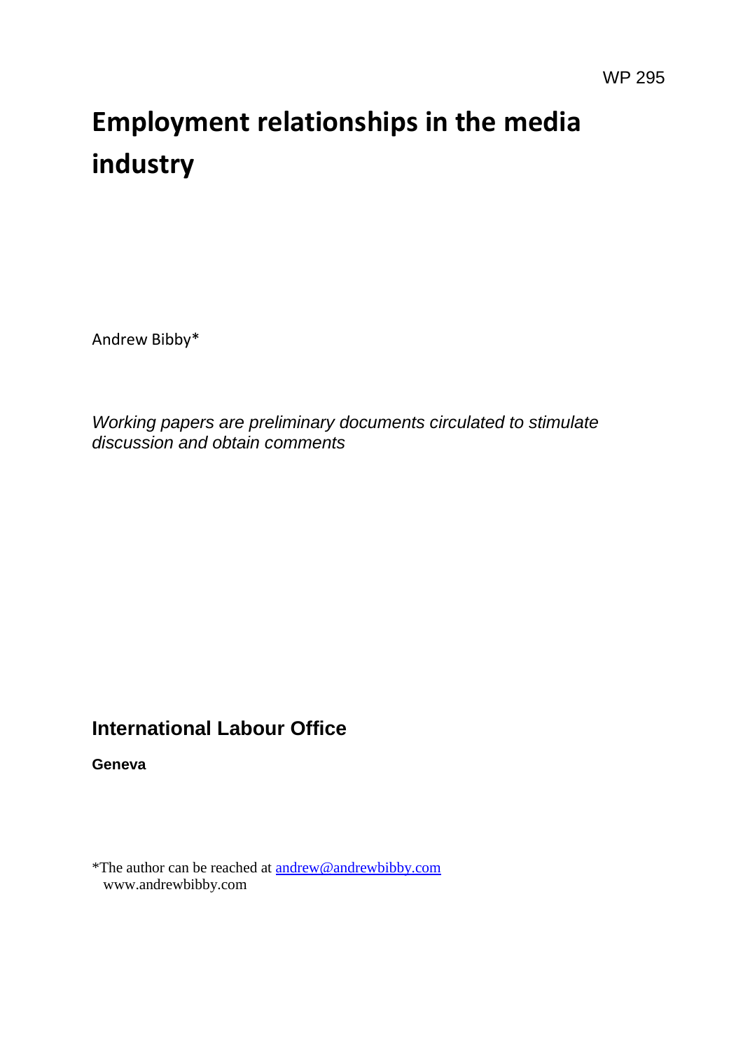# **Employment relationships in the media industry**

Andrew Bibby\*

*Working papers are preliminary documents circulated to stimulate discussion and obtain comments*

# **International Labour Office**

**Geneva**

\*The author can be reached at [andrew@andrewbibby.com](mailto:andrew@andrewbibby.com) www.andrewbibby.com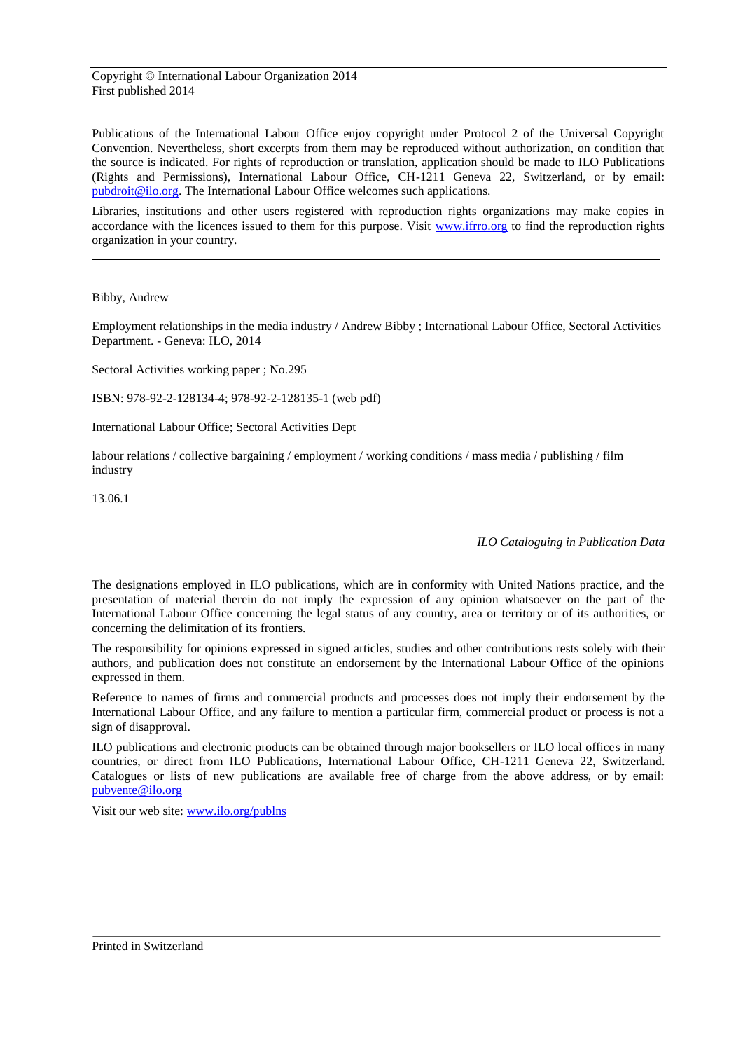Copyright © International Labour Organization 2014 First published 2014

Publications of the International Labour Office enjoy copyright under Protocol 2 of the Universal Copyright Convention. Nevertheless, short excerpts from them may be reproduced without authorization, on condition that the source is indicated. For rights of reproduction or translation, application should be made to ILO Publications (Rights and Permissions), International Labour Office, CH-1211 Geneva 22, Switzerland, or by email: [pubdroit@ilo.org.](mailto:pubdroit@ilo.org) The International Labour Office welcomes such applications.

Libraries, institutions and other users registered with reproduction rights organizations may make copies in accordance with the licences issued to them for this purpose. Visit [www.ifrro.org](http://www.ifrro.org/) to find the reproduction rights organization in your country.

Bibby, Andrew

Employment relationships in the media industry / Andrew Bibby ; International Labour Office, Sectoral Activities Department. - Geneva: ILO, 2014

Sectoral Activities working paper ; No.295

ISBN: 978-92-2-128134-4; 978-92-2-128135-1 (web pdf)

International Labour Office; Sectoral Activities Dept

labour relations / collective bargaining / employment / working conditions / mass media / publishing / film industry

13.06.1

*ILO Cataloguing in Publication Data*

The designations employed in ILO publications, which are in conformity with United Nations practice, and the presentation of material therein do not imply the expression of any opinion whatsoever on the part of the International Labour Office concerning the legal status of any country, area or territory or of its authorities, or concerning the delimitation of its frontiers.

The responsibility for opinions expressed in signed articles, studies and other contributions rests solely with their authors, and publication does not constitute an endorsement by the International Labour Office of the opinions expressed in them.

Reference to names of firms and commercial products and processes does not imply their endorsement by the International Labour Office, and any failure to mention a particular firm, commercial product or process is not a sign of disapproval.

ILO publications and electronic products can be obtained through major booksellers or ILO local offices in many countries, or direct from ILO Publications, International Labour Office, CH-1211 Geneva 22, Switzerland. Catalogues or lists of new publications are available free of charge from the above address, or by email: [pubvente@ilo.org](mailto:pubvente@ilo.org)

Visit our web site: [www.ilo.org/publns](http://www.ilo.org/publns)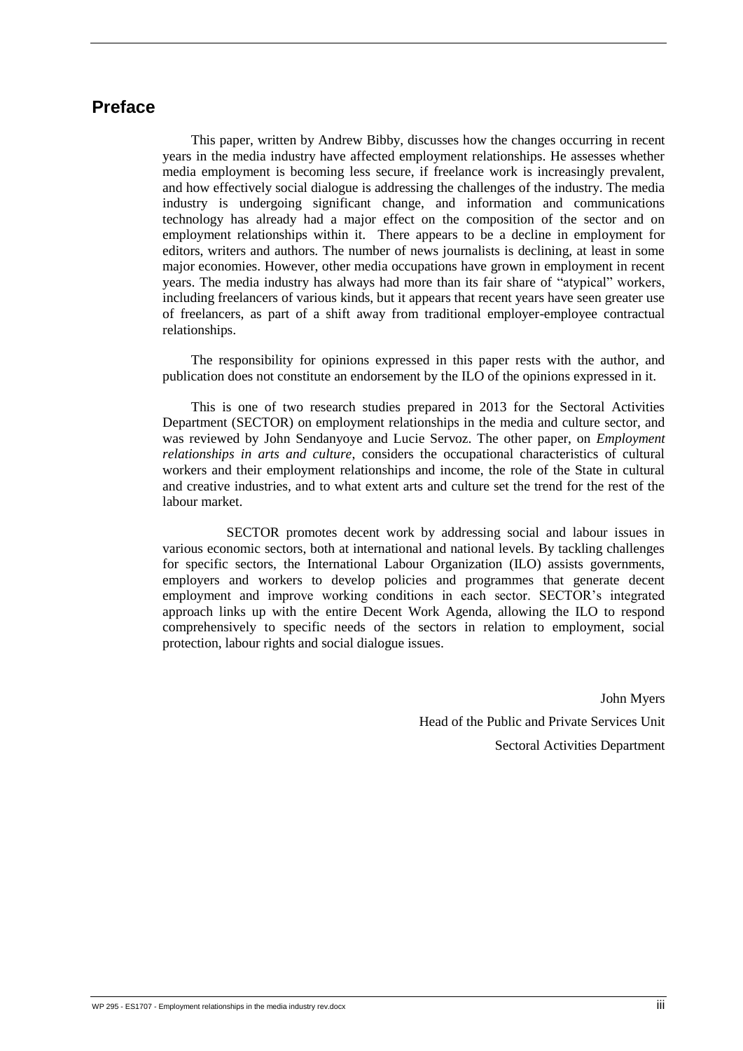# <span id="page-3-0"></span>**Preface**

This paper, written by Andrew Bibby, discusses how the changes occurring in recent years in the media industry have affected employment relationships. He assesses whether media employment is becoming less secure, if freelance work is increasingly prevalent, and how effectively social dialogue is addressing the challenges of the industry. The media industry is undergoing significant change, and information and communications technology has already had a major effect on the composition of the sector and on employment relationships within it. There appears to be a decline in employment for editors, writers and authors. The number of news journalists is declining, at least in some major economies. However, other media occupations have grown in employment in recent years. The media industry has always had more than its fair share of "atypical" workers, including freelancers of various kinds, but it appears that recent years have seen greater use of freelancers, as part of a shift away from traditional employer-employee contractual relationships.

The responsibility for opinions expressed in this paper rests with the author, and publication does not constitute an endorsement by the ILO of the opinions expressed in it.

This is one of two research studies prepared in 2013 for the Sectoral Activities Department (SECTOR) on employment relationships in the media and culture sector, and was reviewed by John Sendanyoye and Lucie Servoz. The other paper, on *Employment relationships in arts and culture*, considers the occupational characteristics of cultural workers and their employment relationships and income, the role of the State in cultural and creative industries, and to what extent arts and culture set the trend for the rest of the labour market.

SECTOR promotes decent work by addressing social and labour issues in various economic sectors, both at international and national levels. By tackling challenges for specific sectors, the International Labour Organization (ILO) assists governments, employers and workers to develop policies and programmes that generate decent employment and improve working conditions in each sector. SECTOR's integrated approach links up with the entire Decent Work Agenda, allowing the ILO to respond comprehensively to specific needs of the sectors in relation to employment, social protection, labour rights and social dialogue issues.

> John Myers Head of the Public and Private Services Unit Sectoral Activities Department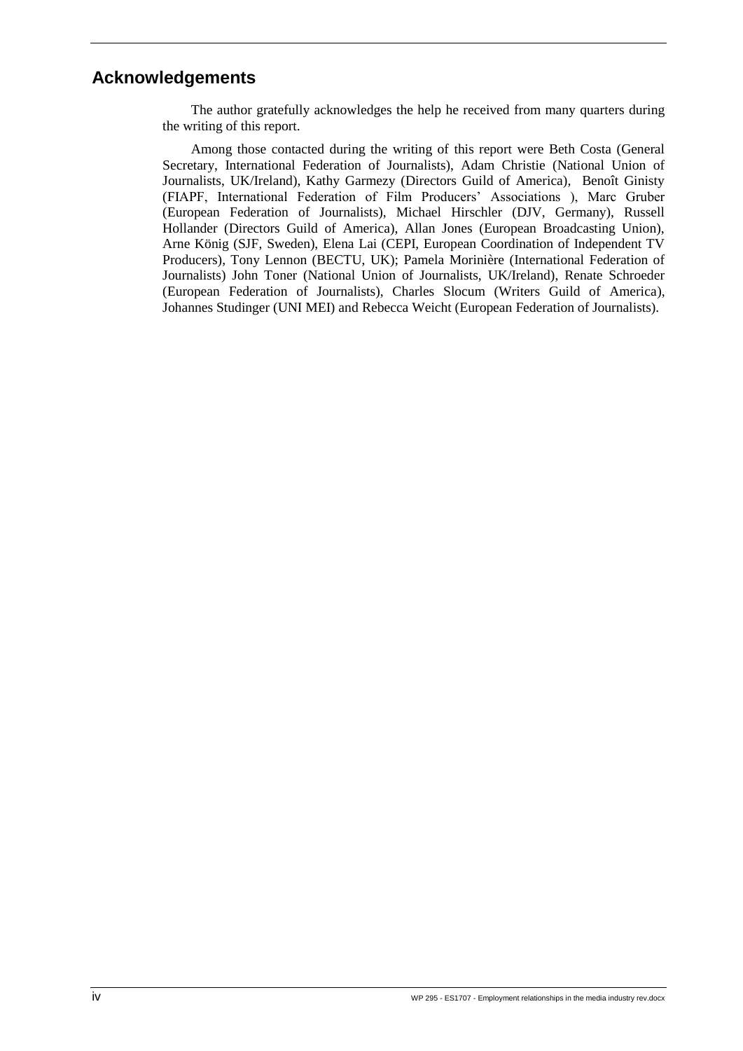# <span id="page-4-0"></span>**Acknowledgements**

The author gratefully acknowledges the help he received from many quarters during the writing of this report.

Among those contacted during the writing of this report were Beth Costa (General Secretary, International Federation of Journalists), Adam Christie (National Union of Journalists, UK/Ireland), Kathy Garmezy (Directors Guild of America), Benoît Ginisty (FIAPF, International Federation of Film Producers' Associations ), Marc Gruber (European Federation of Journalists), Michael Hirschler (DJV, Germany), Russell Hollander (Directors Guild of America), Allan Jones (European Broadcasting Union), Arne König (SJF, Sweden), Elena Lai (CEPI, European Coordination of Independent TV Producers), Tony Lennon (BECTU, UK); Pamela Morinière (International Federation of Journalists) John Toner (National Union of Journalists, UK/Ireland), Renate Schroeder (European Federation of Journalists), Charles Slocum (Writers Guild of America), Johannes Studinger (UNI MEI) and Rebecca Weicht (European Federation of Journalists).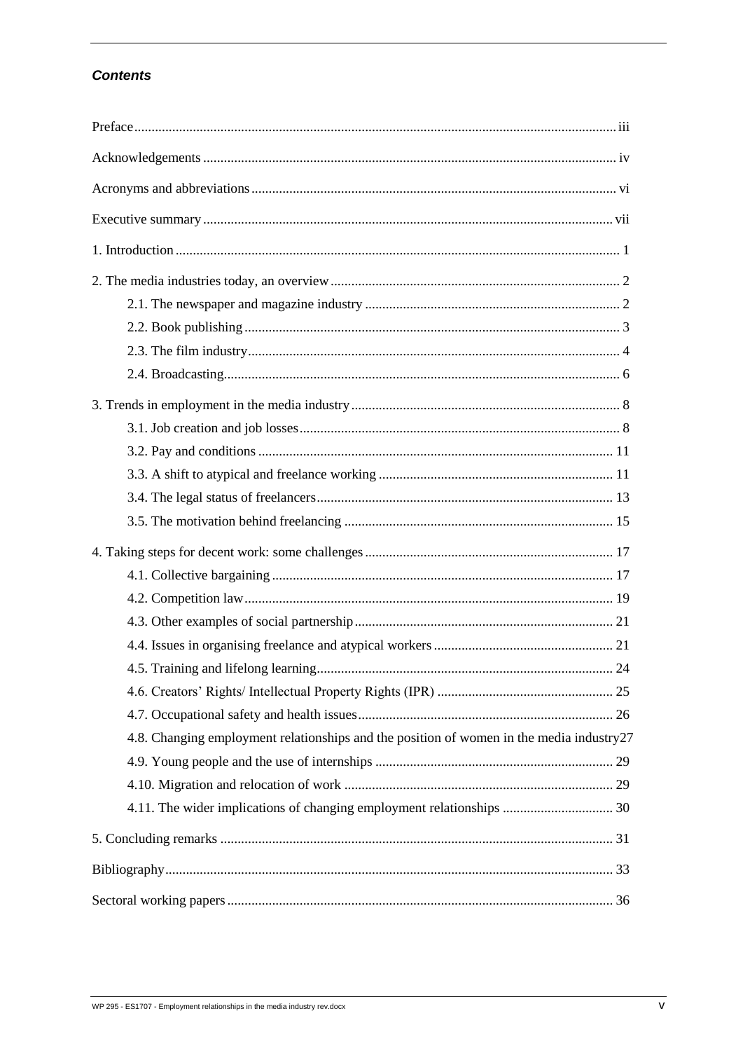### **Contents**

| 4.8. Changing employment relationships and the position of women in the media industry27 |  |
|------------------------------------------------------------------------------------------|--|
|                                                                                          |  |
|                                                                                          |  |
| 4.11. The wider implications of changing employment relationships  30                    |  |
|                                                                                          |  |
|                                                                                          |  |
|                                                                                          |  |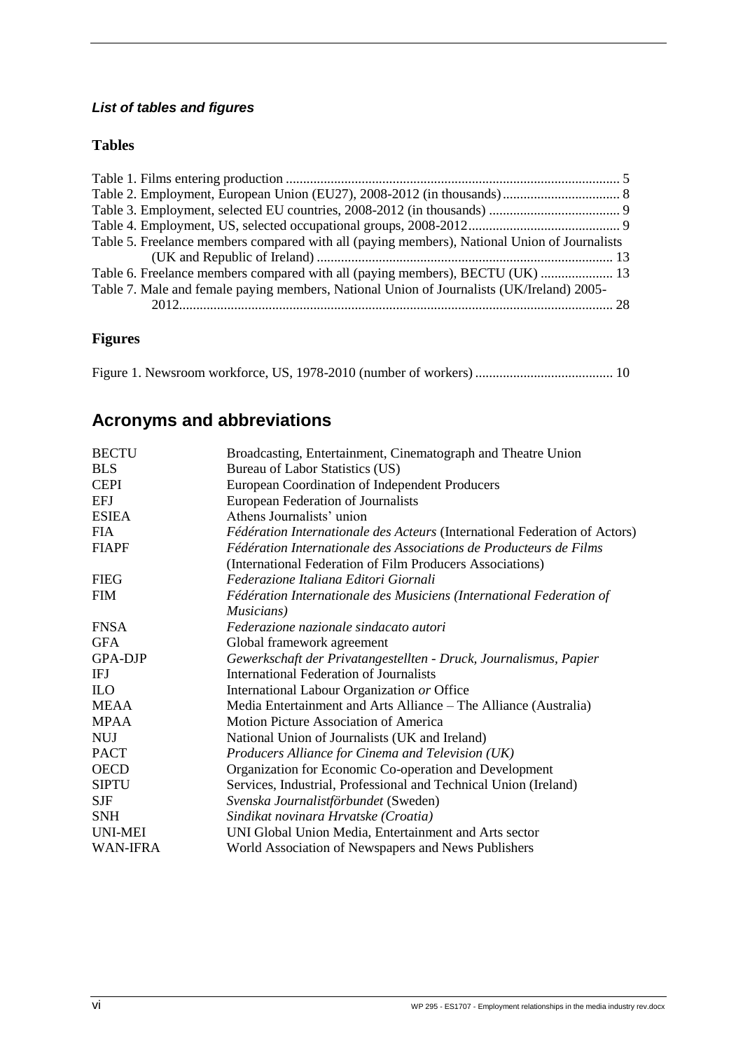# *List of tables and figures*

#### **Tables**

| Table 5. Freelance members compared with all (paying members), National Union of Journalists |  |
|----------------------------------------------------------------------------------------------|--|
|                                                                                              |  |
| Table 6. Freelance members compared with all (paying members), BECTU (UK)  13                |  |
| Table 7. Male and female paying members, National Union of Journalists (UK/Ireland) 2005-    |  |
|                                                                                              |  |
|                                                                                              |  |

# **Figures**

<span id="page-6-0"></span>[Figure 1. Newsroom workforce, US, 1978-2010 \(number of workers\)](#page-20-0) ........................................ 10

# **Acronyms and abbreviations**

| <b>BECTU</b>   | Broadcasting, Entertainment, Cinematograph and Theatre Union                                                                    |
|----------------|---------------------------------------------------------------------------------------------------------------------------------|
| <b>BLS</b>     | Bureau of Labor Statistics (US)                                                                                                 |
| <b>CEPI</b>    | European Coordination of Independent Producers                                                                                  |
| <b>EFJ</b>     | European Federation of Journalists                                                                                              |
| <b>ESIEA</b>   | Athens Journalists' union                                                                                                       |
| <b>FIA</b>     | Fédération Internationale des Acteurs (International Federation of Actors)                                                      |
| <b>FIAPF</b>   | Fédération Internationale des Associations de Producteurs de Films<br>(International Federation of Film Producers Associations) |
| <b>FIEG</b>    | Federazione Italiana Editori Giornali                                                                                           |
| <b>FIM</b>     | Fédération Internationale des Musiciens (International Federation of                                                            |
|                | Musicians)                                                                                                                      |
| <b>FNSA</b>    | Federazione nazionale sindacato autori                                                                                          |
| <b>GFA</b>     | Global framework agreement                                                                                                      |
| <b>GPA-DJP</b> | Gewerkschaft der Privatangestellten - Druck, Journalismus, Papier                                                               |
| IFJ            | <b>International Federation of Journalists</b>                                                                                  |
| <b>ILO</b>     | International Labour Organization or Office                                                                                     |
| <b>MEAA</b>    | Media Entertainment and Arts Alliance – The Alliance (Australia)                                                                |
| <b>MPAA</b>    | Motion Picture Association of America                                                                                           |
| <b>NUJ</b>     | National Union of Journalists (UK and Ireland)                                                                                  |
| <b>PACT</b>    | Producers Alliance for Cinema and Television (UK)                                                                               |
| <b>OECD</b>    | Organization for Economic Co-operation and Development                                                                          |
| <b>SIPTU</b>   | Services, Industrial, Professional and Technical Union (Ireland)                                                                |
| <b>SJF</b>     | Svenska Journalistförbundet (Sweden)                                                                                            |
| <b>SNH</b>     | Sindikat novinara Hrvatske (Croatia)                                                                                            |
| <b>UNI-MEI</b> | UNI Global Union Media, Entertainment and Arts sector                                                                           |
| WAN-IFRA       | World Association of Newspapers and News Publishers                                                                             |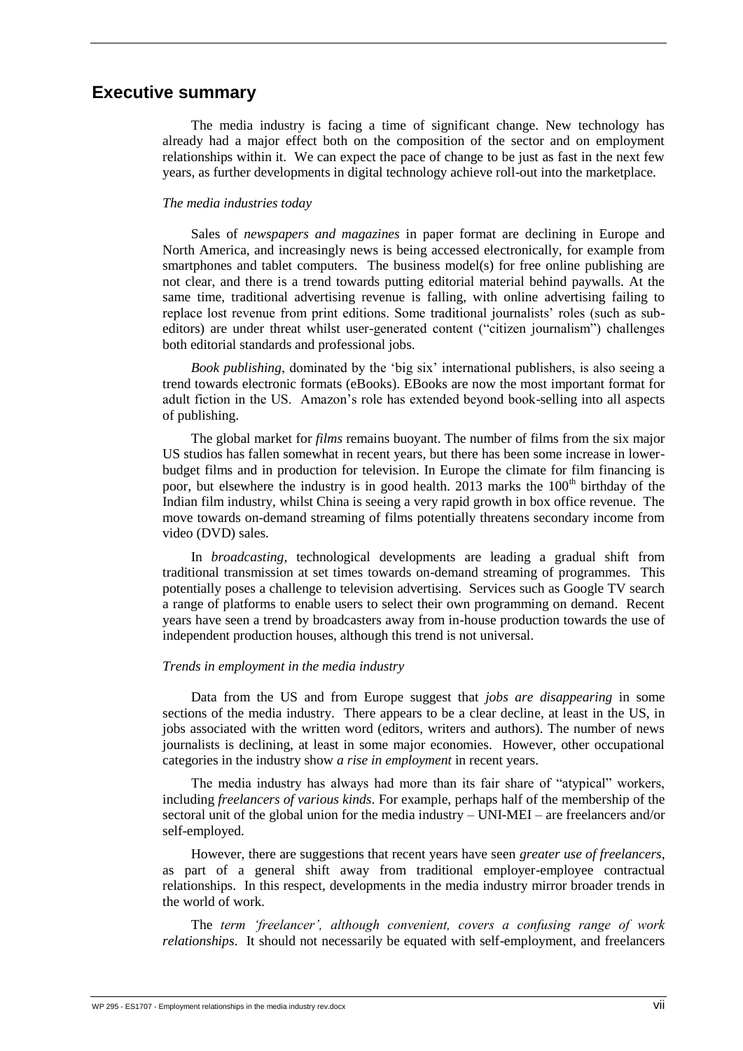### <span id="page-7-0"></span>**Executive summary**

The media industry is facing a time of significant change. New technology has already had a major effect both on the composition of the sector and on employment relationships within it. We can expect the pace of change to be just as fast in the next few years, as further developments in digital technology achieve roll-out into the marketplace.

#### *The media industries today*

Sales of *newspapers and magazines* in paper format are declining in Europe and North America, and increasingly news is being accessed electronically, for example from smartphones and tablet computers. The business model(s) for free online publishing are not clear, and there is a trend towards putting editorial material behind paywalls. At the same time, traditional advertising revenue is falling, with online advertising failing to replace lost revenue from print editions. Some traditional journalists' roles (such as subeditors) are under threat whilst user-generated content ("citizen journalism") challenges both editorial standards and professional jobs.

*Book publishing*, dominated by the 'big six' international publishers, is also seeing a trend towards electronic formats (eBooks). EBooks are now the most important format for adult fiction in the US. Amazon's role has extended beyond book-selling into all aspects of publishing.

The global market for *films* remains buoyant. The number of films from the six major US studios has fallen somewhat in recent years, but there has been some increase in lowerbudget films and in production for television. In Europe the climate for film financing is poor, but elsewhere the industry is in good health.  $2013$  marks the  $100<sup>th</sup>$  birthday of the Indian film industry, whilst China is seeing a very rapid growth in box office revenue. The move towards on-demand streaming of films potentially threatens secondary income from video (DVD) sales.

In *broadcasting,* technological developments are leading a gradual shift from traditional transmission at set times towards on-demand streaming of programmes. This potentially poses a challenge to television advertising. Services such as Google TV search a range of platforms to enable users to select their own programming on demand. Recent years have seen a trend by broadcasters away from in-house production towards the use of independent production houses, although this trend is not universal.

#### *Trends in employment in the media industry*

Data from the US and from Europe suggest that *jobs are disappearing* in some sections of the media industry. There appears to be a clear decline, at least in the US, in jobs associated with the written word (editors, writers and authors). The number of news journalists is declining, at least in some major economies. However, other occupational categories in the industry show *a rise in employment* in recent years.

The media industry has always had more than its fair share of "atypical" workers, including *freelancers of various kinds*. For example, perhaps half of the membership of the sectoral unit of the global union for the media industry – UNI-MEI – are freelancers and/or self-employed.

However, there are suggestions that recent years have seen *greater use of freelancers*, as part of a general shift away from traditional employer-employee contractual relationships. In this respect, developments in the media industry mirror broader trends in the world of work.

The *term 'freelancer', although convenient, covers a confusing range of work relationships*. It should not necessarily be equated with self-employment, and freelancers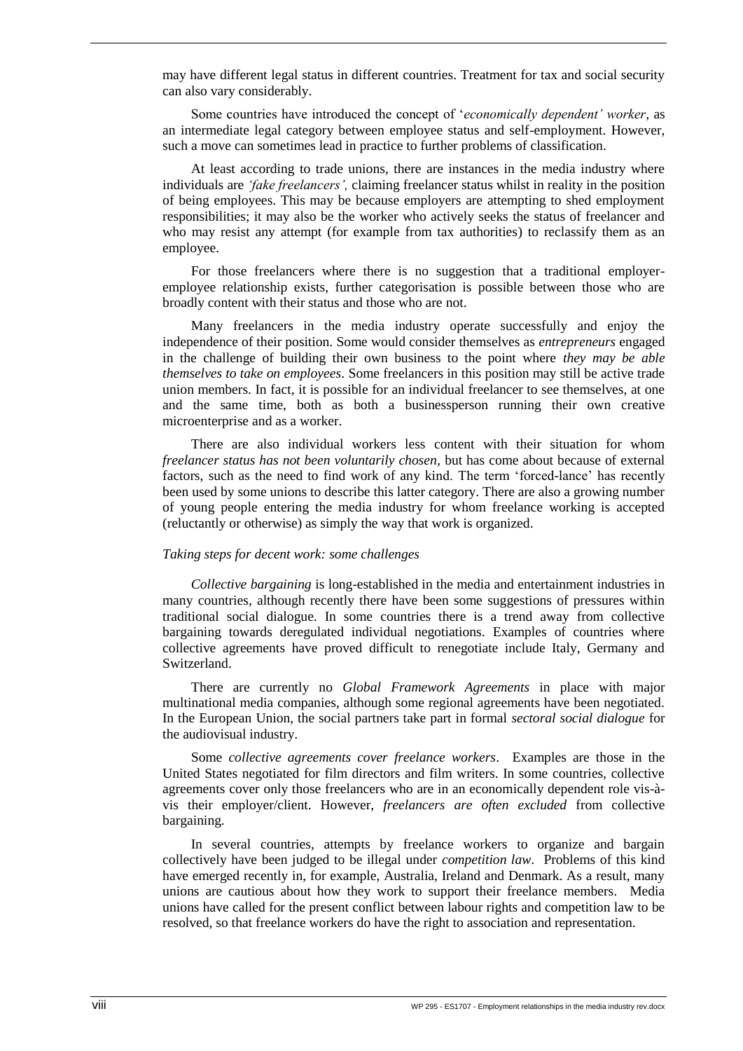may have different legal status in different countries. Treatment for tax and social security can also vary considerably.

Some countries have introduced the concept of '*economically dependent' worker*, as an intermediate legal category between employee status and self-employment. However, such a move can sometimes lead in practice to further problems of classification.

At least according to trade unions, there are instances in the media industry where individuals are *'fake freelancers',* claiming freelancer status whilst in reality in the position of being employees. This may be because employers are attempting to shed employment responsibilities; it may also be the worker who actively seeks the status of freelancer and who may resist any attempt (for example from tax authorities) to reclassify them as an employee.

For those freelancers where there is no suggestion that a traditional employeremployee relationship exists, further categorisation is possible between those who are broadly content with their status and those who are not.

Many freelancers in the media industry operate successfully and enjoy the independence of their position. Some would consider themselves as *entrepreneurs* engaged in the challenge of building their own business to the point where *they may be able themselves to take on employees*. Some freelancers in this position may still be active trade union members. In fact, it is possible for an individual freelancer to see themselves, at one and the same time, both as both a businessperson running their own creative microenterprise and as a worker.

There are also individual workers less content with their situation for whom *freelancer status has not been voluntarily chosen,* but has come about because of external factors, such as the need to find work of any kind. The term 'forced-lance' has recently been used by some unions to describe this latter category. There are also a growing number of young people entering the media industry for whom freelance working is accepted (reluctantly or otherwise) as simply the way that work is organized.

#### *Taking steps for decent work: some challenges*

*Collective bargaining* is long-established in the media and entertainment industries in many countries, although recently there have been some suggestions of pressures within traditional social dialogue. In some countries there is a trend away from collective bargaining towards deregulated individual negotiations. Examples of countries where collective agreements have proved difficult to renegotiate include Italy, Germany and Switzerland.

There are currently no *Global Framework Agreements* in place with major multinational media companies, although some regional agreements have been negotiated. In the European Union, the social partners take part in formal *sectoral social dialogue* for the audiovisual industry.

Some *collective agreements cover freelance workers*. Examples are those in the United States negotiated for film directors and film writers. In some countries, collective agreements cover only those freelancers who are in an economically dependent role vis-àvis their employer/client. However, *freelancers are often excluded* from collective bargaining.

In several countries, attempts by freelance workers to organize and bargain collectively have been judged to be illegal under *competition law*. Problems of this kind have emerged recently in, for example, Australia, Ireland and Denmark. As a result, many unions are cautious about how they work to support their freelance members. Media unions have called for the present conflict between labour rights and competition law to be resolved, so that freelance workers do have the right to association and representation.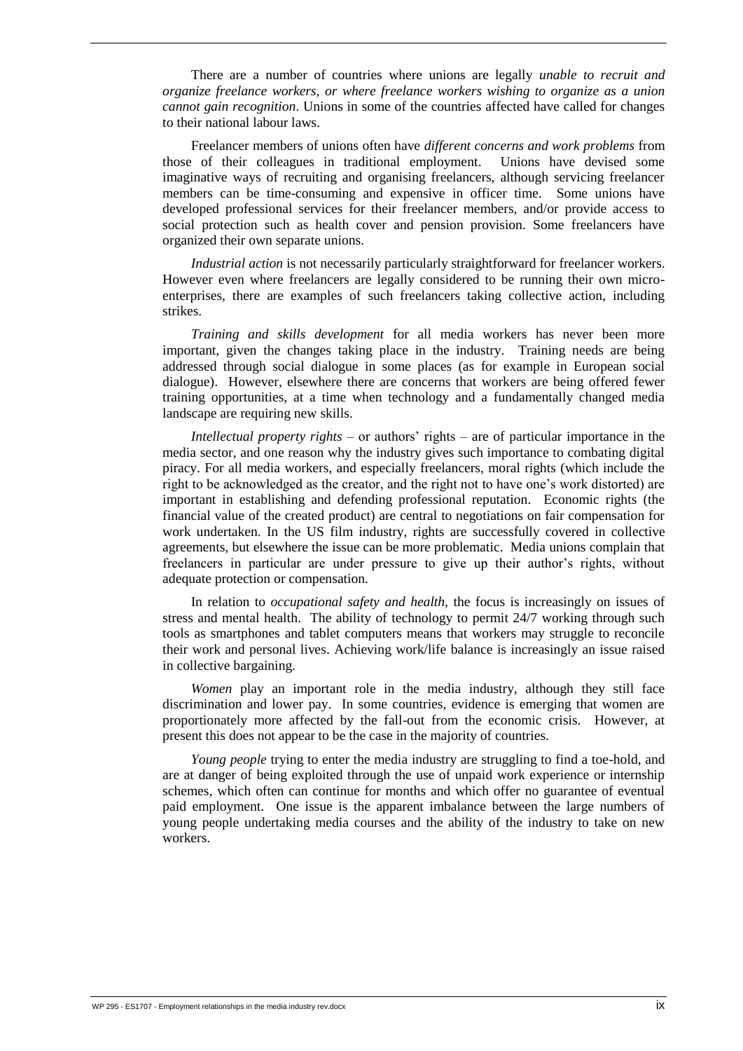There are a number of countries where unions are legally *unable to recruit and organize freelance workers, or where freelance workers wishing to organize as a union cannot gain recognition*. Unions in some of the countries affected have called for changes to their national labour laws.

Freelancer members of unions often have *different concerns and work problems* from those of their colleagues in traditional employment. Unions have devised some imaginative ways of recruiting and organising freelancers, although servicing freelancer members can be time-consuming and expensive in officer time. Some unions have developed professional services for their freelancer members, and/or provide access to social protection such as health cover and pension provision. Some freelancers have organized their own separate unions.

*Industrial action* is not necessarily particularly straightforward for freelancer workers. However even where freelancers are legally considered to be running their own microenterprises, there are examples of such freelancers taking collective action, including strikes.

*Training and skills development* for all media workers has never been more important, given the changes taking place in the industry. Training needs are being addressed through social dialogue in some places (as for example in European social dialogue). However, elsewhere there are concerns that workers are being offered fewer training opportunities, at a time when technology and a fundamentally changed media landscape are requiring new skills.

*Intellectual property rights* – or authors' rights – are of particular importance in the media sector, and one reason why the industry gives such importance to combating digital piracy. For all media workers, and especially freelancers, moral rights (which include the right to be acknowledged as the creator, and the right not to have one's work distorted) are important in establishing and defending professional reputation. Economic rights (the financial value of the created product) are central to negotiations on fair compensation for work undertaken. In the US film industry, rights are successfully covered in collective agreements, but elsewhere the issue can be more problematic. Media unions complain that freelancers in particular are under pressure to give up their author's rights, without adequate protection or compensation.

In relation to *occupational safety and health,* the focus is increasingly on issues of stress and mental health. The ability of technology to permit 24/7 working through such tools as smartphones and tablet computers means that workers may struggle to reconcile their work and personal lives. Achieving work/life balance is increasingly an issue raised in collective bargaining.

*Women* play an important role in the media industry, although they still face discrimination and lower pay. In some countries, evidence is emerging that women are proportionately more affected by the fall-out from the economic crisis. However, at present this does not appear to be the case in the majority of countries.

*Young people* trying to enter the media industry are struggling to find a toe-hold, and are at danger of being exploited through the use of unpaid work experience or internship schemes, which often can continue for months and which offer no guarantee of eventual paid employment. One issue is the apparent imbalance between the large numbers of young people undertaking media courses and the ability of the industry to take on new workers.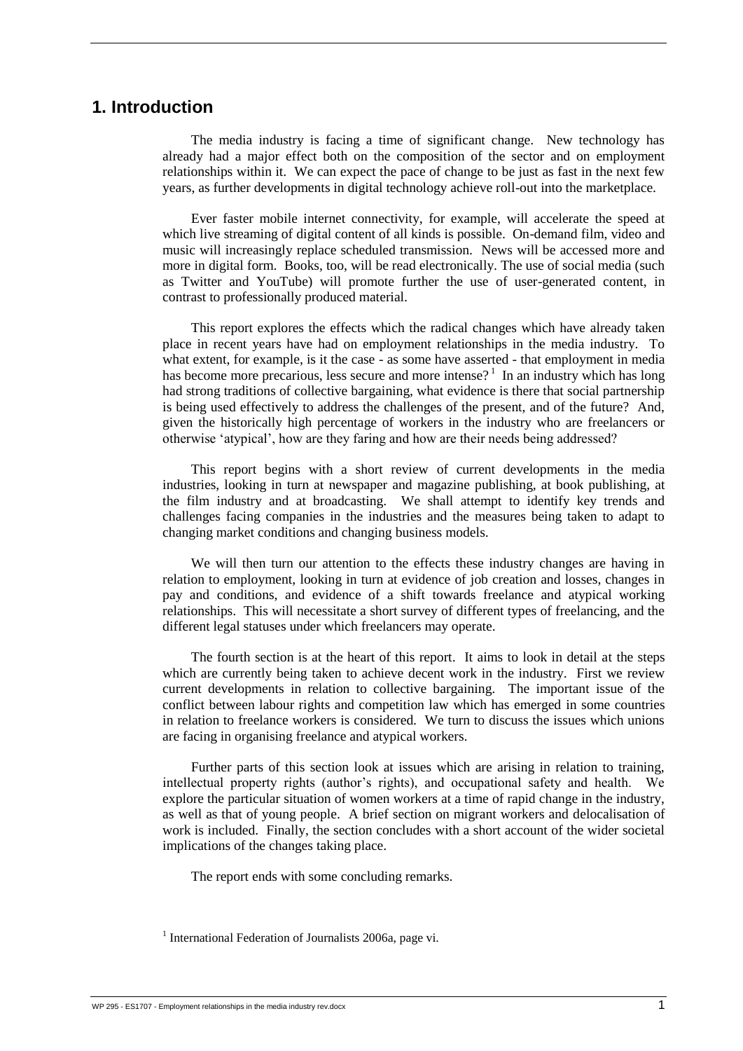# <span id="page-11-0"></span>**1. Introduction**

The media industry is facing a time of significant change. New technology has already had a major effect both on the composition of the sector and on employment relationships within it. We can expect the pace of change to be just as fast in the next few years, as further developments in digital technology achieve roll-out into the marketplace.

Ever faster mobile internet connectivity, for example, will accelerate the speed at which live streaming of digital content of all kinds is possible. On-demand film, video and music will increasingly replace scheduled transmission. News will be accessed more and more in digital form. Books, too, will be read electronically. The use of social media (such as Twitter and YouTube) will promote further the use of user-generated content, in contrast to professionally produced material.

This report explores the effects which the radical changes which have already taken place in recent years have had on employment relationships in the media industry. To what extent, for example, is it the case - as some have asserted - that employment in media has become more precarious, less secure and more intense?<sup>1</sup> In an industry which has long had strong traditions of collective bargaining, what evidence is there that social partnership is being used effectively to address the challenges of the present, and of the future? And, given the historically high percentage of workers in the industry who are freelancers or otherwise 'atypical', how are they faring and how are their needs being addressed?

This report begins with a short review of current developments in the media industries, looking in turn at newspaper and magazine publishing, at book publishing, at the film industry and at broadcasting. We shall attempt to identify key trends and challenges facing companies in the industries and the measures being taken to adapt to changing market conditions and changing business models.

We will then turn our attention to the effects these industry changes are having in relation to employment, looking in turn at evidence of job creation and losses, changes in pay and conditions, and evidence of a shift towards freelance and atypical working relationships. This will necessitate a short survey of different types of freelancing, and the different legal statuses under which freelancers may operate.

The fourth section is at the heart of this report. It aims to look in detail at the steps which are currently being taken to achieve decent work in the industry. First we review current developments in relation to collective bargaining. The important issue of the conflict between labour rights and competition law which has emerged in some countries in relation to freelance workers is considered. We turn to discuss the issues which unions are facing in organising freelance and atypical workers.

Further parts of this section look at issues which are arising in relation to training, intellectual property rights (author's rights), and occupational safety and health. We explore the particular situation of women workers at a time of rapid change in the industry, as well as that of young people. A brief section on migrant workers and delocalisation of work is included. Finally, the section concludes with a short account of the wider societal implications of the changes taking place.

The report ends with some concluding remarks.

<sup>&</sup>lt;sup>1</sup> International Federation of Journalists 2006a, page vi.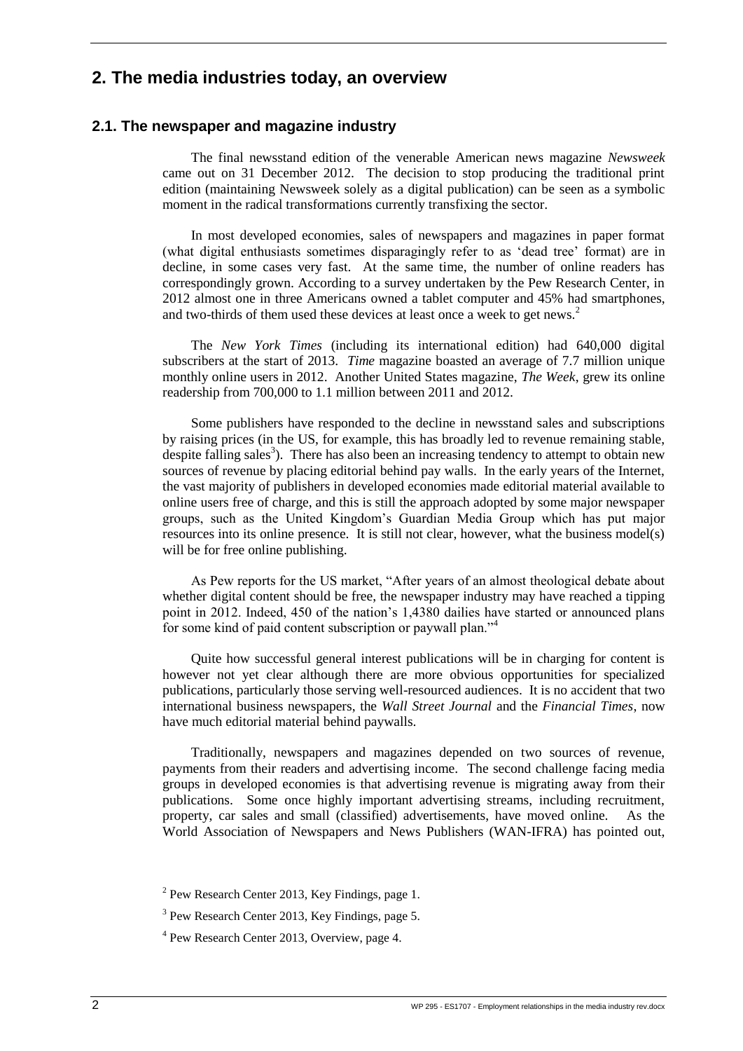# <span id="page-12-0"></span>**2. The media industries today, an overview**

#### <span id="page-12-1"></span>**2.1. The newspaper and magazine industry**

The final newsstand edition of the venerable American news magazine *Newsweek* came out on 31 December 2012. The decision to stop producing the traditional print edition (maintaining Newsweek solely as a digital publication) can be seen as a symbolic moment in the radical transformations currently transfixing the sector.

In most developed economies, sales of newspapers and magazines in paper format (what digital enthusiasts sometimes disparagingly refer to as 'dead tree' format) are in decline, in some cases very fast. At the same time, the number of online readers has correspondingly grown. According to a survey undertaken by the Pew Research Center, in 2012 almost one in three Americans owned a tablet computer and 45% had smartphones, and two-thirds of them used these devices at least once a week to get news.<sup>2</sup>

The *New York Times* (including its international edition) had 640,000 digital subscribers at the start of 2013. *Time* magazine boasted an average of 7.7 million unique monthly online users in 2012. Another United States magazine, *The Week*, grew its online readership from 700,000 to 1.1 million between 2011 and 2012.

Some publishers have responded to the decline in newsstand sales and subscriptions by raising prices (in the US, for example, this has broadly led to revenue remaining stable, despite falling sales<sup>3</sup>). There has also been an increasing tendency to attempt to obtain new sources of revenue by placing editorial behind pay walls. In the early years of the Internet, the vast majority of publishers in developed economies made editorial material available to online users free of charge, and this is still the approach adopted by some major newspaper groups, such as the United Kingdom's Guardian Media Group which has put major resources into its online presence. It is still not clear, however, what the business model(s) will be for free online publishing.

As Pew reports for the US market, "After years of an almost theological debate about whether digital content should be free, the newspaper industry may have reached a tipping point in 2012. Indeed, 450 of the nation's 1,4380 dailies have started or announced plans for some kind of paid content subscription or paywall plan."<sup>4</sup>

Quite how successful general interest publications will be in charging for content is however not yet clear although there are more obvious opportunities for specialized publications, particularly those serving well-resourced audiences. It is no accident that two international business newspapers, the *Wall Street Journal* and the *Financial Times*, now have much editorial material behind paywalls.

Traditionally, newspapers and magazines depended on two sources of revenue, payments from their readers and advertising income. The second challenge facing media groups in developed economies is that advertising revenue is migrating away from their publications. Some once highly important advertising streams, including recruitment, property, car sales and small (classified) advertisements, have moved online. As the World Association of Newspapers and News Publishers (WAN-IFRA) has pointed out,

 $2$  Pew Research Center 2013, Key Findings, page 1.

<sup>&</sup>lt;sup>3</sup> Pew Research Center 2013, Key Findings, page 5.

<sup>&</sup>lt;sup>4</sup> Pew Research Center 2013, Overview, page 4.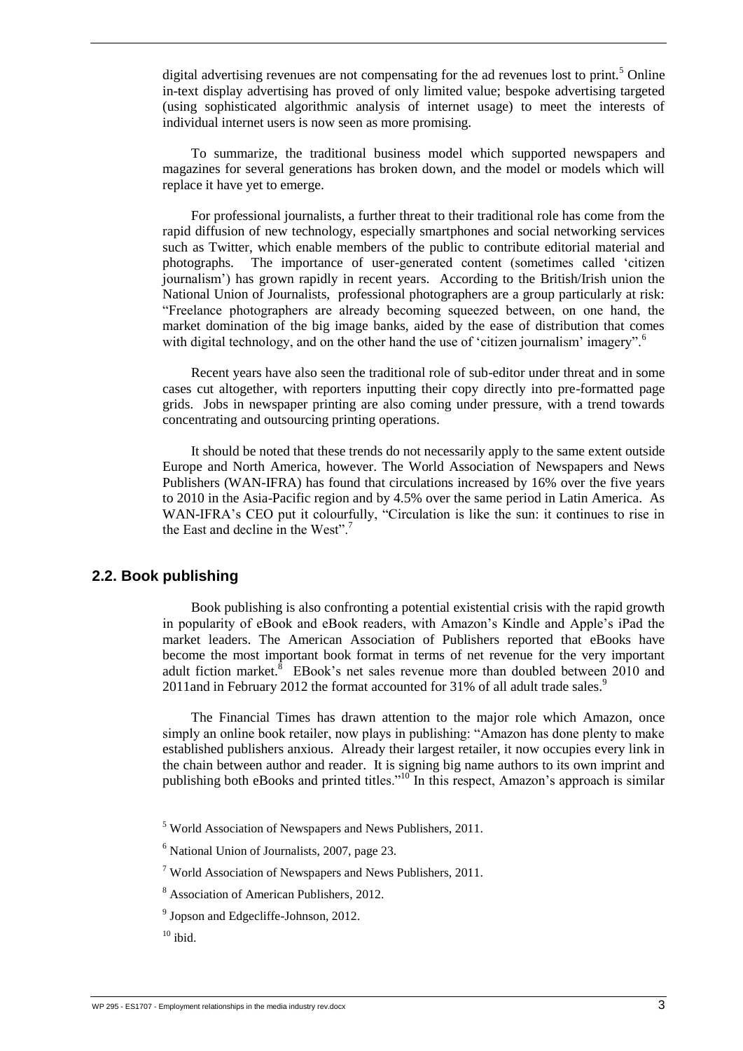digital advertising revenues are not compensating for the ad revenues lost to print.<sup>5</sup> Online in-text display advertising has proved of only limited value; bespoke advertising targeted (using sophisticated algorithmic analysis of internet usage) to meet the interests of individual internet users is now seen as more promising.

To summarize, the traditional business model which supported newspapers and magazines for several generations has broken down, and the model or models which will replace it have yet to emerge.

For professional journalists, a further threat to their traditional role has come from the rapid diffusion of new technology, especially smartphones and social networking services such as Twitter, which enable members of the public to contribute editorial material and photographs. The importance of user-generated content (sometimes called 'citizen journalism') has grown rapidly in recent years. According to the British/Irish union the National Union of Journalists, professional photographers are a group particularly at risk: "Freelance photographers are already becoming squeezed between, on one hand, the market domination of the big image banks, aided by the ease of distribution that comes with digital technology, and on the other hand the use of 'citizen journalism' imagery".<sup>6</sup>

Recent years have also seen the traditional role of sub-editor under threat and in some cases cut altogether, with reporters inputting their copy directly into pre-formatted page grids. Jobs in newspaper printing are also coming under pressure, with a trend towards concentrating and outsourcing printing operations.

It should be noted that these trends do not necessarily apply to the same extent outside Europe and North America, however. The World Association of Newspapers and News Publishers (WAN-IFRA) has found that circulations increased by 16% over the five years to 2010 in the Asia-Pacific region and by 4.5% over the same period in Latin America. As WAN-IFRA's CEO put it colourfully, "Circulation is like the sun: it continues to rise in the East and decline in the West"<sup>7</sup>

#### <span id="page-13-0"></span>**2.2. Book publishing**

Book publishing is also confronting a potential existential crisis with the rapid growth in popularity of eBook and eBook readers, with Amazon's Kindle and Apple's iPad the market leaders. The American Association of Publishers reported that eBooks have become the most important book format in terms of net revenue for the very important adult fiction market. EBook's net sales revenue more than doubled between  $2010$  and 2011and in February 2012 the format accounted for 31% of all adult trade sales.<sup>9</sup>

The Financial Times has drawn attention to the major role which Amazon, once simply an online book retailer, now plays in publishing: "Amazon has done plenty to make established publishers anxious. Already their largest retailer, it now occupies every link in the chain between author and reader. It is signing big name authors to its own imprint and publishing both eBooks and printed titles."<sup>10</sup> In this respect, Amazon's approach is similar

<sup>5</sup> World Association of Newspapers and News Publishers, 2011.

<sup>6</sup> National Union of Journalists, 2007, page 23.

 $7$  World Association of Newspapers and News Publishers, 2011.

<sup>8</sup> Association of American Publishers, 2012.

<sup>9</sup> Jopson and Edgecliffe-Johnson, 2012.

 $10$  ibid.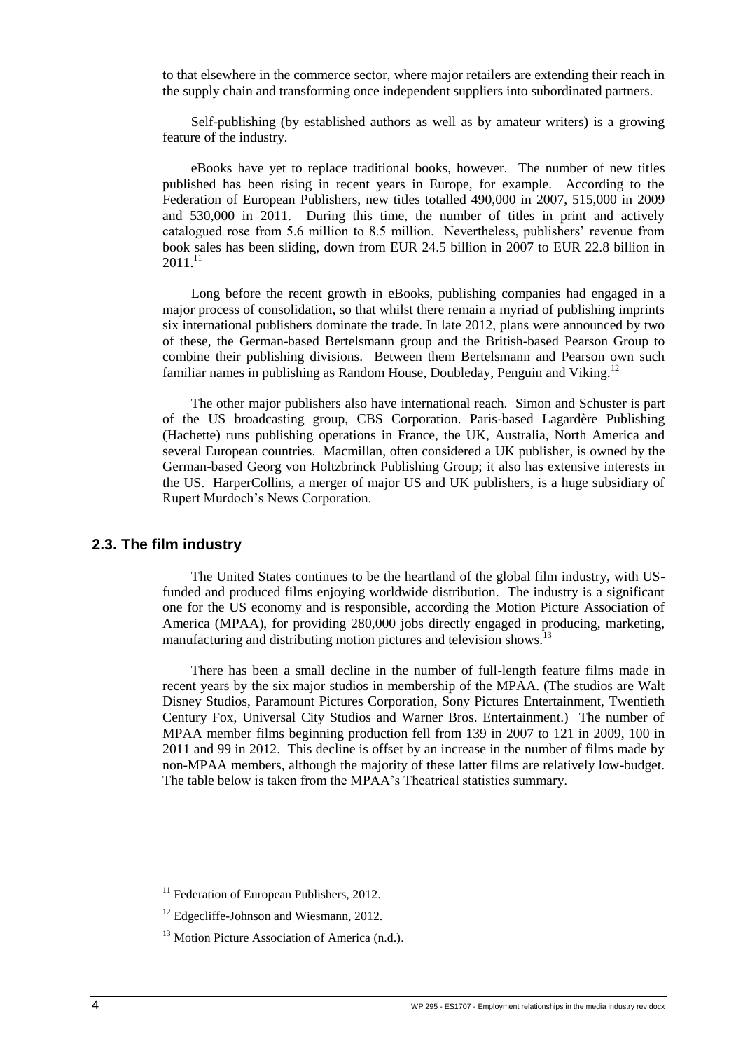to that elsewhere in the commerce sector, where major retailers are extending their reach in the supply chain and transforming once independent suppliers into subordinated partners.

Self-publishing (by established authors as well as by amateur writers) is a growing feature of the industry.

eBooks have yet to replace traditional books, however. The number of new titles published has been rising in recent years in Europe, for example. According to the Federation of European Publishers, new titles totalled 490,000 in 2007, 515,000 in 2009 and 530,000 in 2011. During this time, the number of titles in print and actively catalogued rose from 5.6 million to 8.5 million. Nevertheless, publishers' revenue from book sales has been sliding, down from EUR 24.5 billion in 2007 to EUR 22.8 billion in  $2011.^{11}$ 

Long before the recent growth in eBooks, publishing companies had engaged in a major process of consolidation, so that whilst there remain a myriad of publishing imprints six international publishers dominate the trade. In late 2012, plans were announced by two of these, the German-based Bertelsmann group and the British-based Pearson Group to combine their publishing divisions. Between them Bertelsmann and Pearson own such familiar names in publishing as Random House, Doubleday, Penguin and Viking.<sup>12</sup>

The other major publishers also have international reach. Simon and Schuster is part of the US broadcasting group, CBS Corporation. Paris-based Lagardère Publishing (Hachette) runs publishing operations in France, the UK, Australia, North America and several European countries. Macmillan, often considered a UK publisher, is owned by the German-based Georg von Holtzbrinck Publishing Group; it also has extensive interests in the US. HarperCollins, a merger of major US and UK publishers, is a huge subsidiary of Rupert Murdoch's News Corporation.

#### <span id="page-14-0"></span>**2.3. The film industry**

The United States continues to be the heartland of the global film industry, with USfunded and produced films enjoying worldwide distribution. The industry is a significant one for the US economy and is responsible, according the Motion Picture Association of America (MPAA), for providing 280,000 jobs directly engaged in producing, marketing, manufacturing and distributing motion pictures and television shows.

There has been a small decline in the number of full-length feature films made in recent years by the six major studios in membership of the MPAA. (The studios are Walt Disney Studios, Paramount Pictures Corporation, Sony Pictures Entertainment, Twentieth Century Fox, Universal City Studios and Warner Bros. Entertainment.) The number of MPAA member films beginning production fell from 139 in 2007 to 121 in 2009, 100 in 2011 and 99 in 2012. This decline is offset by an increase in the number of films made by non-MPAA members, although the majority of these latter films are relatively low-budget. The table below is taken from the MPAA's Theatrical statistics summary.

<span id="page-14-1"></span> $11$  Federation of European Publishers, 2012.

<sup>&</sup>lt;sup>12</sup> Edgecliffe-Johnson and Wiesmann, 2012.

 $13$  Motion Picture Association of America (n.d.).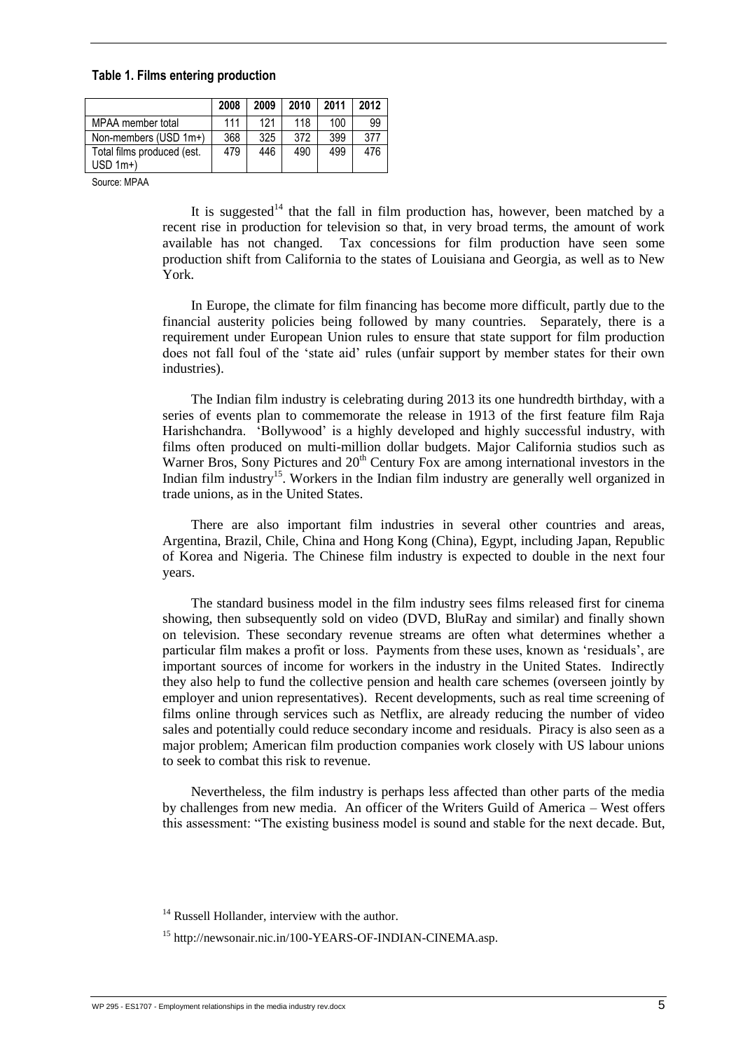#### **Table 1. Films entering production**

|                                          | 2008 | 2009 | 2010 | 2011 | 2012 |
|------------------------------------------|------|------|------|------|------|
| MPAA member total                        | 111  | 121  | 118  | 100  | 99   |
| Non-members (USD 1m+)                    | 368  | 325  | 372  | 399  | 377  |
| Total films produced (est.<br>$USD$ 1m+) | 479  | 446  | 490  | 499  | 476  |

Source: MPAA

It is suggested<sup>14</sup> that the fall in film production has, however, been matched by a recent rise in production for television so that, in very broad terms, the amount of work available has not changed. Tax concessions for film production have seen some production shift from California to the states of Louisiana and Georgia, as well as to New York.

In Europe, the climate for film financing has become more difficult, partly due to the financial austerity policies being followed by many countries. Separately, there is a requirement under European Union rules to ensure that state support for film production does not fall foul of the 'state aid' rules (unfair support by member states for their own industries).

The Indian film industry is celebrating during 2013 its one hundredth birthday, with a series of events plan to commemorate the release in 1913 of the first feature film Raja Harishchandra. 'Bollywood' is a highly developed and highly successful industry, with films often produced on multi-million dollar budgets. Major California studios such as Warner Bros, Sony Pictures and 20<sup>th</sup> Century Fox are among international investors in the Indian film industry<sup>15</sup>. Workers in the Indian film industry are generally well organized in trade unions, as in the United States.

There are also important film industries in several other countries and areas, Argentina, Brazil, Chile, China and Hong Kong (China), Egypt, including Japan, Republic of Korea and Nigeria. The Chinese film industry is expected to double in the next four years.

The standard business model in the film industry sees films released first for cinema showing, then subsequently sold on video (DVD, BluRay and similar) and finally shown on television. These secondary revenue streams are often what determines whether a particular film makes a profit or loss. Payments from these uses, known as 'residuals', are important sources of income for workers in the industry in the United States. Indirectly they also help to fund the collective pension and health care schemes (overseen jointly by employer and union representatives). Recent developments, such as real time screening of films online through services such as Netflix, are already reducing the number of video sales and potentially could reduce secondary income and residuals. Piracy is also seen as a major problem; American film production companies work closely with US labour unions to seek to combat this risk to revenue.

Nevertheless, the film industry is perhaps less affected than other parts of the media by challenges from new media. An officer of the Writers Guild of America – West offers this assessment: "The existing business model is sound and stable for the next decade. But,

 $14$  Russell Hollander, interview with the author.

<sup>15</sup> http://newsonair.nic.in/100-YEARS-OF-INDIAN-CINEMA.asp.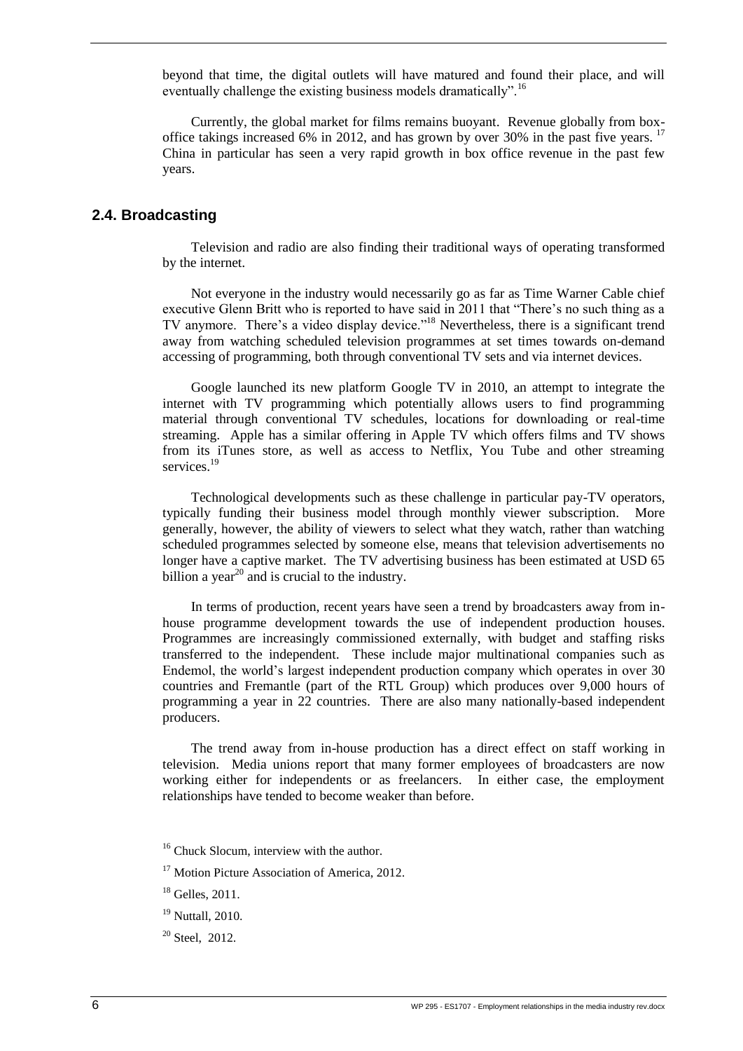beyond that time, the digital outlets will have matured and found their place, and will eventually challenge the existing business models dramatically".<sup>16</sup>

Currently, the global market for films remains buoyant. Revenue globally from boxoffice takings increased 6% in 2012, and has grown by over 30% in the past five years.  $17$ China in particular has seen a very rapid growth in box office revenue in the past few years.

#### <span id="page-16-0"></span>**2.4. Broadcasting**

Television and radio are also finding their traditional ways of operating transformed by the internet.

Not everyone in the industry would necessarily go as far as Time Warner Cable chief executive Glenn Britt who is reported to have said in 2011 that "There's no such thing as a TV anymore. There's a video display device."<sup>18</sup> Nevertheless, there is a significant trend away from watching scheduled television programmes at set times towards on-demand accessing of programming, both through conventional TV sets and via internet devices.

Google launched its new platform Google TV in 2010, an attempt to integrate the internet with TV programming which potentially allows users to find programming material through conventional TV schedules, locations for downloading or real-time streaming. Apple has a similar offering in Apple TV which offers films and TV shows from its iTunes store, as well as access to Netflix, You Tube and other streaming services.<sup>19</sup>

Technological developments such as these challenge in particular pay-TV operators, typically funding their business model through monthly viewer subscription. More generally, however, the ability of viewers to select what they watch, rather than watching scheduled programmes selected by someone else, means that television advertisements no longer have a captive market. The TV advertising business has been estimated at USD 65 billion a year $^{20}$  and is crucial to the industry.

In terms of production, recent years have seen a trend by broadcasters away from inhouse programme development towards the use of independent production houses. Programmes are increasingly commissioned externally, with budget and staffing risks transferred to the independent. These include major multinational companies such as Endemol, the world's largest independent production company which operates in over 30 countries and Fremantle (part of the RTL Group) which produces over 9,000 hours of programming a year in 22 countries. There are also many nationally-based independent producers.

The trend away from in-house production has a direct effect on staff working in television. Media unions report that many former employees of broadcasters are now working either for independents or as freelancers. In either case, the employment relationships have tended to become weaker than before.

<sup>&</sup>lt;sup>16</sup> Chuck Slocum, interview with the author.

<sup>&</sup>lt;sup>17</sup> Motion Picture Association of America, 2012.

 $18$  Gelles, 2011.

<sup>&</sup>lt;sup>19</sup> Nuttall, 2010.

 $20$  Steel, 2012.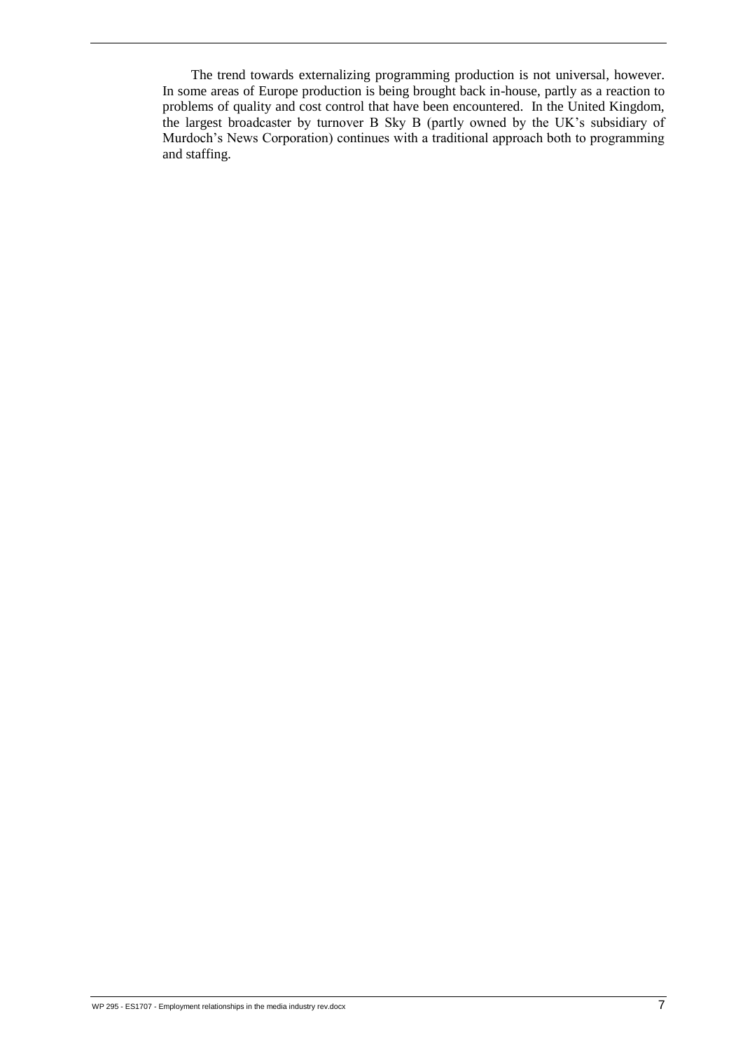The trend towards externalizing programming production is not universal, however. In some areas of Europe production is being brought back in-house, partly as a reaction to problems of quality and cost control that have been encountered. In the United Kingdom, the largest broadcaster by turnover B Sky B (partly owned by the UK's subsidiary of Murdoch's News Corporation) continues with a traditional approach both to programming and staffing.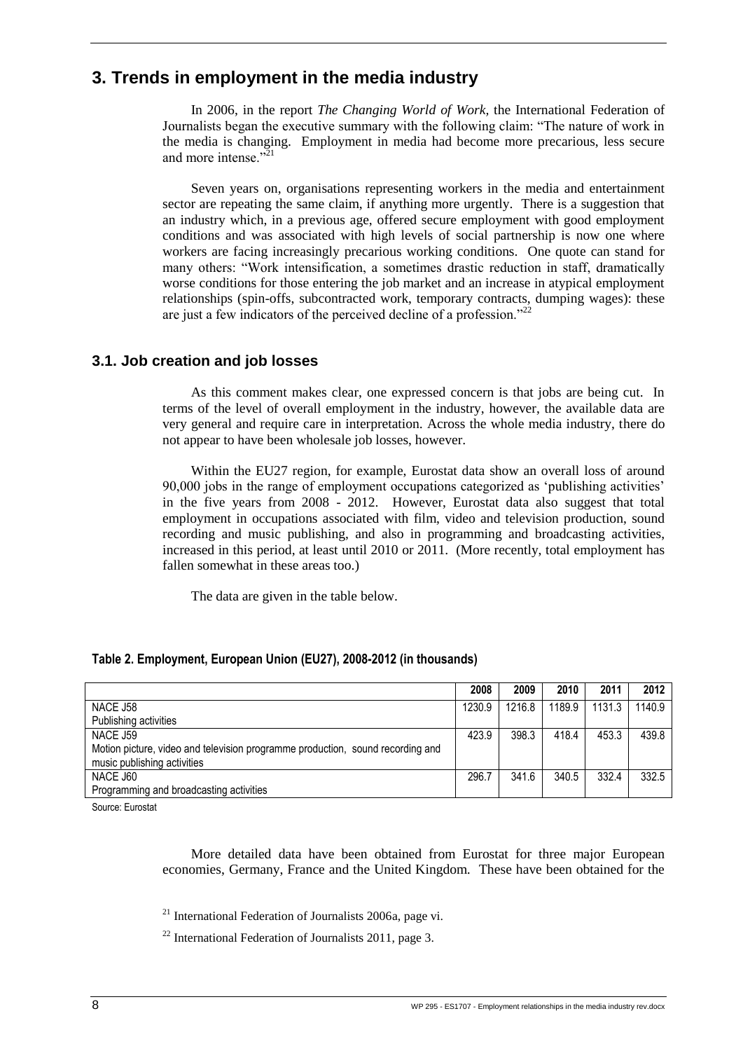# <span id="page-18-0"></span>**3. Trends in employment in the media industry**

In 2006, in the report *The Changing World of Work,* the International Federation of Journalists began the executive summary with the following claim: "The nature of work in the media is changing. Employment in media had become more precarious, less secure and more intense." $\sum_{i=1}^{1}$ 

Seven years on, organisations representing workers in the media and entertainment sector are repeating the same claim, if anything more urgently. There is a suggestion that an industry which, in a previous age, offered secure employment with good employment conditions and was associated with high levels of social partnership is now one where workers are facing increasingly precarious working conditions. One quote can stand for many others: "Work intensification, a sometimes drastic reduction in staff, dramatically worse conditions for those entering the job market and an increase in atypical employment relationships (spin-offs, subcontracted work, temporary contracts, dumping wages): these are just a few indicators of the perceived decline of a profession."<sup>22</sup>

#### <span id="page-18-1"></span>**3.1. Job creation and job losses**

As this comment makes clear, one expressed concern is that jobs are being cut. In terms of the level of overall employment in the industry, however, the available data are very general and require care in interpretation. Across the whole media industry, there do not appear to have been wholesale job losses, however.

Within the EU27 region, for example, Eurostat data show an overall loss of around 90,000 jobs in the range of employment occupations categorized as 'publishing activities' in the five years from 2008 - 2012. However, Eurostat data also suggest that total employment in occupations associated with film, video and television production, sound recording and music publishing, and also in programming and broadcasting activities, increased in this period, at least until 2010 or 2011. (More recently, total employment has fallen somewhat in these areas too.)

The data are given in the table below.

|                                                                                | 2008   | 2009   | 2010   | 2011   | 2012   |
|--------------------------------------------------------------------------------|--------|--------|--------|--------|--------|
| NACE J58                                                                       | 1230.9 | 1216.8 | 1189.9 | 1131.3 | 1140.9 |
| Publishing activities                                                          |        |        |        |        |        |
| NACE J59                                                                       | 423.9  | 398.3  | 418.4  | 453.3  | 439.8  |
| Motion picture, video and television programme production, sound recording and |        |        |        |        |        |
| music publishing activities                                                    |        |        |        |        |        |
| NACE J60                                                                       | 296.7  | 341.6  | 340.5  | 332.4  | 332.5  |
| Programming and broadcasting activities                                        |        |        |        |        |        |

#### <span id="page-18-2"></span>**Table 2. Employment, European Union (EU27), 2008-2012 (in thousands)**

Source: Eurostat

More detailed data have been obtained from Eurostat for three major European economies, Germany, France and the United Kingdom. These have been obtained for the

 $^{21}$  International Federation of Journalists 2006a, page vi.

 $^{22}$  International Federation of Journalists 2011, page 3.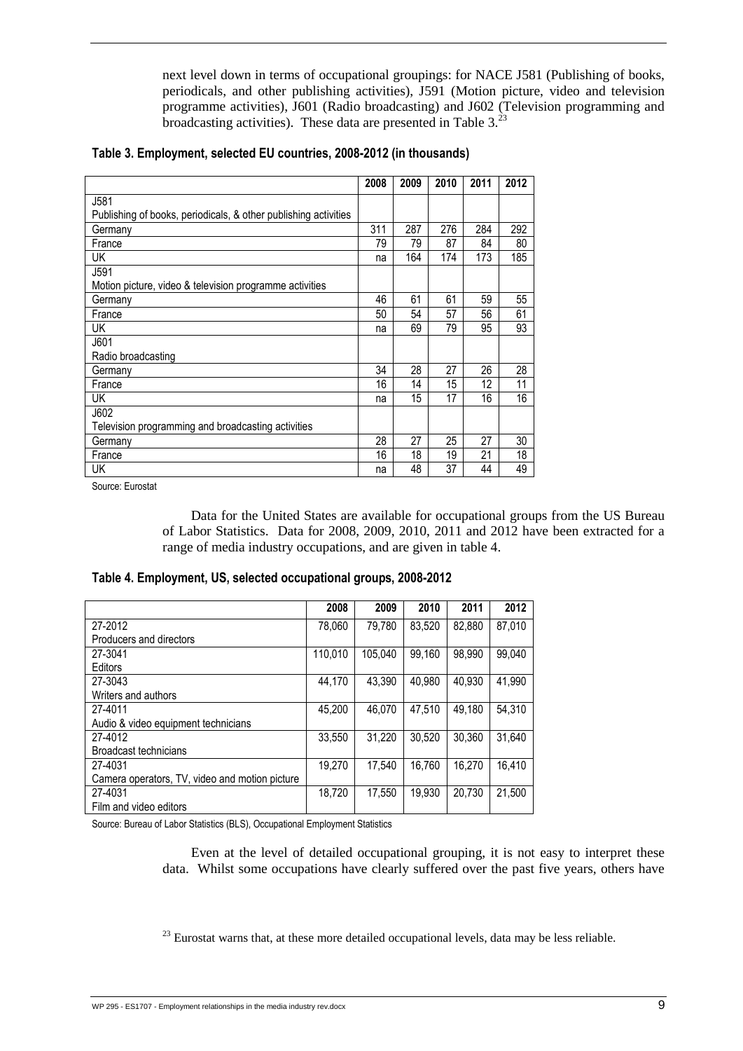next level down in terms of occupational groupings: for NACE J581 (Publishing of books, periodicals, and other publishing activities), J591 (Motion picture, video and television programme activities), J601 (Radio broadcasting) and J602 (Television programming and broadcasting activities). These data are presented in Table  $3<sup>23</sup>$ 

|                                                                 | 2008 | 2009 | 2010 | 2011 | 2012 |
|-----------------------------------------------------------------|------|------|------|------|------|
| J581                                                            |      |      |      |      |      |
| Publishing of books, periodicals, & other publishing activities |      |      |      |      |      |
| Germany                                                         | 311  | 287  | 276  | 284  | 292  |
| France                                                          | 79   | 79   | 87   | 84   | 80   |
| UK                                                              | na   | 164  | 174  | 173  | 185  |
| J591                                                            |      |      |      |      |      |
| Motion picture, video & television programme activities         |      |      |      |      |      |
| Germany                                                         | 46   | 61   | 61   | 59   | 55   |
| France                                                          | 50   | 54   | 57   | 56   | 61   |
| UK                                                              | na   | 69   | 79   | 95   | 93   |
| J601                                                            |      |      |      |      |      |
| Radio broadcasting                                              |      |      |      |      |      |
| Germany                                                         | 34   | 28   | 27   | 26   | 28   |
| France                                                          | 16   | 14   | 15   | 12   | 11   |
| UK                                                              | na   | 15   | 17   | 16   | 16   |
| J602                                                            |      |      |      |      |      |
| Television programming and broadcasting activities              |      |      |      |      |      |
| Germany                                                         | 28   | 27   | 25   | 27   | 30   |
| France                                                          | 16   | 18   | 19   | 21   | 18   |
| UK                                                              | na   | 48   | 37   | 44   | 49   |

#### <span id="page-19-0"></span>**Table 3. Employment, selected EU countries, 2008-2012 (in thousands)**

Source: Eurostat

Data for the United States are available for occupational groups from the US Bureau of Labor Statistics. Data for 2008, 2009, 2010, 2011 and 2012 have been extracted for a range of media industry occupations, and are given in table 4.

#### <span id="page-19-1"></span>**Table 4. Employment, US, selected occupational groups, 2008-2012**

|                                                | 2008    | 2009    | 2010   | 2011   | 2012   |
|------------------------------------------------|---------|---------|--------|--------|--------|
| 27-2012                                        | 78,060  | 79.780  | 83.520 | 82.880 | 87.010 |
| Producers and directors                        |         |         |        |        |        |
| 27-3041                                        | 110.010 | 105.040 | 99,160 | 98.990 | 99.040 |
| Editors                                        |         |         |        |        |        |
| 27-3043                                        | 44.170  | 43.390  | 40.980 | 40.930 | 41.990 |
| Writers and authors                            |         |         |        |        |        |
| 27-4011                                        | 45.200  | 46.070  | 47,510 | 49.180 | 54,310 |
| Audio & video equipment technicians            |         |         |        |        |        |
| 27-4012                                        | 33,550  | 31.220  | 30.520 | 30.360 | 31,640 |
| Broadcast technicians                          |         |         |        |        |        |
| 27-4031                                        | 19.270  | 17.540  | 16.760 | 16.270 | 16,410 |
| Camera operators, TV, video and motion picture |         |         |        |        |        |
| 27-4031                                        | 18,720  | 17,550  | 19.930 | 20.730 | 21,500 |
| Film and video editors                         |         |         |        |        |        |

Source: Bureau of Labor Statistics (BLS), Occupational Employment Statistics

Even at the level of detailed occupational grouping, it is not easy to interpret these data. Whilst some occupations have clearly suffered over the past five years, others have

 $^{23}$  Eurostat warns that, at these more detailed occupational levels, data may be less reliable.

WP 295 - ES1707 - Employment relationships in the media industry rev.docx  $9$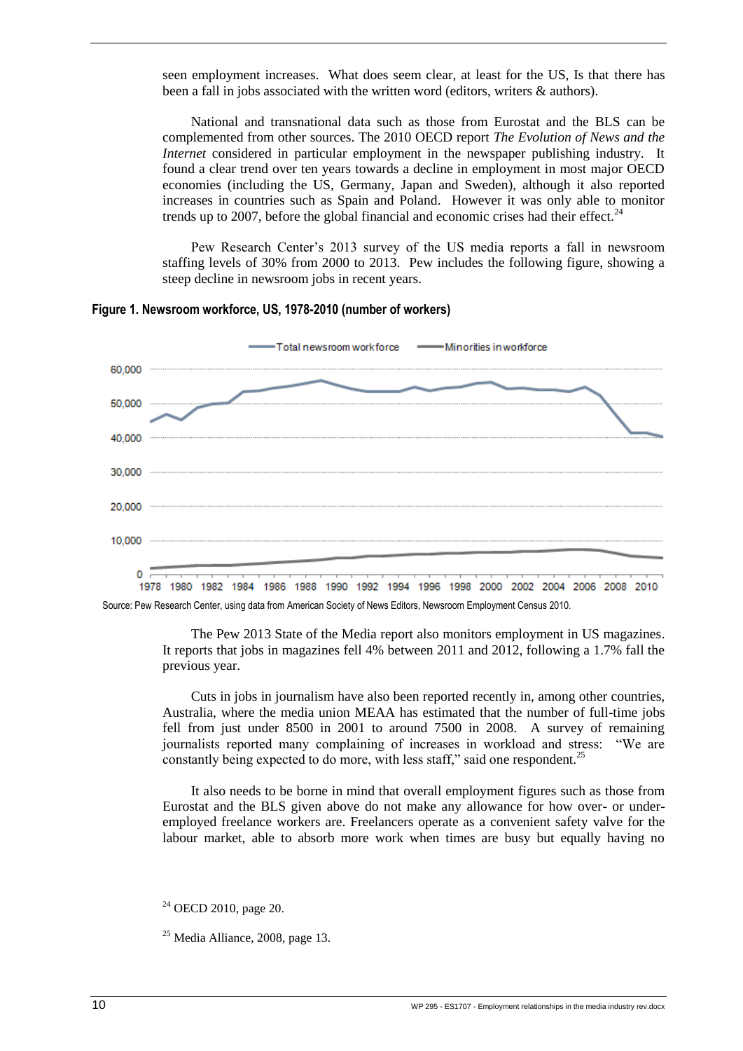seen employment increases. What does seem clear, at least for the US, Is that there has been a fall in jobs associated with the written word (editors, writers & authors).

National and transnational data such as those from Eurostat and the BLS can be complemented from other sources. The 2010 OECD report *The Evolution of News and the Internet* considered in particular employment in the newspaper publishing industry. It found a clear trend over ten years towards a decline in employment in most major OECD economies (including the US, Germany, Japan and Sweden), although it also reported increases in countries such as Spain and Poland. However it was only able to monitor trends up to 2007, before the global financial and economic crises had their effect.<sup>24</sup>

Pew Research Center's 2013 survey of the US media reports a fall in newsroom staffing levels of 30% from 2000 to 2013. Pew includes the following figure, showing a steep decline in newsroom jobs in recent years.



<span id="page-20-0"></span>**Figure 1. Newsroom workforce, US, 1978-2010 (number of workers)**

[Source:](http://stateofthemedia.org/files/2013/03/19-Newsroom-Workforce-Still-Dropping.xlsx) Pew Research Center, using data from American Society of News Editors, Newsroom Employment Census 2010.

The Pew 2013 State of the Media report also monitors employment in US magazines. It reports that jobs in magazines fell 4% between 2011 and 2012, following a 1.7% fall the previous year.

Cuts in jobs in journalism have also been reported recently in, among other countries, Australia, where the media union MEAA has estimated that the number of full-time jobs fell from just under 8500 in 2001 to around 7500 in 2008. A survey of remaining journalists reported many complaining of increases in workload and stress: "We are constantly being expected to do more, with less staff," said one respondent.<sup>25</sup>

It also needs to be borne in mind that overall employment figures such as those from Eurostat and the BLS given above do not make any allowance for how over- or underemployed freelance workers are. Freelancers operate as a convenient safety valve for the labour market, able to absorb more work when times are busy but equally having no

<sup>24</sup> OECD 2010, page 20.

 $25$  Media Alliance, 2008, page 13.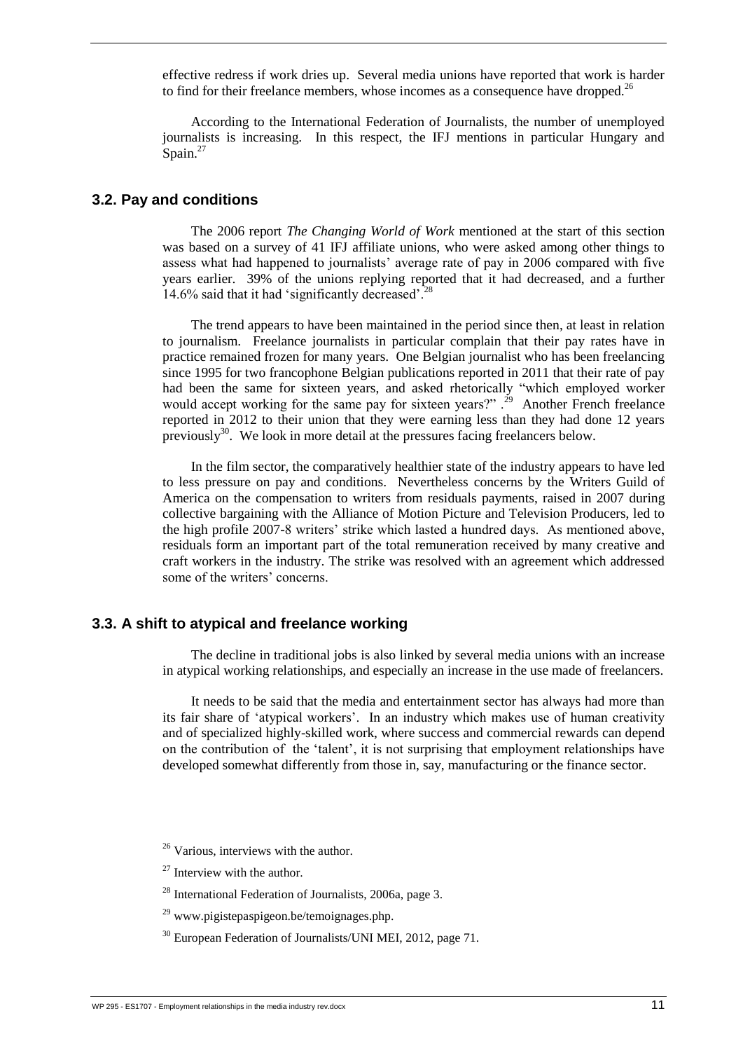effective redress if work dries up. Several media unions have reported that work is harder to find for their freelance members, whose incomes as a consequence have dropped.<sup>26</sup>

According to the International Federation of Journalists, the number of unemployed journalists is increasing. In this respect, the IFJ mentions in particular Hungary and Spain.<sup>27</sup>

#### <span id="page-21-0"></span>**3.2. Pay and conditions**

The 2006 report *The Changing World of Work* mentioned at the start of this section was based on a survey of 41 IFJ affiliate unions, who were asked among other things to assess what had happened to journalists' average rate of pay in 2006 compared with five years earlier. 39% of the unions replying reported that it had decreased, and a further 14.6% said that it had 'significantly decreased'.<sup>2</sup>

The trend appears to have been maintained in the period since then, at least in relation to journalism. Freelance journalists in particular complain that their pay rates have in practice remained frozen for many years. One Belgian journalist who has been freelancing since 1995 for two francophone Belgian publications reported in 2011 that their rate of pay had been the same for sixteen years, and asked rhetorically "which employed worker would accept working for the same pay for sixteen years?".<sup>29</sup> Another French freelance reported in 2012 to their union that they were earning less than they had done 12 years previously $30$ . We look in more detail at the pressures facing freelancers below.

In the film sector, the comparatively healthier state of the industry appears to have led to less pressure on pay and conditions. Nevertheless concerns by the Writers Guild of America on the compensation to writers from residuals payments, raised in 2007 during collective bargaining with the Alliance of Motion Picture and Television Producers, led to the high profile 2007-8 writers' strike which lasted a hundred days. As mentioned above, residuals form an important part of the total remuneration received by many creative and craft workers in the industry. The strike was resolved with an agreement which addressed some of the writers' concerns.

#### <span id="page-21-1"></span>**3.3. A shift to atypical and freelance working**

The decline in traditional jobs is also linked by several media unions with an increase in atypical working relationships, and especially an increase in the use made of freelancers.

It needs to be said that the media and entertainment sector has always had more than its fair share of 'atypical workers'. In an industry which makes use of human creativity and of specialized highly-skilled work, where success and commercial rewards can depend on the contribution of the 'talent', it is not surprising that employment relationships have developed somewhat differently from those in, say, manufacturing or the finance sector.

 $27$  Interview with the author.

<sup>28</sup> International Federation of Journalists, 2006a, page 3.

<sup>&</sup>lt;sup>26</sup> Various, interviews with the author.

 $^{29}$  www.pigistepaspigeon.be/temoignages.php.

<sup>&</sup>lt;sup>30</sup> European Federation of Journalists/UNI MEI, 2012, page 71.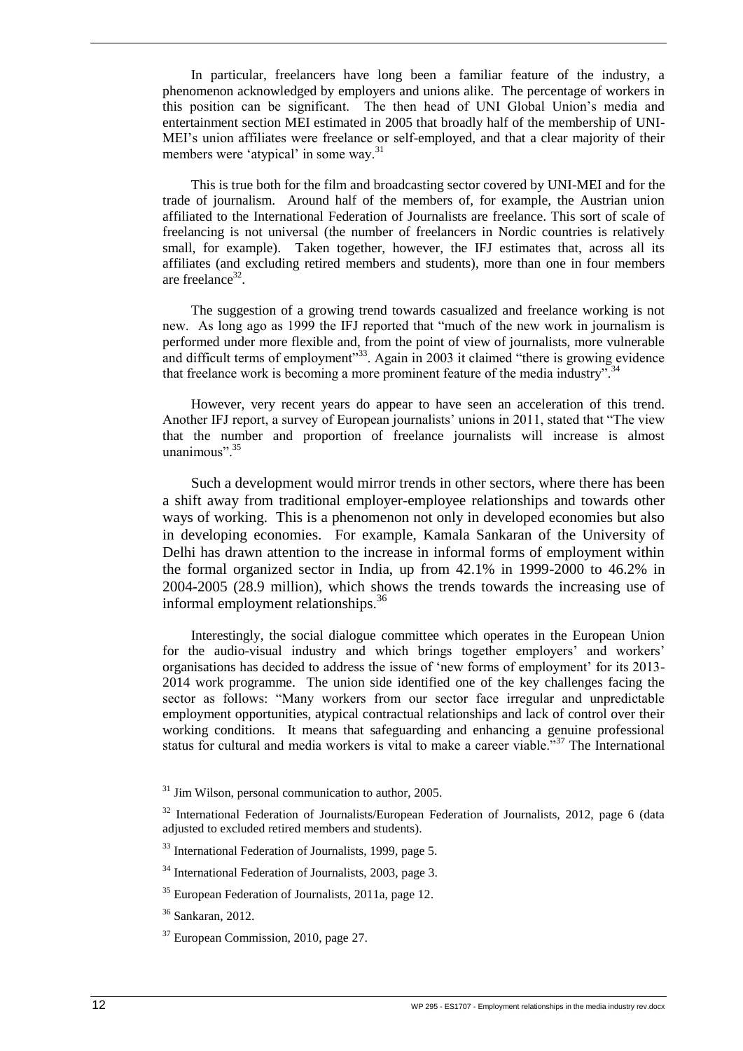In particular, freelancers have long been a familiar feature of the industry, a phenomenon acknowledged by employers and unions alike. The percentage of workers in this position can be significant. The then head of UNI Global Union's media and entertainment section MEI estimated in 2005 that broadly half of the membership of UNI-MEI's union affiliates were freelance or self-employed, and that a clear majority of their members were 'atypical' in some way.<sup>31</sup>

This is true both for the film and broadcasting sector covered by UNI-MEI and for the trade of journalism. Around half of the members of, for example, the Austrian union affiliated to the International Federation of Journalists are freelance. This sort of scale of freelancing is not universal (the number of freelancers in Nordic countries is relatively small, for example). Taken together, however, the IFJ estimates that, across all its affiliates (and excluding retired members and students), more than one in four members are freelance $32$ .

The suggestion of a growing trend towards casualized and freelance working is not new. As long ago as 1999 the IFJ reported that "much of the new work in journalism is performed under more flexible and, from the point of view of journalists, more vulnerable and difficult terms of employment"<sup>33</sup>. Again in 2003 it claimed "there is growing evidence" that freelance work is becoming a more prominent feature of the media industry".<sup>3</sup>

However, very recent years do appear to have seen an acceleration of this trend. Another IFJ report, a survey of European journalists' unions in 2011, stated that "The view that the number and proportion of freelance journalists will increase is almost unanimous" $35$ 

Such a development would mirror trends in other sectors, where there has been a shift away from traditional employer-employee relationships and towards other ways of working. This is a phenomenon not only in developed economies but also in developing economies. For example, Kamala Sankaran of the University of Delhi has drawn attention to the increase in informal forms of employment within the formal organized sector in India, up from 42.1% in 1999-2000 to 46.2% in 2004-2005 (28.9 million), which shows the trends towards the increasing use of informal employment relationships.<sup>36</sup>

Interestingly, the social dialogue committee which operates in the European Union for the audio-visual industry and which brings together employers' and workers' organisations has decided to address the issue of 'new forms of employment' for its 2013- 2014 work programme. The union side identified one of the key challenges facing the sector as follows: "Many workers from our sector face irregular and unpredictable employment opportunities, atypical contractual relationships and lack of control over their working conditions. It means that safeguarding and enhancing a genuine professional status for cultural and media workers is vital to make a career viable.<sup>337</sup> The International

 $31$  Jim Wilson, personal communication to author, 2005.

<sup>&</sup>lt;sup>32</sup> International Federation of Journalists/European Federation of Journalists, 2012, page 6 (data adjusted to excluded retired members and students).

<sup>33</sup> International Federation of Journalists, 1999, page 5.

<sup>34</sup> International Federation of Journalists, 2003, page 3.

<sup>35</sup> European Federation of Journalists, 2011a, page 12.

<sup>36</sup> Sankaran, 2012.

<sup>&</sup>lt;sup>37</sup> European Commission, 2010, page 27.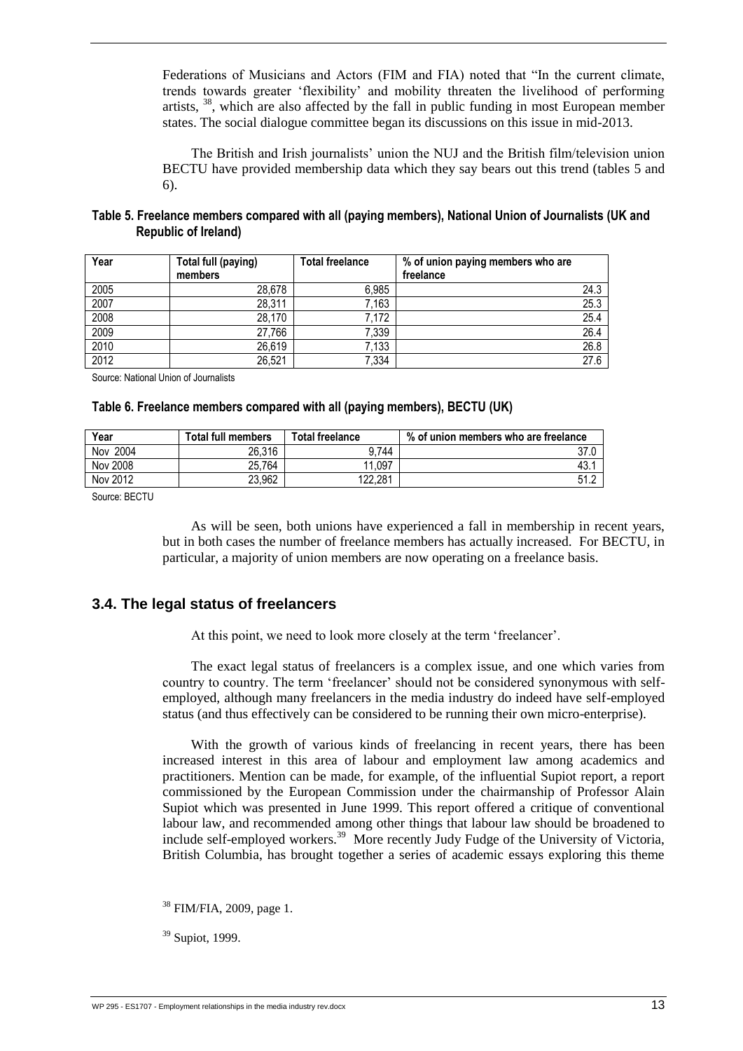Federations of Musicians and Actors (FIM and FIA) noted that "In the current climate, trends towards greater 'flexibility' and mobility threaten the livelihood of performing artists,  $38$ , which are also affected by the fall in public funding in most European member states. The social dialogue committee began its discussions on this issue in mid-2013.

The British and Irish journalists' union the NUJ and the British film/television union BECTU have provided membership data which they say bears out this trend (tables 5 and 6).

<span id="page-23-1"></span>

| Table 5. Freelance members compared with all (paying members), National Union of Journalists (UK and |  |
|------------------------------------------------------------------------------------------------------|--|
| <b>Republic of Ireland)</b>                                                                          |  |

| Year | Total full (paying) | <b>Total freelance</b> | % of union paying members who are |
|------|---------------------|------------------------|-----------------------------------|
|      | members             |                        | freelance                         |
| 2005 | 28.678              | 6,985                  | 24.3                              |
| 2007 | 28,311              | 7,163                  | 25.3                              |
| 2008 | 28.170              | 7,172                  | 25.4                              |
| 2009 | 27,766              | 7,339                  | 26.4                              |
| 2010 | 26,619              | 7,133                  | 26.8                              |
| 2012 | 26,521              | 7,334                  | 27.6                              |

<span id="page-23-2"></span>Source: National Union of Journalists

#### **Table 6. Freelance members compared with all (paying members), BECTU (UK)**

| Year          | <b>Total full members</b> | <b>Total freelance</b> | % of union members who are freelance |
|---------------|---------------------------|------------------------|--------------------------------------|
| 2004<br>Nov 1 | 26,316                    | 9.744                  | 37.0                                 |
| Nov 2008      | 25.764                    | 11.097                 | 43.                                  |
| Nov 2012      | 23.962                    | 122.281                | 51.2                                 |

Source: BECTU

As will be seen, both unions have experienced a fall in membership in recent years, but in both cases the number of freelance members has actually increased. For BECTU, in particular, a majority of union members are now operating on a freelance basis.

#### <span id="page-23-0"></span>**3.4. The legal status of freelancers**

At this point, we need to look more closely at the term 'freelancer'.

The exact legal status of freelancers is a complex issue, and one which varies from country to country. The term 'freelancer' should not be considered synonymous with selfemployed, although many freelancers in the media industry do indeed have self-employed status (and thus effectively can be considered to be running their own micro-enterprise).

With the growth of various kinds of freelancing in recent years, there has been increased interest in this area of labour and employment law among academics and practitioners. Mention can be made, for example, of the influential Supiot report, a report commissioned by the European Commission under the chairmanship of Professor Alain Supiot which was presented in June 1999. This report offered a critique of conventional labour law, and recommended among other things that labour law should be broadened to include self-employed workers.<sup>39</sup> More recently Judy Fudge of the University of Victoria, British Columbia, has brought together a series of academic essays exploring this theme

<sup>38</sup> FIM/FIA, 2009, page 1.

 $39$  Supiot, 1999.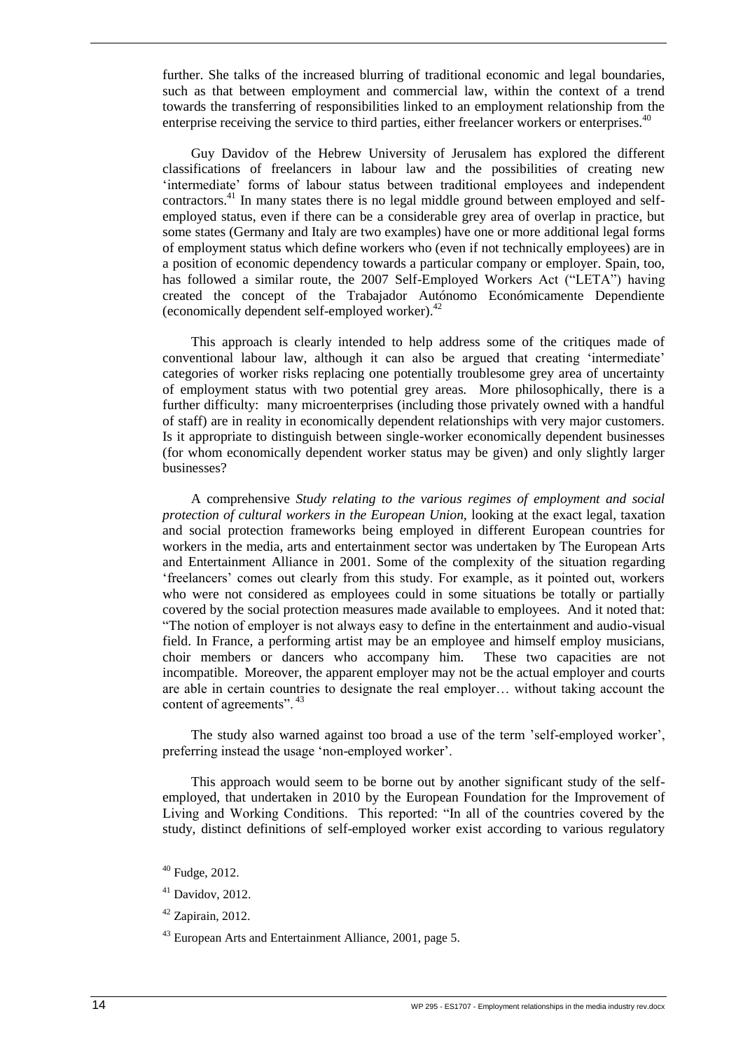further. She talks of the increased blurring of traditional economic and legal boundaries, such as that between employment and commercial law, within the context of a trend towards the transferring of responsibilities linked to an employment relationship from the enterprise receiving the service to third parties, either freelancer workers or enterprises.<sup>40</sup>

Guy Davidov of the Hebrew University of Jerusalem has explored the different classifications of freelancers in labour law and the possibilities of creating new 'intermediate' forms of labour status between traditional employees and independent contractors.<sup>41</sup> In many states there is no legal middle ground between employed and selfemployed status, even if there can be a considerable grey area of overlap in practice, but some states (Germany and Italy are two examples) have one or more additional legal forms of employment status which define workers who (even if not technically employees) are in a position of economic dependency towards a particular company or employer. Spain, too, has followed a similar route, the 2007 Self-Employed Workers Act ("LETA") having created the concept of the Trabajador Autónomo Económicamente Dependiente (economically dependent self-employed worker).<sup>42</sup>

This approach is clearly intended to help address some of the critiques made of conventional labour law, although it can also be argued that creating 'intermediate' categories of worker risks replacing one potentially troublesome grey area of uncertainty of employment status with two potential grey areas. More philosophically, there is a further difficulty: many microenterprises (including those privately owned with a handful of staff) are in reality in economically dependent relationships with very major customers. Is it appropriate to distinguish between single-worker economically dependent businesses (for whom economically dependent worker status may be given) and only slightly larger businesses?

A comprehensive *Study relating to the various regimes of employment and social protection of cultural workers in the European Union,* looking at the exact legal, taxation and social protection frameworks being employed in different European countries for workers in the media, arts and entertainment sector was undertaken by The European Arts and Entertainment Alliance in 2001. Some of the complexity of the situation regarding 'freelancers' comes out clearly from this study. For example, as it pointed out, workers who were not considered as employees could in some situations be totally or partially covered by the social protection measures made available to employees. And it noted that: "The notion of employer is not always easy to define in the entertainment and audio-visual field. In France, a performing artist may be an employee and himself employ musicians, choir members or dancers who accompany him. These two capacities are not incompatible. Moreover, the apparent employer may not be the actual employer and courts are able in certain countries to designate the real employer… without taking account the content of agreements".  $43$ 

The study also warned against too broad a use of the term 'self-employed worker', preferring instead the usage 'non-employed worker'.

This approach would seem to be borne out by another significant study of the selfemployed, that undertaken in 2010 by the European Foundation for the Improvement of Living and Working Conditions. This reported: "In all of the countries covered by the study, distinct definitions of self-employed worker exist according to various regulatory

 $40$  Fudge, 2012.

 $41$  Davidov, 2012.

 $42$  Zapirain, 2012.

 $43$  European Arts and Entertainment Alliance, 2001, page 5.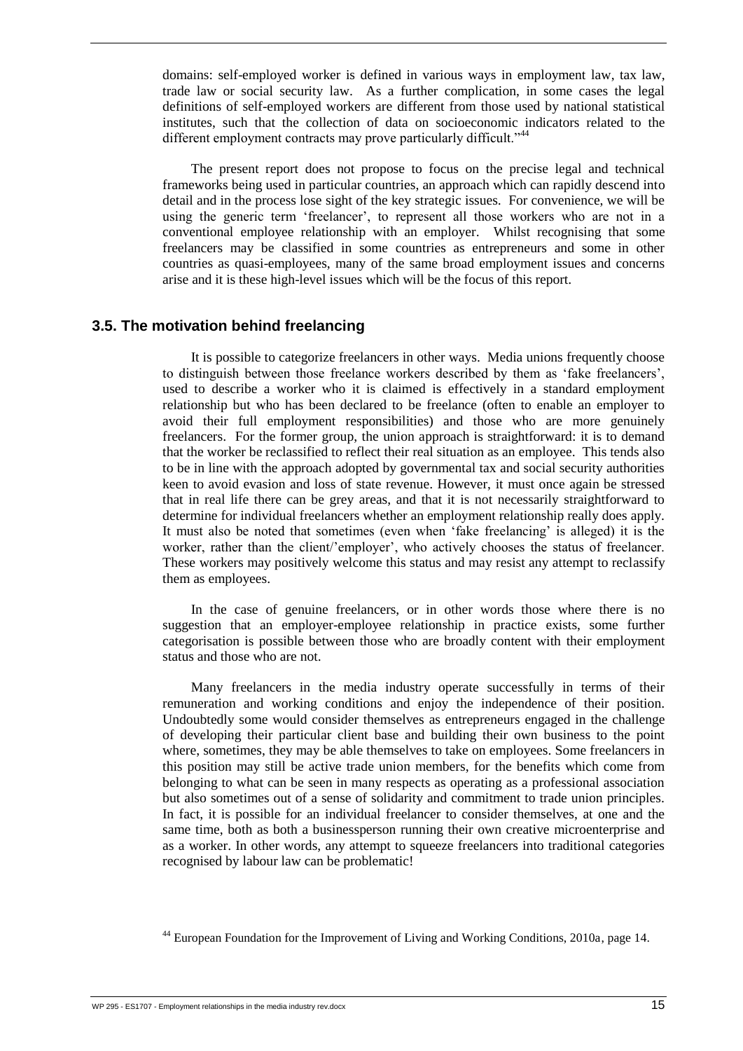domains: self-employed worker is defined in various ways in employment law, tax law, trade law or social security law. As a further complication, in some cases the legal definitions of self-employed workers are different from those used by national statistical institutes, such that the collection of data on socioeconomic indicators related to the different employment contracts may prove particularly difficult."<sup>44</sup>

The present report does not propose to focus on the precise legal and technical frameworks being used in particular countries, an approach which can rapidly descend into detail and in the process lose sight of the key strategic issues. For convenience, we will be using the generic term 'freelancer', to represent all those workers who are not in a conventional employee relationship with an employer. Whilst recognising that some freelancers may be classified in some countries as entrepreneurs and some in other countries as quasi-employees, many of the same broad employment issues and concerns arise and it is these high-level issues which will be the focus of this report.

#### <span id="page-25-0"></span>**3.5. The motivation behind freelancing**

It is possible to categorize freelancers in other ways. Media unions frequently choose to distinguish between those freelance workers described by them as 'fake freelancers', used to describe a worker who it is claimed is effectively in a standard employment relationship but who has been declared to be freelance (often to enable an employer to avoid their full employment responsibilities) and those who are more genuinely freelancers. For the former group, the union approach is straightforward: it is to demand that the worker be reclassified to reflect their real situation as an employee. This tends also to be in line with the approach adopted by governmental tax and social security authorities keen to avoid evasion and loss of state revenue. However, it must once again be stressed that in real life there can be grey areas, and that it is not necessarily straightforward to determine for individual freelancers whether an employment relationship really does apply. It must also be noted that sometimes (even when 'fake freelancing' is alleged) it is the worker, rather than the client/'employer', who actively chooses the status of freelancer. These workers may positively welcome this status and may resist any attempt to reclassify them as employees.

In the case of genuine freelancers, or in other words those where there is no suggestion that an employer-employee relationship in practice exists, some further categorisation is possible between those who are broadly content with their employment status and those who are not.

Many freelancers in the media industry operate successfully in terms of their remuneration and working conditions and enjoy the independence of their position. Undoubtedly some would consider themselves as entrepreneurs engaged in the challenge of developing their particular client base and building their own business to the point where, sometimes, they may be able themselves to take on employees. Some freelancers in this position may still be active trade union members, for the benefits which come from belonging to what can be seen in many respects as operating as a professional association but also sometimes out of a sense of solidarity and commitment to trade union principles. In fact, it is possible for an individual freelancer to consider themselves, at one and the same time, both as both a businessperson running their own creative microenterprise and as a worker. In other words, any attempt to squeeze freelancers into traditional categories recognised by labour law can be problematic!

<sup>44</sup> European Foundation for the Improvement of Living and Working Conditions, 2010a, page 14.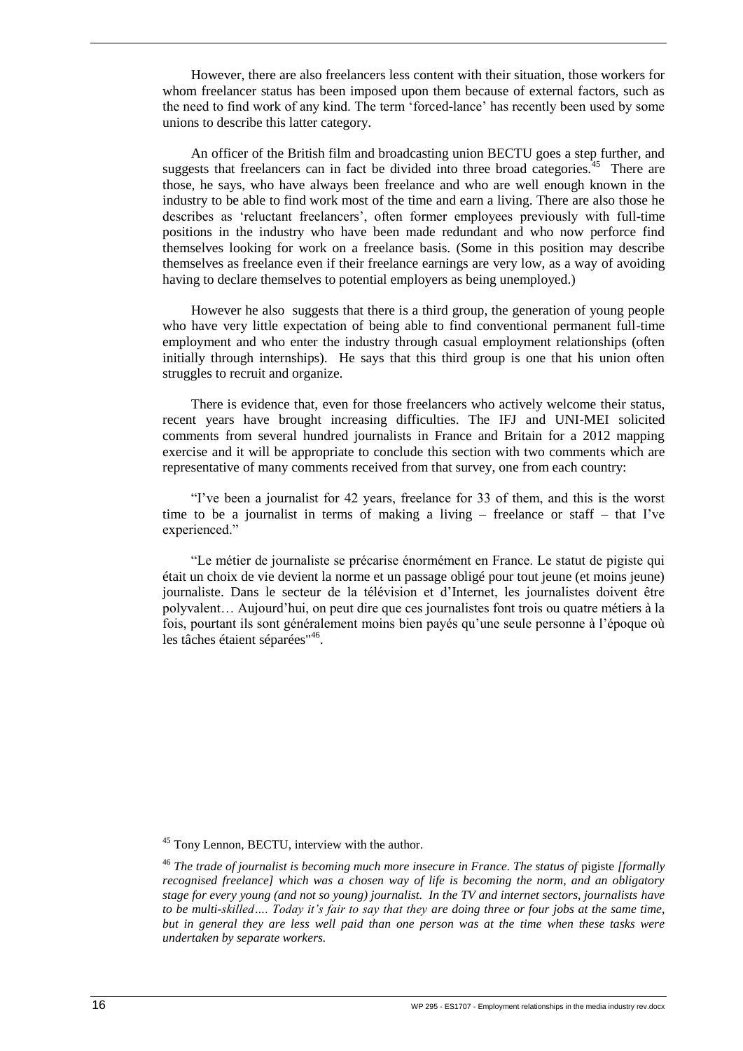However, there are also freelancers less content with their situation, those workers for whom freelancer status has been imposed upon them because of external factors, such as the need to find work of any kind. The term 'forced-lance' has recently been used by some unions to describe this latter category.

An officer of the British film and broadcasting union BECTU goes a step further, and suggests that freelancers can in fact be divided into three broad categories. $45$  There are those, he says, who have always been freelance and who are well enough known in the industry to be able to find work most of the time and earn a living. There are also those he describes as 'reluctant freelancers', often former employees previously with full-time positions in the industry who have been made redundant and who now perforce find themselves looking for work on a freelance basis. (Some in this position may describe themselves as freelance even if their freelance earnings are very low, as a way of avoiding having to declare themselves to potential employers as being unemployed.)

However he also suggests that there is a third group, the generation of young people who have very little expectation of being able to find conventional permanent full-time employment and who enter the industry through casual employment relationships (often initially through internships). He says that this third group is one that his union often struggles to recruit and organize.

There is evidence that, even for those freelancers who actively welcome their status, recent years have brought increasing difficulties. The IFJ and UNI-MEI solicited comments from several hundred journalists in France and Britain for a 2012 mapping exercise and it will be appropriate to conclude this section with two comments which are representative of many comments received from that survey, one from each country:

"I've been a journalist for 42 years, freelance for 33 of them, and this is the worst time to be a journalist in terms of making a living – freelance or staff – that I've experienced."

"Le métier de journaliste se précarise énormément en France. Le statut de pigiste qui était un choix de vie devient la norme et un passage obligé pour tout jeune (et moins jeune) journaliste. Dans le secteur de la télévision et d'Internet, les journalistes doivent être polyvalent… Aujourd'hui, on peut dire que ces journalistes font trois ou quatre métiers à la fois, pourtant ils sont généralement moins bien payés qu'une seule personne à l'époque où les tâches étaient séparées<sup>"46</sup>.

<sup>&</sup>lt;sup>45</sup> Tony Lennon, BECTU, interview with the author.

<sup>&</sup>lt;sup>46</sup> The trade of journalist is becoming much more insecure in France. The status of pigiste *[formally recognised freelance] which was a chosen way of life is becoming the norm, and an obligatory stage for every young (and not so young) journalist. In the TV and internet sectors, journalists have to be multi-skilled…. Today it's fair to say that they are doing three or four jobs at the same time, but in general they are less well paid than one person was at the time when these tasks were undertaken by separate workers.*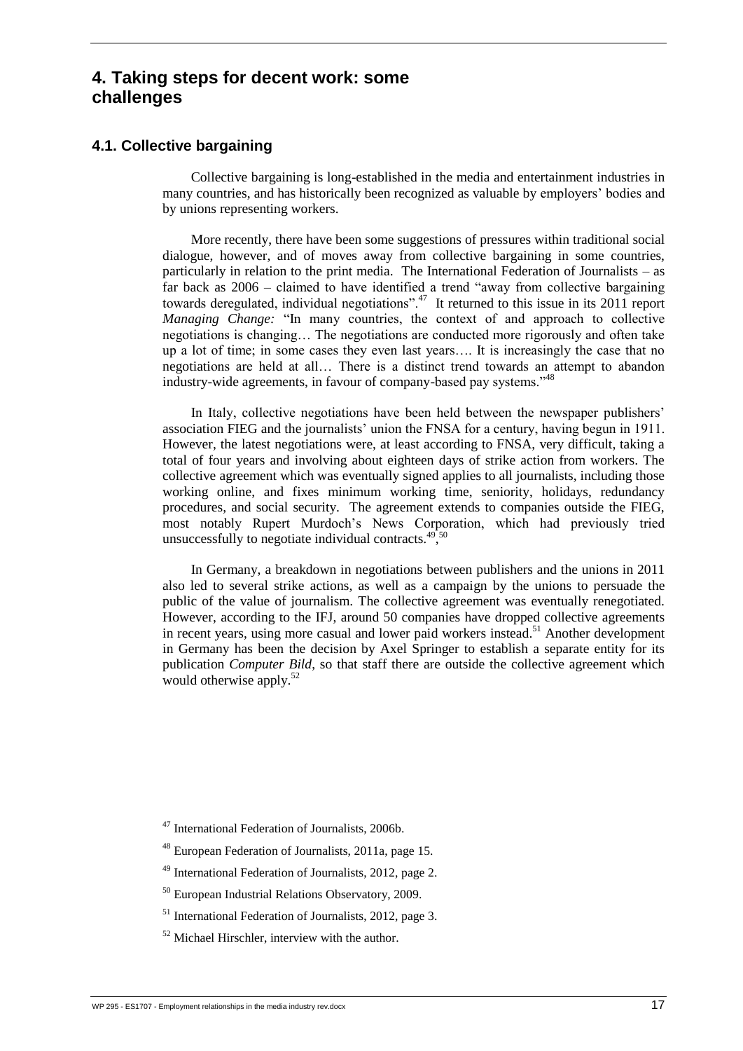# <span id="page-27-0"></span>**4. Taking steps for decent work: some challenges**

#### <span id="page-27-1"></span>**4.1. Collective bargaining**

Collective bargaining is long-established in the media and entertainment industries in many countries, and has historically been recognized as valuable by employers' bodies and by unions representing workers.

More recently, there have been some suggestions of pressures within traditional social dialogue, however, and of moves away from collective bargaining in some countries, particularly in relation to the print media. The International Federation of Journalists – as far back as 2006 – claimed to have identified a trend "away from collective bargaining towards deregulated, individual negotiations".<sup>47</sup> It returned to this issue in its 2011 report *Managing Change:* "In many countries, the context of and approach to collective negotiations is changing… The negotiations are conducted more rigorously and often take up a lot of time; in some cases they even last years…. It is increasingly the case that no negotiations are held at all… There is a distinct trend towards an attempt to abandon industry-wide agreements, in favour of company-based pay systems."<sup>48</sup>

In Italy, collective negotiations have been held between the newspaper publishers' association FIEG and the journalists' union the FNSA for a century, having begun in 1911. However, the latest negotiations were, at least according to FNSA, very difficult, taking a total of four years and involving about eighteen days of strike action from workers. The collective agreement which was eventually signed applies to all journalists, including those working online, and fixes minimum working time, seniority, holidays, redundancy procedures, and social security. The agreement extends to companies outside the FIEG, most notably Rupert Murdoch's News Corporation, which had previously tried unsuccessfully to negotiate individual contracts. $495\%$ 

In Germany, a breakdown in negotiations between publishers and the unions in 2011 also led to several strike actions, as well as a campaign by the unions to persuade the public of the value of journalism. The collective agreement was eventually renegotiated. However, according to the IFJ, around 50 companies have dropped collective agreements in recent years, using more casual and lower paid workers instead.<sup>51</sup> Another development in Germany has been the decision by Axel Springer to establish a separate entity for its publication *Computer Bild*, so that staff there are outside the collective agreement which would otherwise apply.<sup>52</sup>

- <sup>47</sup> International Federation of Journalists, 2006b.
- <sup>48</sup> European Federation of Journalists, 2011a, page 15.
- <sup>49</sup> International Federation of Journalists, 2012, page 2.
- <sup>50</sup> European Industrial Relations Observatory, 2009.
- <sup>51</sup> International Federation of Journalists, 2012, page 3.
- <sup>52</sup> Michael Hirschler, interview with the author.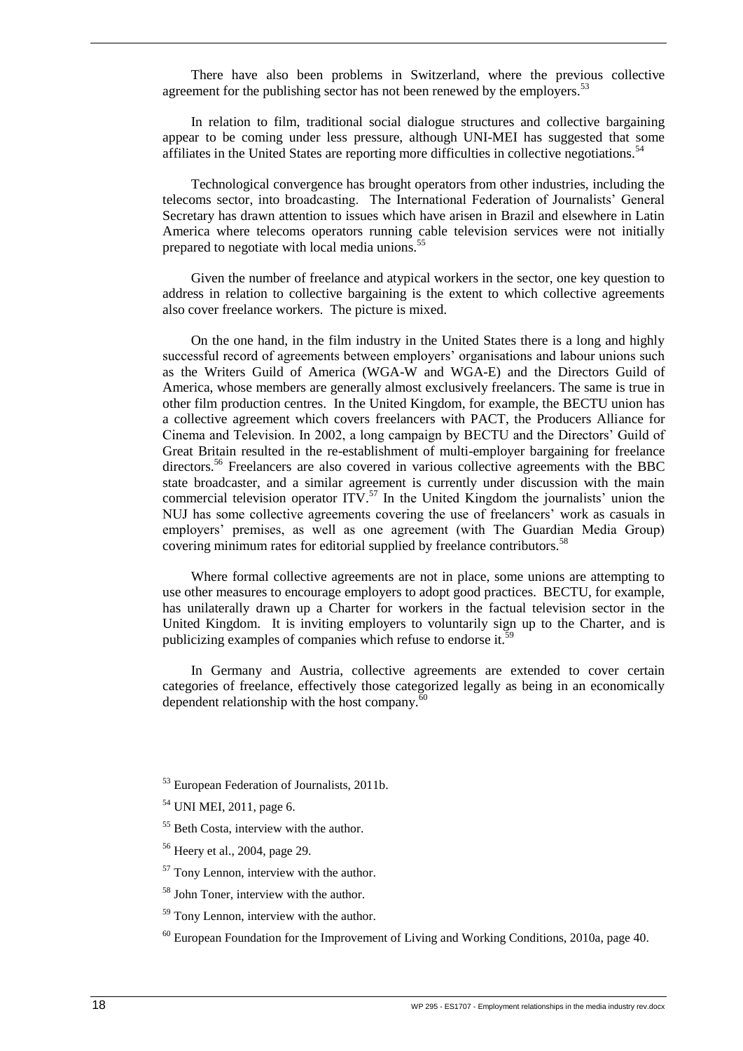There have also been problems in Switzerland, where the previous collective agreement for the publishing sector has not been renewed by the employers.<sup>53</sup>

In relation to film, traditional social dialogue structures and collective bargaining appear to be coming under less pressure, although UNI-MEI has suggested that some affiliates in the United States are reporting more difficulties in collective negotiations.<sup>54</sup>

Technological convergence has brought operators from other industries, including the telecoms sector, into broadcasting. The International Federation of Journalists' General Secretary has drawn attention to issues which have arisen in Brazil and elsewhere in Latin America where telecoms operators running cable television services were not initially prepared to negotiate with local media unions.<sup>55</sup>

Given the number of freelance and atypical workers in the sector, one key question to address in relation to collective bargaining is the extent to which collective agreements also cover freelance workers. The picture is mixed.

On the one hand, in the film industry in the United States there is a long and highly successful record of agreements between employers' organisations and labour unions such as the Writers Guild of America (WGA-W and WGA-E) and the Directors Guild of America, whose members are generally almost exclusively freelancers. The same is true in other film production centres. In the United Kingdom, for example, the BECTU union has a collective agreement which covers freelancers with PACT, the Producers Alliance for Cinema and Television. In 2002, a long campaign by BECTU and the Directors' Guild of Great Britain resulted in the re-establishment of multi-employer bargaining for freelance directors.<sup>56</sup> Freelancers are also covered in various collective agreements with the BBC state broadcaster, and a similar agreement is currently under discussion with the main commercial television operator  $ITV$ .<sup>57</sup> In the United Kingdom the journalists' union the NUJ has some collective agreements covering the use of freelancers' work as casuals in employers' premises, as well as one agreement (with The Guardian Media Group) covering minimum rates for editorial supplied by freelance contributors.<sup>58</sup>

Where formal collective agreements are not in place, some unions are attempting to use other measures to encourage employers to adopt good practices. BECTU, for example, has unilaterally drawn up a Charter for workers in the factual television sector in the United Kingdom. It is inviting employers to voluntarily sign up to the Charter, and is publicizing examples of companies which refuse to endorse it.<sup>5</sup>

In Germany and Austria, collective agreements are extended to cover certain categories of freelance, effectively those categorized legally as being in an economically dependent relationship with the host company. $60$ 

<sup>53</sup> European Federation of Journalists, 2011b.

<sup>54</sup> UNI MEI, 2011, page 6.

<sup>&</sup>lt;sup>55</sup> Beth Costa, interview with the author.

<sup>56</sup> Heery et al., 2004, page 29.

 $57$  Tony Lennon, interview with the author.

<sup>58</sup> John Toner, interview with the author.

 $59$  Tony Lennon, interview with the author.

 $60$  European Foundation for the Improvement of Living and Working Conditions, 2010a, page 40.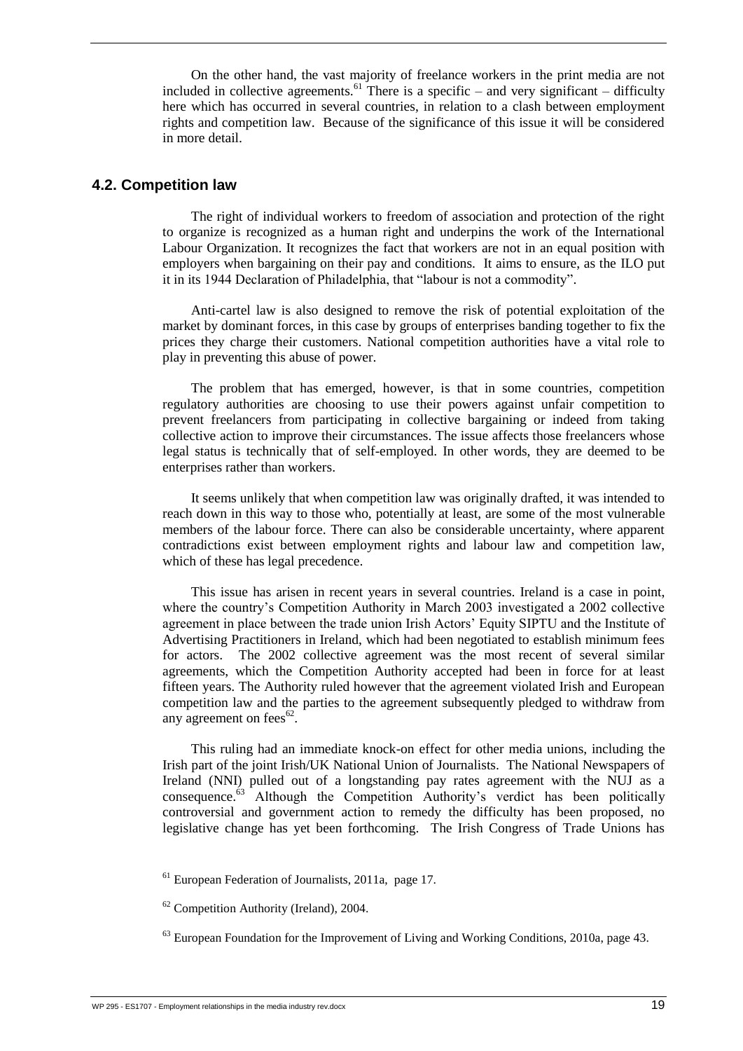On the other hand, the vast majority of freelance workers in the print media are not included in collective agreements.<sup>61</sup> There is a specific – and very significant – difficulty here which has occurred in several countries, in relation to a clash between employment rights and competition law. Because of the significance of this issue it will be considered in more detail.

#### <span id="page-29-0"></span>**4.2. Competition law**

The right of individual workers to freedom of association and protection of the right to organize is recognized as a human right and underpins the work of the International Labour Organization. It recognizes the fact that workers are not in an equal position with employers when bargaining on their pay and conditions. It aims to ensure, as the ILO put it in its 1944 Declaration of Philadelphia, that "labour is not a commodity".

Anti-cartel law is also designed to remove the risk of potential exploitation of the market by dominant forces, in this case by groups of enterprises banding together to fix the prices they charge their customers. National competition authorities have a vital role to play in preventing this abuse of power.

The problem that has emerged, however, is that in some countries, competition regulatory authorities are choosing to use their powers against unfair competition to prevent freelancers from participating in collective bargaining or indeed from taking collective action to improve their circumstances. The issue affects those freelancers whose legal status is technically that of self-employed. In other words, they are deemed to be enterprises rather than workers.

It seems unlikely that when competition law was originally drafted, it was intended to reach down in this way to those who, potentially at least, are some of the most vulnerable members of the labour force. There can also be considerable uncertainty, where apparent contradictions exist between employment rights and labour law and competition law, which of these has legal precedence.

This issue has arisen in recent years in several countries. Ireland is a case in point, where the country's Competition Authority in March 2003 investigated a 2002 collective agreement in place between the trade union Irish Actors' Equity SIPTU and the Institute of Advertising Practitioners in Ireland, which had been negotiated to establish minimum fees for actors. The 2002 collective agreement was the most recent of several similar agreements, which the Competition Authority accepted had been in force for at least fifteen years. The Authority ruled however that the agreement violated Irish and European competition law and the parties to the agreement subsequently pledged to withdraw from any agreement on fees $62$ .

This ruling had an immediate knock-on effect for other media unions, including the Irish part of the joint Irish/UK National Union of Journalists. The National Newspapers of Ireland (NNI) pulled out of a longstanding pay rates agreement with the NUJ as a consequence.<sup>63</sup> Although the Competition Authority's verdict has been politically controversial and government action to remedy the difficulty has been proposed, no legislative change has yet been forthcoming. The Irish Congress of Trade Unions has

<sup>61</sup> European Federation of Journalists, 2011a, page 17.

 $62$  Competition Authority (Ireland), 2004.

 $^{63}$  European Foundation for the Improvement of Living and Working Conditions, 2010a, page 43.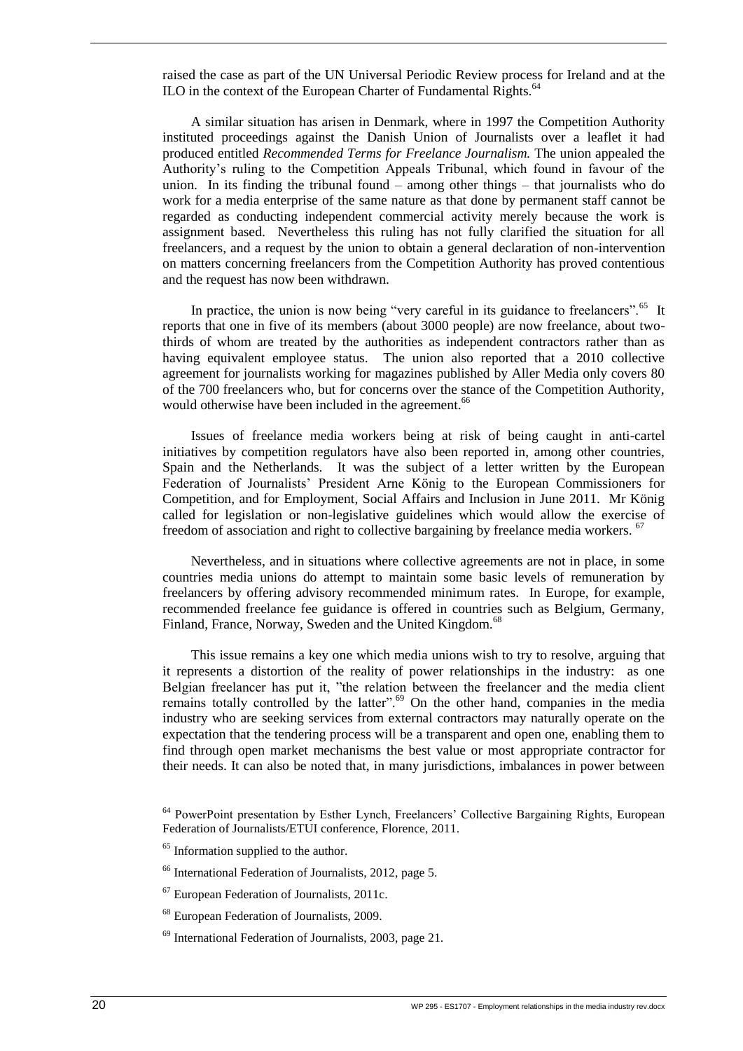raised the case as part of the UN Universal Periodic Review process for Ireland and at the  $\overline{I}$ ILO in the context of the European Charter of Fundamental Rights.<sup>64</sup>

A similar situation has arisen in Denmark, where in 1997 the Competition Authority instituted proceedings against the Danish Union of Journalists over a leaflet it had produced entitled *Recommended Terms for Freelance Journalism.* The union appealed the Authority's ruling to the Competition Appeals Tribunal, which found in favour of the union. In its finding the tribunal found – among other things – that journalists who do work for a media enterprise of the same nature as that done by permanent staff cannot be regarded as conducting independent commercial activity merely because the work is assignment based. Nevertheless this ruling has not fully clarified the situation for all freelancers, and a request by the union to obtain a general declaration of non-intervention on matters concerning freelancers from the Competition Authority has proved contentious and the request has now been withdrawn.

In practice, the union is now being "very careful in its guidance to freelancers".<sup>65</sup> It reports that one in five of its members (about 3000 people) are now freelance, about twothirds of whom are treated by the authorities as independent contractors rather than as having equivalent employee status. The union also reported that a 2010 collective agreement for journalists working for magazines published by Aller Media only covers 80 of the 700 freelancers who, but for concerns over the stance of the Competition Authority, would otherwise have been included in the agreement.<sup>66</sup>

Issues of freelance media workers being at risk of being caught in anti-cartel initiatives by competition regulators have also been reported in, among other countries, Spain and the Netherlands. It was the subject of a letter written by the European Federation of Journalists' President Arne König to the European Commissioners for Competition, and for Employment, Social Affairs and Inclusion in June 2011. Mr König called for legislation or non-legislative guidelines which would allow the exercise of freedom of association and right to collective bargaining by freelance media workers. <sup>67</sup>

Nevertheless, and in situations where collective agreements are not in place, in some countries media unions do attempt to maintain some basic levels of remuneration by freelancers by offering advisory recommended minimum rates. In Europe, for example, recommended freelance fee guidance is offered in countries such as Belgium, Germany, Finland, France, Norway, Sweden and the United Kingdom.<sup>68</sup>

This issue remains a key one which media unions wish to try to resolve, arguing that it represents a distortion of the reality of power relationships in the industry: as one Belgian freelancer has put it, "the relation between the freelancer and the media client remains totally controlled by the latter".<sup>69</sup> On the other hand, companies in the media industry who are seeking services from external contractors may naturally operate on the expectation that the tendering process will be a transparent and open one, enabling them to find through open market mechanisms the best value or most appropriate contractor for their needs. It can also be noted that, in many jurisdictions, imbalances in power between

<sup>&</sup>lt;sup>64</sup> PowerPoint presentation by Esther Lynch, Freelancers' Collective Bargaining Rights, European Federation of Journalists/ETUI conference, Florence, 2011.

<sup>&</sup>lt;sup>65</sup> Information supplied to the author.

<sup>66</sup> International Federation of Journalists, 2012, page 5.

<sup>67</sup> European Federation of Journalists, 2011c.

<sup>68</sup> European Federation of Journalists, 2009.

<sup>69</sup> International Federation of Journalists, 2003, page 21.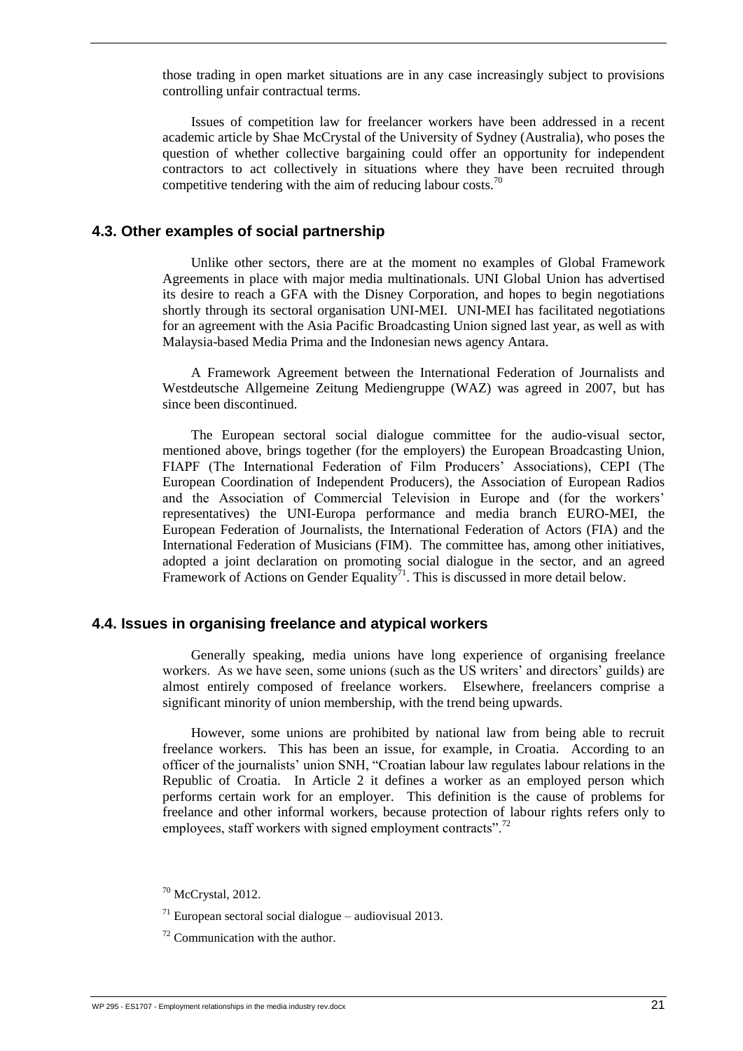those trading in open market situations are in any case increasingly subject to provisions controlling unfair contractual terms.

Issues of competition law for freelancer workers have been addressed in a recent academic article by Shae McCrystal of the University of Sydney (Australia), who poses the question of whether collective bargaining could offer an opportunity for independent contractors to act collectively in situations where they have been recruited through competitive tendering with the aim of reducing labour costs.<sup>70</sup>

#### <span id="page-31-0"></span>**4.3. Other examples of social partnership**

Unlike other sectors, there are at the moment no examples of Global Framework Agreements in place with major media multinationals. UNI Global Union has advertised its desire to reach a GFA with the Disney Corporation, and hopes to begin negotiations shortly through its sectoral organisation UNI-MEI. UNI-MEI has facilitated negotiations for an agreement with the Asia Pacific Broadcasting Union signed last year, as well as with Malaysia-based Media Prima and the Indonesian news agency Antara.

A Framework Agreement between the International Federation of Journalists and Westdeutsche Allgemeine Zeitung Mediengruppe (WAZ) was agreed in 2007, but has since been discontinued.

The European sectoral social dialogue committee for the audio-visual sector, mentioned above, brings together (for the employers) the European Broadcasting Union, FIAPF (The International Federation of Film Producers' Associations), CEPI (The European Coordination of Independent Producers), the Association of European Radios and the Association of Commercial Television in Europe and (for the workers' representatives) the UNI-Europa performance and media branch EURO-MEI, the European Federation of Journalists, the International Federation of Actors (FIA) and the International Federation of Musicians (FIM). The committee has, among other initiatives, adopted a joint declaration on promoting social dialogue in the sector, and an agreed Framework of Actions on Gender Equality<sup>71</sup>. This is discussed in more detail below.

#### <span id="page-31-1"></span>**4.4. Issues in organising freelance and atypical workers**

Generally speaking, media unions have long experience of organising freelance workers. As we have seen, some unions (such as the US writers' and directors' guilds) are almost entirely composed of freelance workers. Elsewhere, freelancers comprise a significant minority of union membership, with the trend being upwards.

However, some unions are prohibited by national law from being able to recruit freelance workers. This has been an issue, for example, in Croatia. According to an officer of the journalists' union SNH, "Croatian labour law regulates labour relations in the Republic of Croatia. In Article 2 it defines a worker as an employed person which performs certain work for an employer. This definition is the cause of problems for freelance and other informal workers, because protection of labour rights refers only to employees, staff workers with signed employment contracts".<sup>72</sup>

 $70$  McCrystal, 2012.

 $171$  European sectoral social dialogue – audiovisual 2013.

 $72$  Communication with the author.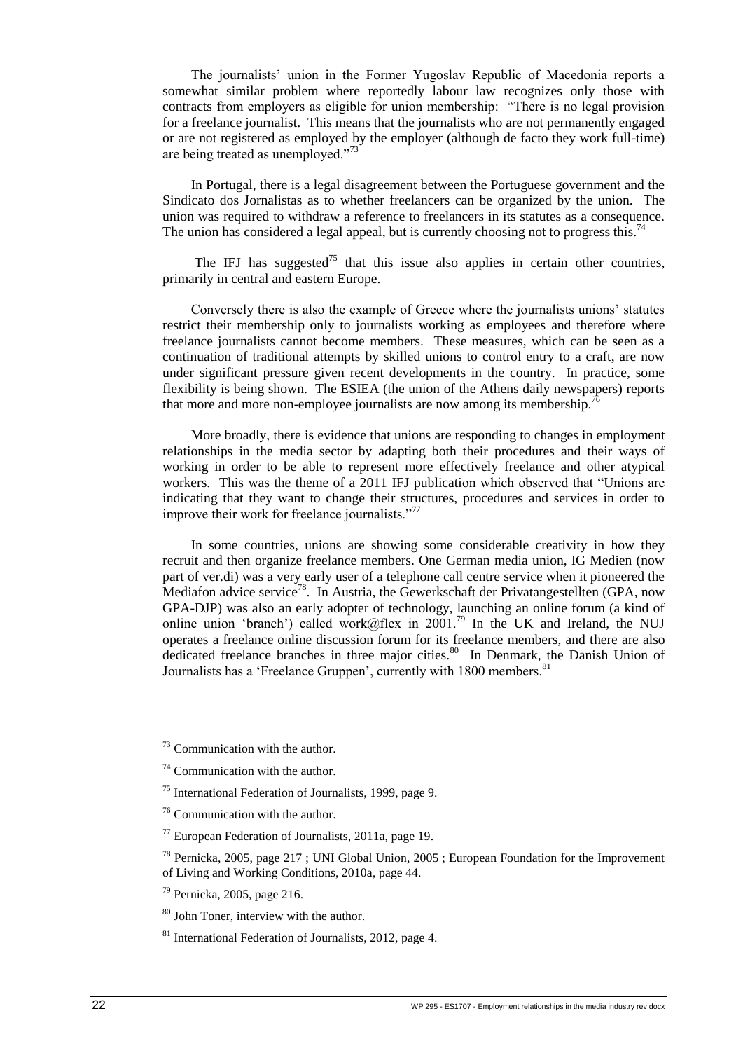The journalists' union in the Former Yugoslav Republic of Macedonia reports a somewhat similar problem where reportedly labour law recognizes only those with contracts from employers as eligible for union membership: "There is no legal provision for a freelance journalist. This means that the journalists who are not permanently engaged or are not registered as employed by the employer (although de facto they work full-time) are being treated as unemployed."<sup>73</sup>

In Portugal, there is a legal disagreement between the Portuguese government and the Sindicato dos Jornalistas as to whether freelancers can be organized by the union. The union was required to withdraw a reference to freelancers in its statutes as a consequence. The union has considered a legal appeal, but is currently choosing not to progress this.<sup>74</sup>

The IFJ has suggested<sup>75</sup> that this issue also applies in certain other countries, primarily in central and eastern Europe.

Conversely there is also the example of Greece where the journalists unions' statutes restrict their membership only to journalists working as employees and therefore where freelance journalists cannot become members. These measures, which can be seen as a continuation of traditional attempts by skilled unions to control entry to a craft, are now under significant pressure given recent developments in the country. In practice, some flexibility is being shown. The ESIEA (the union of the Athens daily newspapers) reports that more and more non-employee journalists are now among its membership.<sup>7</sup>

More broadly, there is evidence that unions are responding to changes in employment relationships in the media sector by adapting both their procedures and their ways of working in order to be able to represent more effectively freelance and other atypical workers. This was the theme of a 2011 IFJ publication which observed that "Unions are indicating that they want to change their structures, procedures and services in order to improve their work for freelance journalists."<sup>77</sup>

In some countries, unions are showing some considerable creativity in how they recruit and then organize freelance members. One German media union, IG Medien (now part of ver.di) was a very early user of a telephone call centre service when it pioneered the Mediafon advice service<sup>78</sup>. In Austria, the Gewerkschaft der Privatangestellten (GPA, now GPA-DJP) was also an early adopter of technology, launching an online forum (a kind of online union 'branch') called work@flex in 2001.<sup>79</sup> In the UK and Ireland, the NUJ operates a freelance online discussion forum for its freelance members, and there are also dedicated freelance branches in three major cities.<sup>80</sup> In Denmark, the Danish Union of Journalists has a 'Freelance Gruppen', currently with 1800 members.<sup>81</sup>

 $73$  Communication with the author.

 $74$  Communication with the author.

<sup>75</sup> International Federation of Journalists, 1999, page 9.

<sup>76</sup> Communication with the author.

 $77$  European Federation of Journalists, 2011a, page 19.

 $78$  Pernicka, 2005, page 217; UNI Global Union, 2005; European Foundation for the Improvement of Living and Working Conditions, 2010a, page 44.

<sup>79</sup> Pernicka, 2005, page 216.

<sup>80</sup> John Toner, interview with the author.

<sup>81</sup> International Federation of Journalists, 2012, page 4.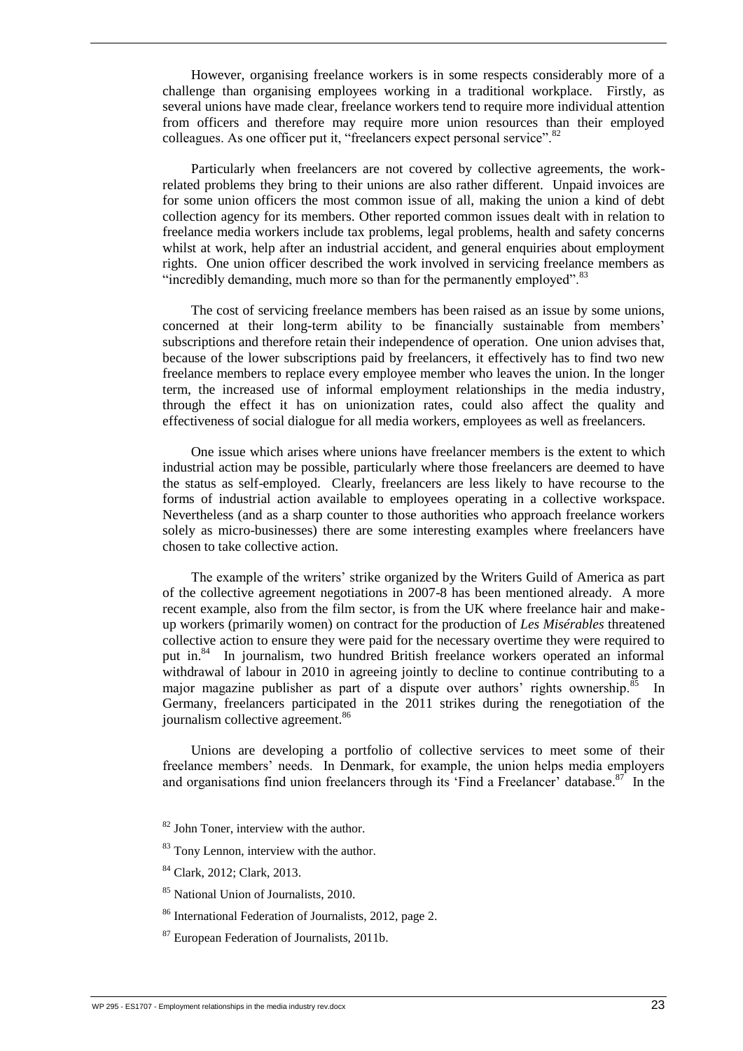However, organising freelance workers is in some respects considerably more of a challenge than organising employees working in a traditional workplace. Firstly, as several unions have made clear, freelance workers tend to require more individual attention from officers and therefore may require more union resources than their employed colleagues. As one officer put it, "freelancers expect personal service".<sup>82</sup>

Particularly when freelancers are not covered by collective agreements, the workrelated problems they bring to their unions are also rather different. Unpaid invoices are for some union officers the most common issue of all, making the union a kind of debt collection agency for its members. Other reported common issues dealt with in relation to freelance media workers include tax problems, legal problems, health and safety concerns whilst at work, help after an industrial accident, and general enquiries about employment rights. One union officer described the work involved in servicing freelance members as "incredibly demanding, much more so than for the permanently employed".<sup>83</sup>

The cost of servicing freelance members has been raised as an issue by some unions, concerned at their long-term ability to be financially sustainable from members' subscriptions and therefore retain their independence of operation. One union advises that, because of the lower subscriptions paid by freelancers, it effectively has to find two new freelance members to replace every employee member who leaves the union. In the longer term, the increased use of informal employment relationships in the media industry, through the effect it has on unionization rates, could also affect the quality and effectiveness of social dialogue for all media workers, employees as well as freelancers.

One issue which arises where unions have freelancer members is the extent to which industrial action may be possible, particularly where those freelancers are deemed to have the status as self-employed. Clearly, freelancers are less likely to have recourse to the forms of industrial action available to employees operating in a collective workspace. Nevertheless (and as a sharp counter to those authorities who approach freelance workers solely as micro-businesses) there are some interesting examples where freelancers have chosen to take collective action.

The example of the writers' strike organized by the Writers Guild of America as part of the collective agreement negotiations in 2007-8 has been mentioned already. A more recent example, also from the film sector, is from the UK where freelance hair and makeup workers (primarily women) on contract for the production of *Les Misérables* threatened collective action to ensure they were paid for the necessary overtime they were required to put in.<sup>84</sup> In journalism, two hundred British freelance workers operated an informal withdrawal of labour in 2010 in agreeing jointly to decline to continue contributing to a major magazine publisher as part of a dispute over authors' rights ownership.<sup>85</sup> In Germany, freelancers participated in the 2011 strikes during the renegotiation of the journalism collective agreement.<sup>86</sup>

Unions are developing a portfolio of collective services to meet some of their freelance members' needs. In Denmark, for example, the union helps media employers and organisations find union freelancers through its 'Find a Freelancer' database.<sup>87</sup> In the

- $82$  John Toner, interview with the author.
- <sup>83</sup> Tony Lennon, interview with the author.
- <sup>84</sup> Clark, 2012; Clark, 2013.
- <sup>85</sup> National Union of Journalists, 2010.
- <sup>86</sup> International Federation of Journalists, 2012, page 2.
- <sup>87</sup> European Federation of Journalists, 2011b.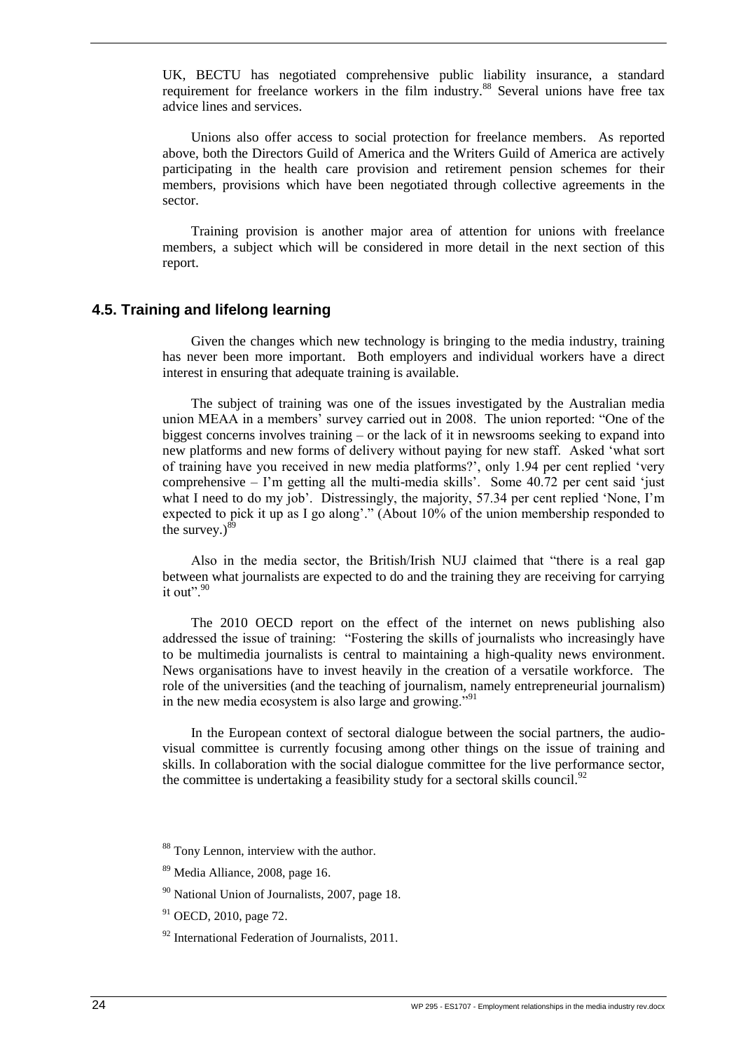UK, BECTU has negotiated comprehensive public liability insurance, a standard requirement for freelance workers in the film industry.<sup>88</sup> Several unions have free tax advice lines and services.

Unions also offer access to social protection for freelance members. As reported above, both the Directors Guild of America and the Writers Guild of America are actively participating in the health care provision and retirement pension schemes for their members, provisions which have been negotiated through collective agreements in the sector.

Training provision is another major area of attention for unions with freelance members, a subject which will be considered in more detail in the next section of this report.

#### <span id="page-34-0"></span>**4.5. Training and lifelong learning**

Given the changes which new technology is bringing to the media industry, training has never been more important. Both employers and individual workers have a direct interest in ensuring that adequate training is available.

The subject of training was one of the issues investigated by the Australian media union MEAA in a members' survey carried out in 2008. The union reported: "One of the biggest concerns involves training – or the lack of it in newsrooms seeking to expand into new platforms and new forms of delivery without paying for new staff. Asked 'what sort of training have you received in new media platforms?', only 1.94 per cent replied 'very comprehensive – I'm getting all the multi-media skills'. Some 40.72 per cent said 'just what I need to do my job'. Distressingly, the majority, 57.34 per cent replied 'None, I'm expected to pick it up as I go along'." (About 10% of the union membership responded to the survey. $)^8$ 

Also in the media sector, the British/Irish NUJ claimed that "there is a real gap between what journalists are expected to do and the training they are receiving for carrying it out".<sup>90</sup>

The 2010 OECD report on the effect of the internet on news publishing also addressed the issue of training: "Fostering the skills of journalists who increasingly have to be multimedia journalists is central to maintaining a high-quality news environment. News organisations have to invest heavily in the creation of a versatile workforce. The role of the universities (and the teaching of journalism, namely entrepreneurial journalism) in the new media ecosystem is also large and growing."<sup>91</sup>

In the European context of sectoral dialogue between the social partners, the audiovisual committee is currently focusing among other things on the issue of training and skills. In collaboration with the social dialogue committee for the live performance sector, the committee is undertaking a feasibility study for a sectoral skills council.<sup>92</sup>

<sup>&</sup>lt;sup>88</sup> Tony Lennon, interview with the author.

<sup>89</sup> Media Alliance, 2008, page 16.

<sup>90</sup> National Union of Journalists, 2007, page 18.

<sup>&</sup>lt;sup>91</sup> OECD, 2010, page 72.

 $92$  International Federation of Journalists, 2011.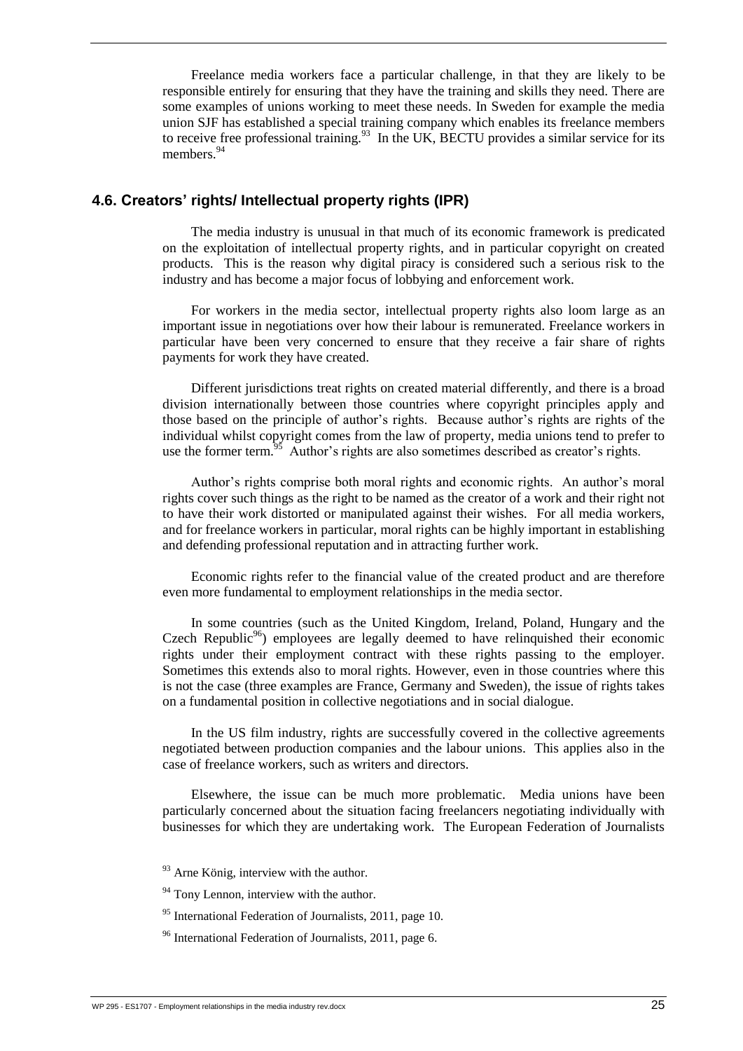Freelance media workers face a particular challenge, in that they are likely to be responsible entirely for ensuring that they have the training and skills they need. There are some examples of unions working to meet these needs. In Sweden for example the media union SJF has established a special training company which enables its freelance members to receive free professional training.<sup>93</sup> In the UK, BECTU provides a similar service for its members.<sup>94</sup>

#### <span id="page-35-0"></span>**4.6. Creators' rights/ Intellectual property rights (IPR)**

The media industry is unusual in that much of its economic framework is predicated on the exploitation of intellectual property rights, and in particular copyright on created products. This is the reason why digital piracy is considered such a serious risk to the industry and has become a major focus of lobbying and enforcement work.

For workers in the media sector, intellectual property rights also loom large as an important issue in negotiations over how their labour is remunerated. Freelance workers in particular have been very concerned to ensure that they receive a fair share of rights payments for work they have created.

Different jurisdictions treat rights on created material differently, and there is a broad division internationally between those countries where copyright principles apply and those based on the principle of author's rights. Because author's rights are rights of the individual whilst copyright comes from the law of property, media unions tend to prefer to use the former term.<sup>95</sup> Author's rights are also sometimes described as creator's rights.

Author's rights comprise both moral rights and economic rights. An author's moral rights cover such things as the right to be named as the creator of a work and their right not to have their work distorted or manipulated against their wishes. For all media workers, and for freelance workers in particular, moral rights can be highly important in establishing and defending professional reputation and in attracting further work.

Economic rights refer to the financial value of the created product and are therefore even more fundamental to employment relationships in the media sector.

In some countries (such as the United Kingdom, Ireland, Poland, Hungary and the Czech Republic<sup>96</sup>) employees are legally deemed to have relinquished their economic rights under their employment contract with these rights passing to the employer. Sometimes this extends also to moral rights. However, even in those countries where this is not the case (three examples are France, Germany and Sweden), the issue of rights takes on a fundamental position in collective negotiations and in social dialogue.

In the US film industry, rights are successfully covered in the collective agreements negotiated between production companies and the labour unions. This applies also in the case of freelance workers, such as writers and directors.

Elsewhere, the issue can be much more problematic. Media unions have been particularly concerned about the situation facing freelancers negotiating individually with businesses for which they are undertaking work. The European Federation of Journalists

- $93$  Arne König, interview with the author.
- <sup>94</sup> Tony Lennon, interview with the author.
- <sup>95</sup> International Federation of Journalists, 2011, page 10.
- <sup>96</sup> International Federation of Journalists, 2011, page 6.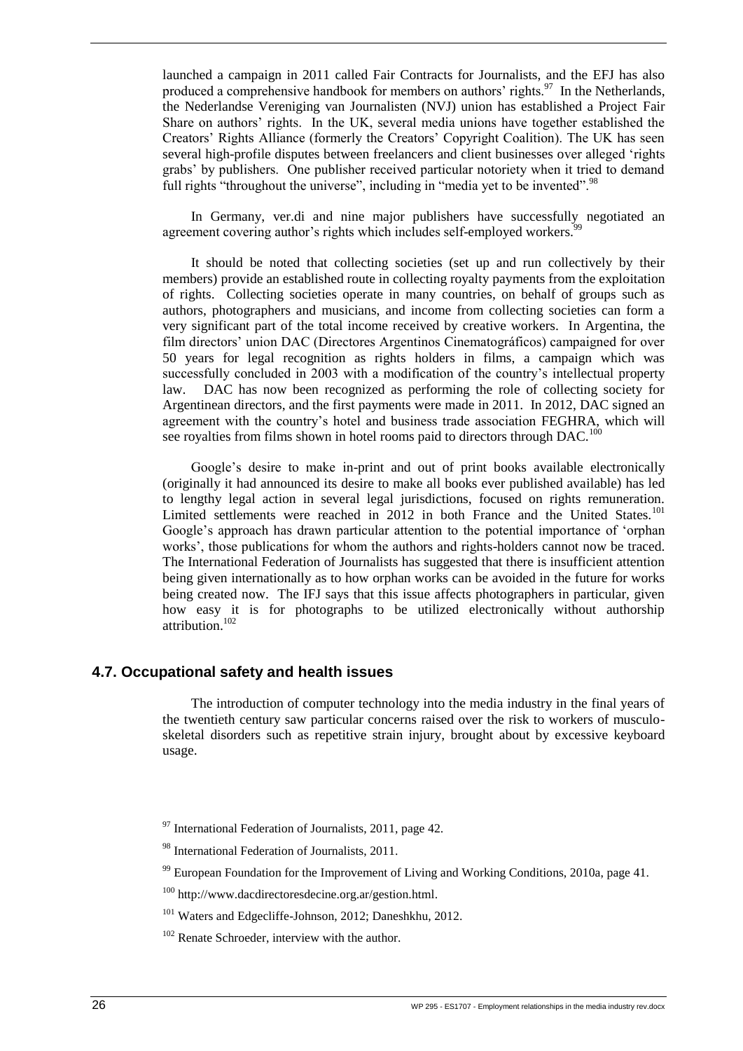launched a campaign in 2011 called Fair Contracts for Journalists, and the EFJ has also produced a comprehensive handbook for members on authors' rights.<sup>97</sup> In the Netherlands, the Nederlandse Vereniging van Journalisten (NVJ) union has established a Project Fair Share on authors' rights. In the UK, several media unions have together established the Creators' Rights Alliance (formerly the Creators' Copyright Coalition). The UK has seen several high-profile disputes between freelancers and client businesses over alleged 'rights grabs' by publishers. One publisher received particular notoriety when it tried to demand full rights "throughout the universe", including in "media yet to be invented".<sup>98</sup>

In Germany, ver.di and nine major publishers have successfully negotiated an agreement covering author's rights which includes self-employed workers.

It should be noted that collecting societies (set up and run collectively by their members) provide an established route in collecting royalty payments from the exploitation of rights. Collecting societies operate in many countries, on behalf of groups such as authors, photographers and musicians, and income from collecting societies can form a very significant part of the total income received by creative workers. In Argentina, the film directors' union DAC (Directores Argentinos Cinematográficos) campaigned for over 50 years for legal recognition as rights holders in films, a campaign which was successfully concluded in 2003 with a modification of the country's intellectual property law. DAC has now been recognized as performing the role of collecting society for Argentinean directors, and the first payments were made in 2011. In 2012, DAC signed an agreement with the country's hotel and business trade association FEGHRA, which will see royalties from films shown in hotel rooms paid to directors through DAC.<sup>100</sup>

Google's desire to make in-print and out of print books available electronically (originally it had announced its desire to make all books ever published available) has led to lengthy legal action in several legal jurisdictions, focused on rights remuneration. Limited settlements were reached in 2012 in both France and the United States.<sup>101</sup> Google's approach has drawn particular attention to the potential importance of 'orphan works', those publications for whom the authors and rights-holders cannot now be traced. The International Federation of Journalists has suggested that there is insufficient attention being given internationally as to how orphan works can be avoided in the future for works being created now. The IFJ says that this issue affects photographers in particular, given how easy it is for photographs to be utilized electronically without authorship  $\frac{102}{\text{attribution}}$ <sup>102</sup>

#### <span id="page-36-0"></span>**4.7. Occupational safety and health issues**

The introduction of computer technology into the media industry in the final years of the twentieth century saw particular concerns raised over the risk to workers of musculoskeletal disorders such as repetitive strain injury, brought about by excessive keyboard usage.

 $97$  International Federation of Journalists, 2011, page 42.

<sup>98</sup> International Federation of Journalists, 2011.

 $99$  European Foundation for the Improvement of Living and Working Conditions, 2010a, page 41.

<sup>100</sup> http://www.dacdirectoresdecine.org.ar/gestion.html.

<sup>101</sup> Waters and Edgecliffe-Johnson, 2012; Daneshkhu, 2012.

<sup>102</sup> Renate Schroeder, interview with the author.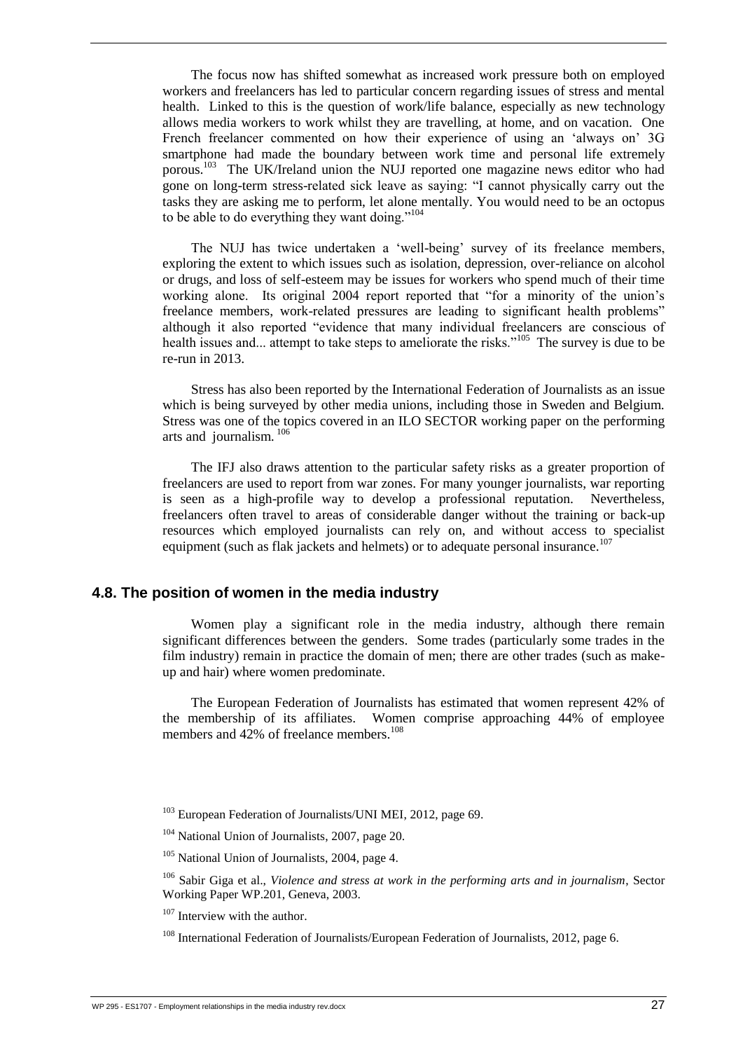The focus now has shifted somewhat as increased work pressure both on employed workers and freelancers has led to particular concern regarding issues of stress and mental health. Linked to this is the question of work/life balance, especially as new technology allows media workers to work whilst they are travelling, at home, and on vacation. One French freelancer commented on how their experience of using an 'always on' 3G smartphone had made the boundary between work time and personal life extremely porous.<sup>103</sup> The UK/Ireland union the NUJ reported one magazine news editor who had gone on long-term stress-related sick leave as saying: "I cannot physically carry out the tasks they are asking me to perform, let alone mentally. You would need to be an octopus to be able to do everything they want doing."<sup>104</sup>

The NUJ has twice undertaken a 'well-being' survey of its freelance members, exploring the extent to which issues such as isolation, depression, over-reliance on alcohol or drugs, and loss of self-esteem may be issues for workers who spend much of their time working alone. Its original 2004 report reported that "for a minority of the union's freelance members, work-related pressures are leading to significant health problems" although it also reported "evidence that many individual freelancers are conscious of health issues and... attempt to take steps to ameliorate the risks."<sup>105</sup> The survey is due to be re-run in 2013.

Stress has also been reported by the International Federation of Journalists as an issue which is being surveyed by other media unions, including those in Sweden and Belgium. Stress was one of the topics covered in an ILO SECTOR working paper on the performing arts and journalism*.* 106

The IFJ also draws attention to the particular safety risks as a greater proportion of freelancers are used to report from war zones. For many younger journalists, war reporting is seen as a high-profile way to develop a professional reputation. Nevertheless, freelancers often travel to areas of considerable danger without the training or back-up resources which employed journalists can rely on, and without access to specialist equipment (such as flak jackets and helmets) or to adequate personal insurance.<sup>107</sup>

#### <span id="page-37-0"></span>**4.8. The position of women in the media industry**

Women play a significant role in the media industry, although there remain significant differences between the genders. Some trades (particularly some trades in the film industry) remain in practice the domain of men; there are other trades (such as makeup and hair) where women predominate.

The European Federation of Journalists has estimated that women represent 42% of the membership of its affiliates. Women comprise approaching 44% of employee members and  $42\%$  of freelance members.<sup>108</sup>

<sup>103</sup> European Federation of Journalists/UNI MEI, 2012, page 69.

<sup>104</sup> National Union of Journalists, 2007, page 20.

<sup>105</sup> National Union of Journalists, 2004, page 4.

<sup>106</sup> Sabir Giga et al., *Violence and stress at work in the performing arts and in journalism*, Sector Working Paper WP.201, Geneva, 2003.

<sup>107</sup> Interview with the author.

<sup>108</sup> International Federation of Journalists/European Federation of Journalists, 2012, page 6.

WP 295 - ES1707 - Employment relationships in the media industry rev.docx  $27$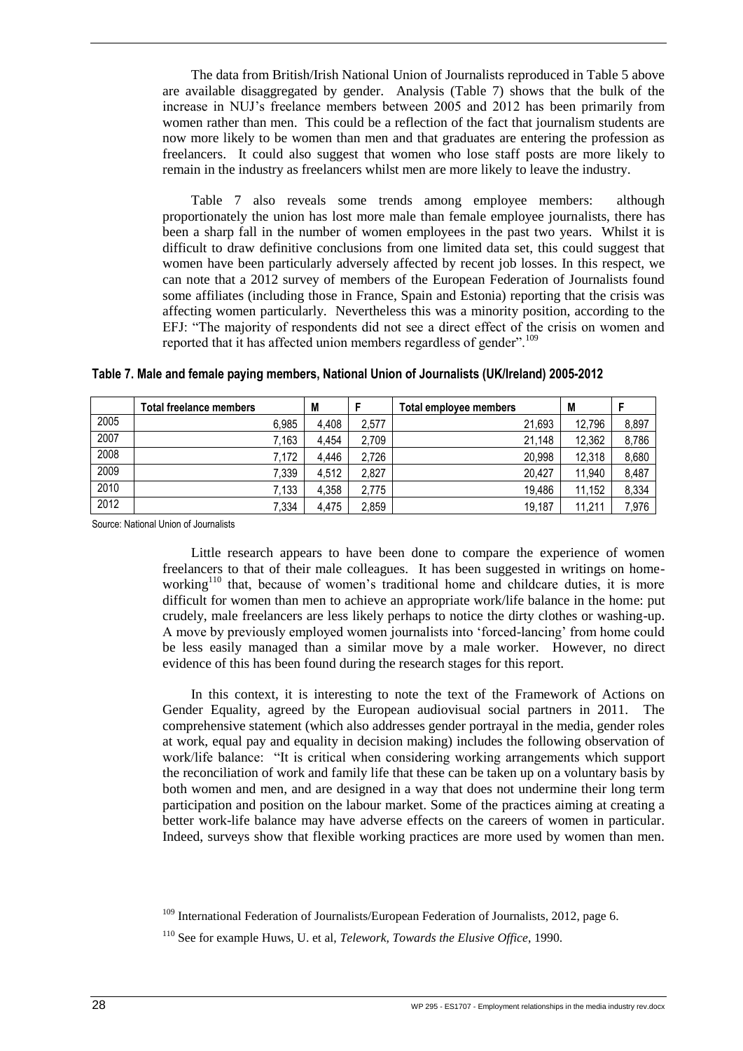The data from British/Irish National Union of Journalists reproduced in Table 5 above are available disaggregated by gender. Analysis (Table 7) shows that the bulk of the increase in NUJ's freelance members between 2005 and 2012 has been primarily from women rather than men. This could be a reflection of the fact that journalism students are now more likely to be women than men and that graduates are entering the profession as freelancers. It could also suggest that women who lose staff posts are more likely to remain in the industry as freelancers whilst men are more likely to leave the industry.

Table 7 also reveals some trends among employee members: although proportionately the union has lost more male than female employee journalists, there has been a sharp fall in the number of women employees in the past two years. Whilst it is difficult to draw definitive conclusions from one limited data set, this could suggest that women have been particularly adversely affected by recent job losses. In this respect, we can note that a 2012 survey of members of the European Federation of Journalists found some affiliates (including those in France, Spain and Estonia) reporting that the crisis was affecting women particularly. Nevertheless this was a minority position, according to the EFJ: "The majority of respondents did not see a direct effect of the crisis on women and reported that it has affected union members regardless of gender".<sup>109</sup>

|      | Total freelance members | M     |       | Total employee members | M      |       |
|------|-------------------------|-------|-------|------------------------|--------|-------|
| 2005 | 6.985                   | 4,408 | 2,577 | 21.693                 | 12.796 | 8,897 |
| 2007 | $^{\prime}$ , 163       | 4.454 | 2,709 | 21.148                 | 12.362 | 8,786 |
| 2008 | 7,172                   | 4,446 | 2,726 | 20.998                 | 12,318 | 8,680 |
| 2009 | 7,339                   | 4.512 | 2.827 | 20.427                 | 11.940 | 8,487 |
| 2010 | 7,133                   | 4.358 | 2.775 | 19.486                 | 11.152 | 8,334 |
| 2012 | 7,334                   | 4,475 | 2,859 | 19.187                 | 11.211 | 7,976 |

<span id="page-38-0"></span>**Table 7. Male and female paying members, National Union of Journalists (UK/Ireland) 2005-2012**

Source: National Union of Journalists

Little research appears to have been done to compare the experience of women freelancers to that of their male colleagues. It has been suggested in writings on homeworking<sup>110</sup> that, because of women's traditional home and childcare duties, it is more difficult for women than men to achieve an appropriate work/life balance in the home: put crudely, male freelancers are less likely perhaps to notice the dirty clothes or washing-up. A move by previously employed women journalists into 'forced-lancing' from home could be less easily managed than a similar move by a male worker. However, no direct evidence of this has been found during the research stages for this report.

In this context, it is interesting to note the text of the Framework of Actions on Gender Equality, agreed by the European audiovisual social partners in 2011. The comprehensive statement (which also addresses gender portrayal in the media, gender roles at work, equal pay and equality in decision making) includes the following observation of work/life balance: "It is critical when considering working arrangements which support the reconciliation of work and family life that these can be taken up on a voluntary basis by both women and men, and are designed in a way that does not undermine their long term participation and position on the labour market. Some of the practices aiming at creating a better work-life balance may have adverse effects on the careers of women in particular. Indeed, surveys show that flexible working practices are more used by women than men.

<sup>&</sup>lt;sup>109</sup> International Federation of Journalists/European Federation of Journalists, 2012, page 6.

<sup>110</sup> See for example Huws, U. et al, *Telework, Towards the Elusive Office*, 1990.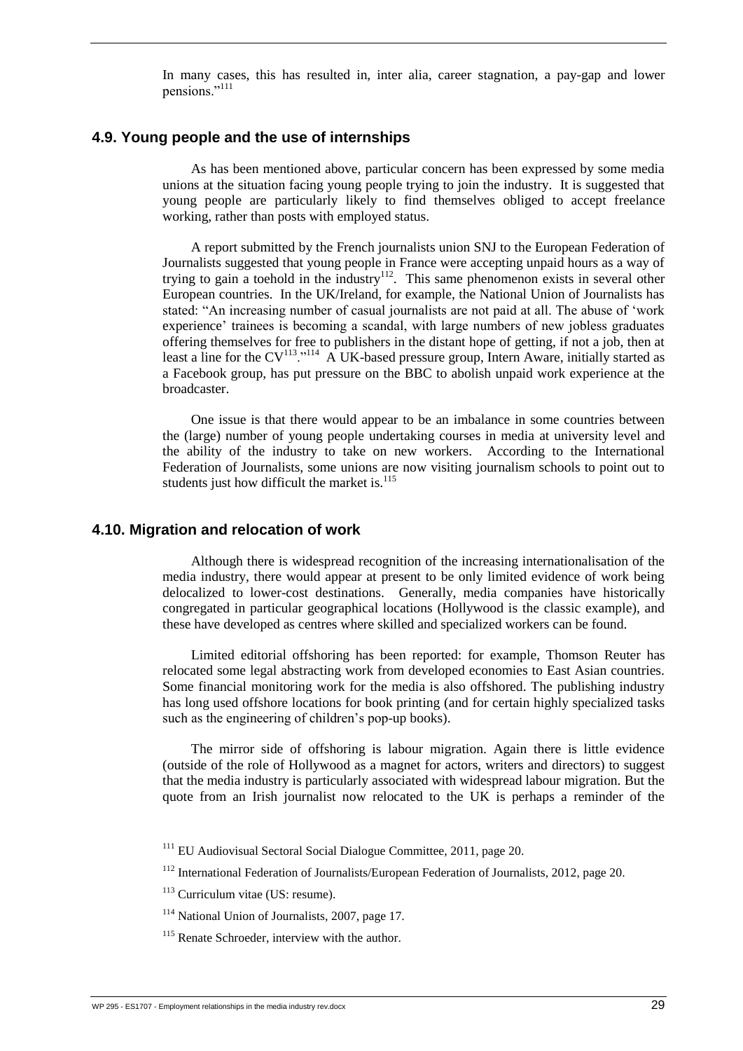In many cases, this has resulted in, inter alia, career stagnation, a pay-gap and lower pensions."<sup>111</sup>

#### <span id="page-39-0"></span>**4.9. Young people and the use of internships**

As has been mentioned above, particular concern has been expressed by some media unions at the situation facing young people trying to join the industry. It is suggested that young people are particularly likely to find themselves obliged to accept freelance working, rather than posts with employed status.

A report submitted by the French journalists union SNJ to the European Federation of Journalists suggested that young people in France were accepting unpaid hours as a way of trying to gain a toehold in the industry<sup>112</sup>. This same phenomenon exists in several other European countries. In the UK/Ireland, for example, the National Union of Journalists has stated: "An increasing number of casual journalists are not paid at all. The abuse of 'work experience' trainees is becoming a scandal, with large numbers of new jobless graduates offering themselves for free to publishers in the distant hope of getting, if not a job, then at least a line for the  $CV^{113}$ ."<sup>114</sup> A UK-based pressure group, Intern Aware, initially started as a Facebook group, has put pressure on the BBC to abolish unpaid work experience at the broadcaster.

One issue is that there would appear to be an imbalance in some countries between the (large) number of young people undertaking courses in media at university level and the ability of the industry to take on new workers. According to the International Federation of Journalists, some unions are now visiting journalism schools to point out to students just how difficult the market is. $115$ 

#### <span id="page-39-1"></span>**4.10. Migration and relocation of work**

Although there is widespread recognition of the increasing internationalisation of the media industry, there would appear at present to be only limited evidence of work being delocalized to lower-cost destinations. Generally, media companies have historically congregated in particular geographical locations (Hollywood is the classic example), and these have developed as centres where skilled and specialized workers can be found.

Limited editorial offshoring has been reported: for example, Thomson Reuter has relocated some legal abstracting work from developed economies to East Asian countries. Some financial monitoring work for the media is also offshored. The publishing industry has long used offshore locations for book printing (and for certain highly specialized tasks such as the engineering of children's pop-up books).

The mirror side of offshoring is labour migration. Again there is little evidence (outside of the role of Hollywood as a magnet for actors, writers and directors) to suggest that the media industry is particularly associated with widespread labour migration. But the quote from an Irish journalist now relocated to the UK is perhaps a reminder of the

 $111$  EU Audiovisual Sectoral Social Dialogue Committee, 2011, page 20.

<sup>112</sup> International Federation of Journalists/European Federation of Journalists, 2012, page 20.

 $113$  Curriculum vitae (US: resume).

<sup>114</sup> National Union of Journalists, 2007, page 17.

<sup>&</sup>lt;sup>115</sup> Renate Schroeder, interview with the author.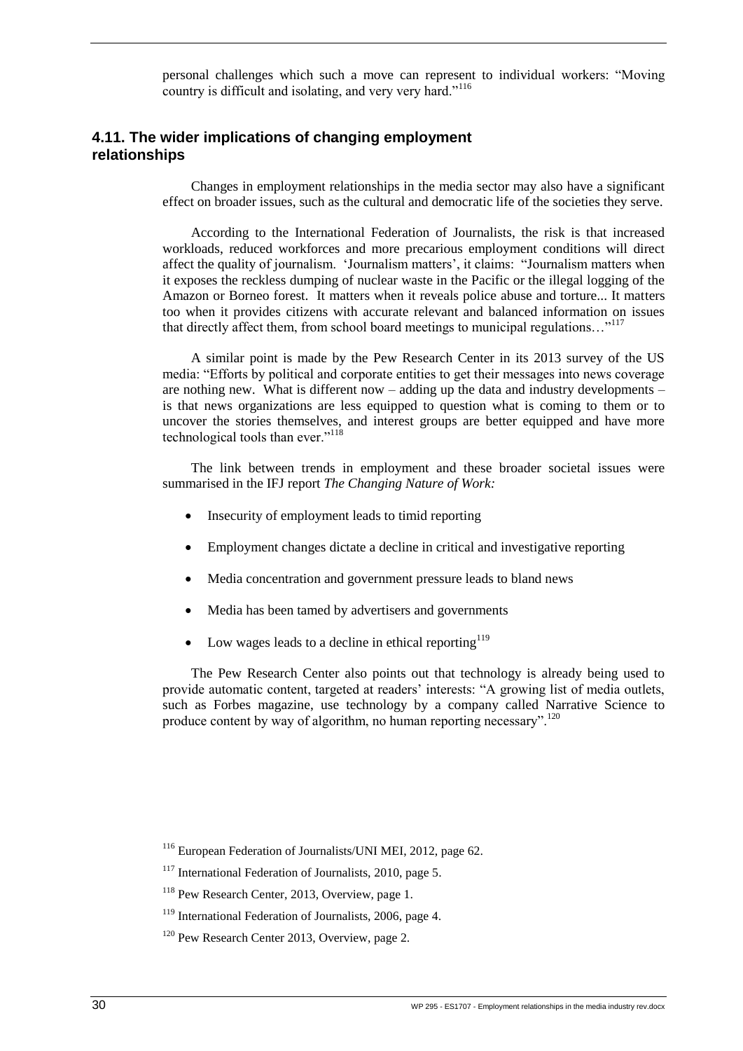personal challenges which such a move can represent to individual workers: "Moving country is difficult and isolating, and very very hard."<sup>116</sup>

#### <span id="page-40-0"></span>**4.11. The wider implications of changing employment relationships**

Changes in employment relationships in the media sector may also have a significant effect on broader issues, such as the cultural and democratic life of the societies they serve.

According to the International Federation of Journalists, the risk is that increased workloads, reduced workforces and more precarious employment conditions will direct affect the quality of journalism. 'Journalism matters', it claims: "Journalism matters when it exposes the reckless dumping of nuclear waste in the Pacific or the illegal logging of the Amazon or Borneo forest. It matters when it reveals police abuse and torture... It matters too when it provides citizens with accurate relevant and balanced information on issues that directly affect them, from school board meetings to municipal regulations…"<sup>117</sup>

A similar point is made by the Pew Research Center in its 2013 survey of the US media: "Efforts by political and corporate entities to get their messages into news coverage are nothing new. What is different now – adding up the data and industry developments – is that news organizations are less equipped to question what is coming to them or to uncover the stories themselves, and interest groups are better equipped and have more technological tools than ever."<sup>118</sup>

The link between trends in employment and these broader societal issues were summarised in the IFJ report *The Changing Nature of Work:*

- Insecurity of employment leads to timid reporting
- Employment changes dictate a decline in critical and investigative reporting
- Media concentration and government pressure leads to bland news
- Media has been tamed by advertisers and governments
- Low wages leads to a decline in ethical reporting  $119$

The Pew Research Center also points out that technology is already being used to provide automatic content, targeted at readers' interests: "A growing list of media outlets, such as Forbes magazine, use technology by a company called Narrative Science to produce content by way of algorithm, no human reporting necessary".<sup>120</sup>

<sup>116</sup> European Federation of Journalists/UNI MEI, 2012, page 62.

 $117$  International Federation of Journalists, 2010, page 5.

<sup>&</sup>lt;sup>118</sup> Pew Research Center, 2013, Overview, page 1.

 $119$  International Federation of Journalists, 2006, page 4.

<sup>&</sup>lt;sup>120</sup> Pew Research Center 2013, Overview, page 2.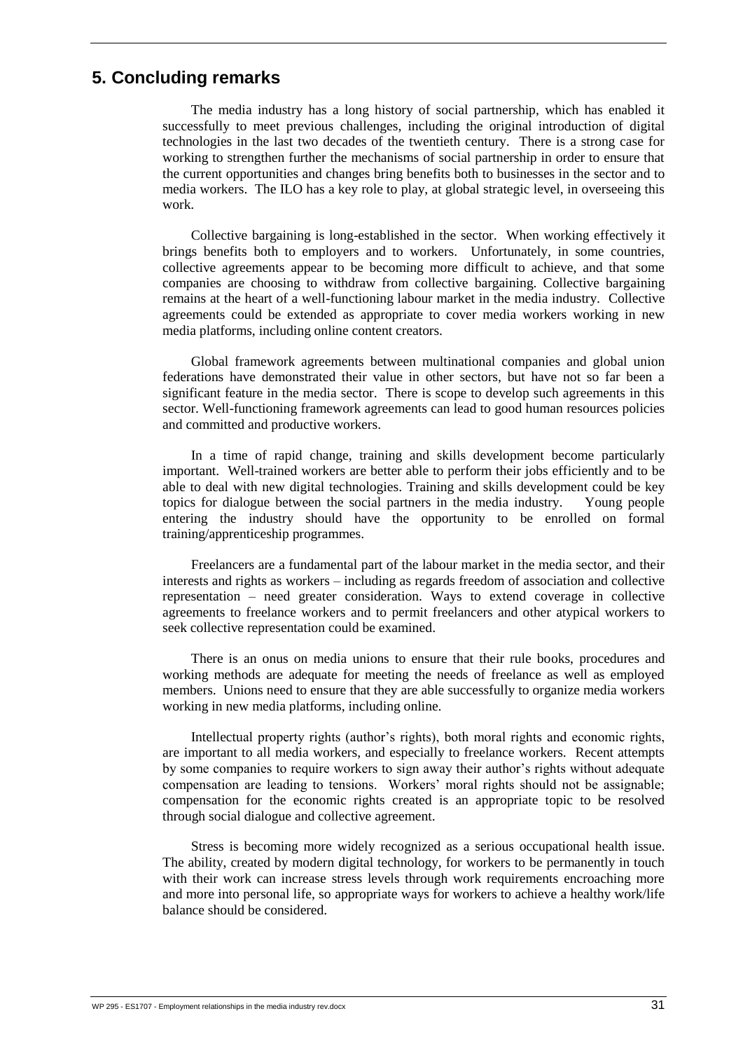# <span id="page-41-0"></span>**5. Concluding remarks**

The media industry has a long history of social partnership, which has enabled it successfully to meet previous challenges, including the original introduction of digital technologies in the last two decades of the twentieth century. There is a strong case for working to strengthen further the mechanisms of social partnership in order to ensure that the current opportunities and changes bring benefits both to businesses in the sector and to media workers. The ILO has a key role to play, at global strategic level, in overseeing this work.

Collective bargaining is long-established in the sector. When working effectively it brings benefits both to employers and to workers. Unfortunately, in some countries, collective agreements appear to be becoming more difficult to achieve, and that some companies are choosing to withdraw from collective bargaining. Collective bargaining remains at the heart of a well-functioning labour market in the media industry.Collective agreements could be extended as appropriate to cover media workers working in new media platforms, including online content creators.

Global framework agreements between multinational companies and global union federations have demonstrated their value in other sectors, but have not so far been a significant feature in the media sector. There is scope to develop such agreements in this sector. Well-functioning framework agreements can lead to good human resources policies and committed and productive workers.

In a time of rapid change, training and skills development become particularly important. Well-trained workers are better able to perform their jobs efficiently and to be able to deal with new digital technologies. Training and skills development could be key topics for dialogue between the social partners in the media industry. Young people entering the industry should have the opportunity to be enrolled on formal training/apprenticeship programmes.

Freelancers are a fundamental part of the labour market in the media sector, and their interests and rights as workers – including as regards freedom of association and collective representation – need greater consideration. Ways to extend coverage in collective agreements to freelance workers and to permit freelancers and other atypical workers to seek collective representation could be examined.

There is an onus on media unions to ensure that their rule books, procedures and working methods are adequate for meeting the needs of freelance as well as employed members. Unions need to ensure that they are able successfully to organize media workers working in new media platforms, including online.

Intellectual property rights (author's rights), both moral rights and economic rights, are important to all media workers, and especially to freelance workers. Recent attempts by some companies to require workers to sign away their author's rights without adequate compensation are leading to tensions. Workers' moral rights should not be assignable; compensation for the economic rights created is an appropriate topic to be resolved through social dialogue and collective agreement.

Stress is becoming more widely recognized as a serious occupational health issue. The ability, created by modern digital technology, for workers to be permanently in touch with their work can increase stress levels through work requirements encroaching more and more into personal life, so appropriate ways for workers to achieve a healthy work/life balance should be considered.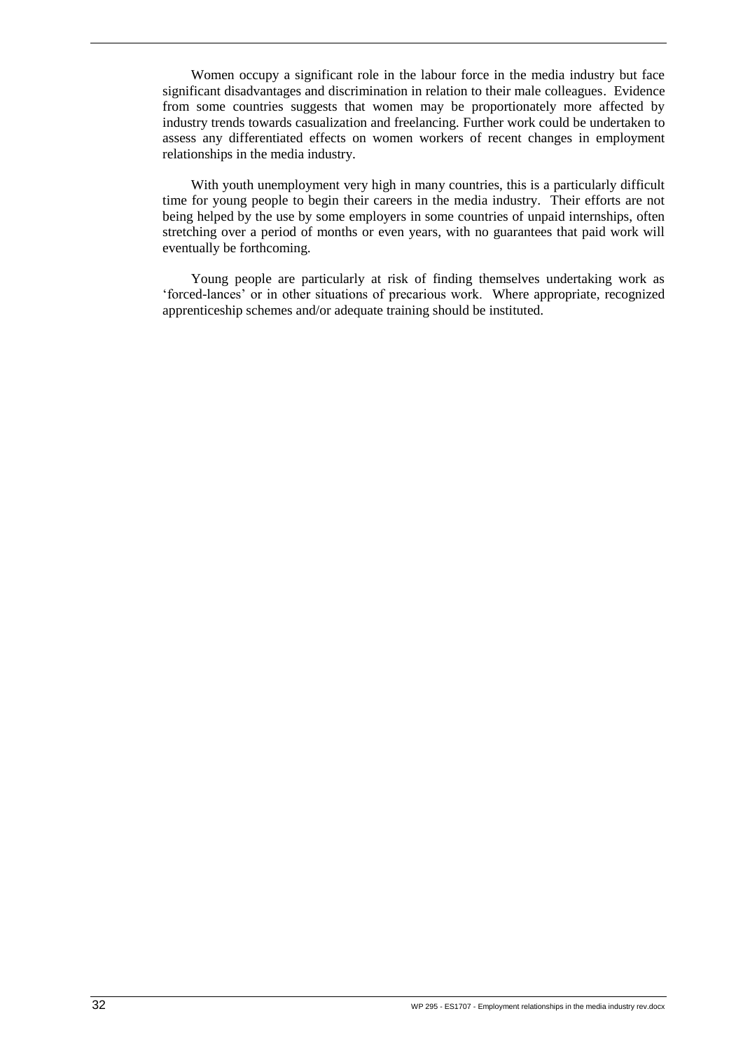Women occupy a significant role in the labour force in the media industry but face significant disadvantages and discrimination in relation to their male colleagues. Evidence from some countries suggests that women may be proportionately more affected by industry trends towards casualization and freelancing. Further work could be undertaken to assess any differentiated effects on women workers of recent changes in employment relationships in the media industry.

With youth unemployment very high in many countries, this is a particularly difficult time for young people to begin their careers in the media industry. Their efforts are not being helped by the use by some employers in some countries of unpaid internships, often stretching over a period of months or even years, with no guarantees that paid work will eventually be forthcoming.

Young people are particularly at risk of finding themselves undertaking work as 'forced-lances' or in other situations of precarious work. Where appropriate, recognized apprenticeship schemes and/or adequate training should be instituted.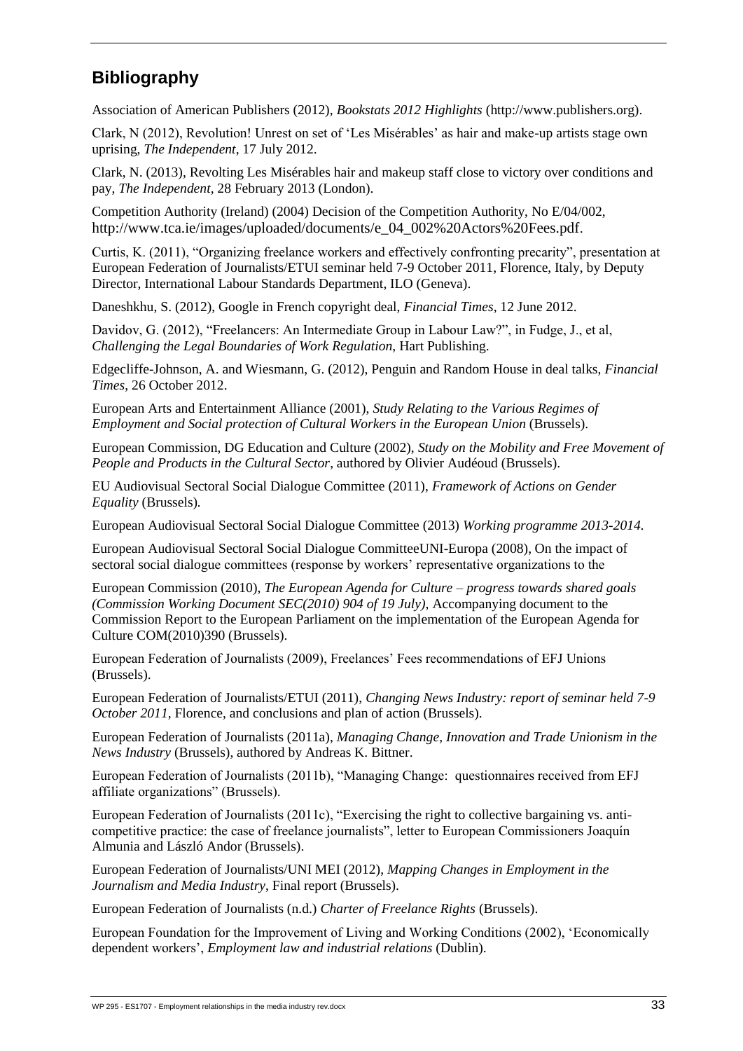# <span id="page-43-0"></span>**Bibliography**

Association of American Publishers (2012), *Bookstats 2012 Highlights* (http://www.publishers.org).

Clark, N (2012), Revolution! Unrest on set of 'Les Misérables' as hair and make-up artists stage own uprising, *The Independent*, 17 July 2012.

Clark, N. (2013), Revolting Les Misérables hair and makeup staff close to victory over conditions and pay, *The Independent*, 28 February 2013 (London).

Competition Authority (Ireland) (2004) Decision of the Competition Authority, No E/04/002, http://www.tca.ie/images/uploaded/documents/e\_04\_002%20Actors%20Fees.pdf.

Curtis, K. (2011), "Organizing freelance workers and effectively confronting precarity", presentation at European Federation of Journalists/ETUI seminar held 7-9 October 2011, Florence, Italy, by Deputy Director, International Labour Standards Department, ILO (Geneva).

Daneshkhu, S. (2012), Google in French copyright deal, *Financial Times*, 12 June 2012.

Davidov, G. (2012), "Freelancers: An Intermediate Group in Labour Law?", in Fudge, J., et al, *Challenging the Legal Boundaries of Work Regulation*, Hart Publishing.

Edgecliffe-Johnson, A. and Wiesmann, G. (2012), Penguin and Random House in deal talks, *Financial Times*, 26 October 2012.

European Arts and Entertainment Alliance (2001), *Study Relating to the Various Regimes of Employment and Social protection of Cultural Workers in the European Union* (Brussels).

European Commission, DG Education and Culture (2002), *Study on the Mobility and Free Movement of People and Products in the Cultural Sector*, authored by Olivier Audéoud (Brussels).

EU Audiovisual Sectoral Social Dialogue Committee (2011), *Framework of Actions on Gender Equality* (Brussels)*.*

European Audiovisual Sectoral Social Dialogue Committee (2013) *Working programme 2013-2014.*

European Audiovisual Sectoral Social Dialogue CommitteeUNI-Europa (2008), On the impact of sectoral social dialogue committees (response by workers' representative organizations to the

European Commission (2010), *The European Agenda for Culture – progress towards shared goals (Commission Working Document SEC(2010) 904 of 19 July)*, Accompanying document to the Commission Report to the European Parliament on the implementation of the European Agenda for Culture COM(2010)390 (Brussels).

European Federation of Journalists (2009), Freelances' Fees recommendations of EFJ Unions (Brussels).

European Federation of Journalists/ETUI (2011), *Changing News Industry: report of seminar held 7-9 October 2011*, Florence, and conclusions and plan of action (Brussels).

European Federation of Journalists (2011a), *Managing Change, Innovation and Trade Unionism in the News Industry* (Brussels), authored by Andreas K. Bittner.

European Federation of Journalists (2011b), "Managing Change: questionnaires received from EFJ affiliate organizations" (Brussels).

European Federation of Journalists (2011c), "Exercising the right to collective bargaining vs. anticompetitive practice: the case of freelance journalists", letter to European Commissioners Joaquín Almunia and László Andor (Brussels).

European Federation of Journalists/UNI MEI (2012), *Mapping Changes in Employment in the Journalism and Media Industry*, Final report (Brussels).

European Federation of Journalists (n.d.) *Charter of Freelance Rights* (Brussels).

European Foundation for the Improvement of Living and Working Conditions (2002), 'Economically dependent workers', *Employment law and industrial relations* (Dublin).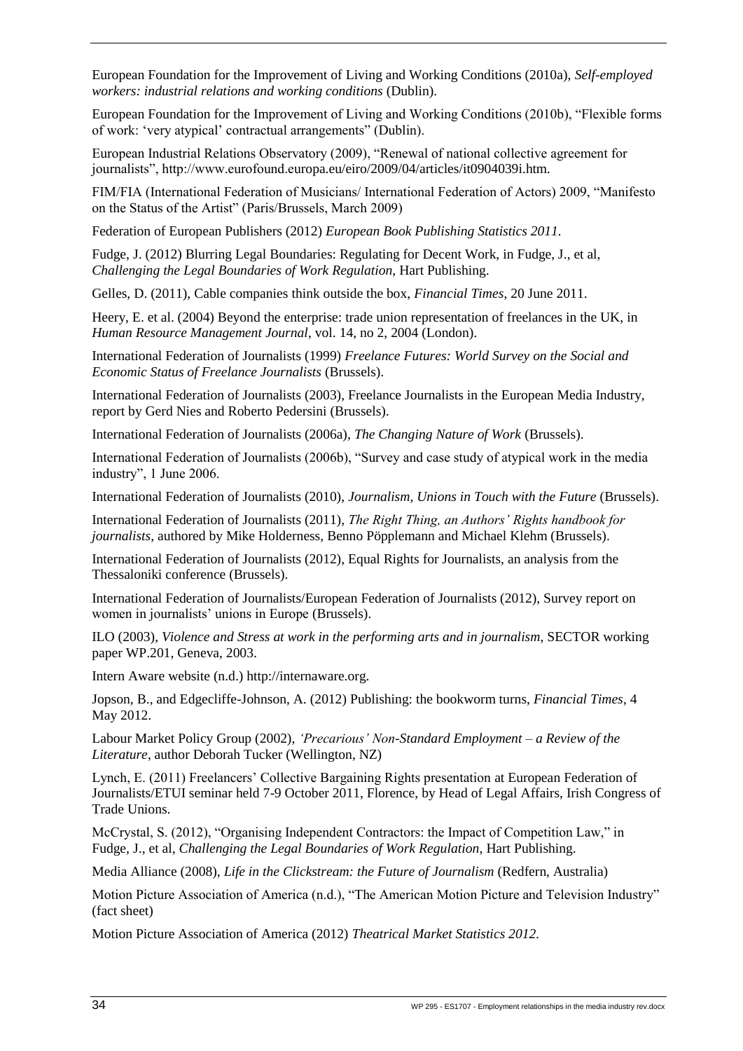European Foundation for the Improvement of Living and Working Conditions (2010a), *Self-employed workers: industrial relations and working conditions* (Dublin).

European Foundation for the Improvement of Living and Working Conditions (2010b), "Flexible forms of work: 'very atypical' contractual arrangements" (Dublin).

European Industrial Relations Observatory (2009), "Renewal of national collective agreement for journalists", http://www.eurofound.europa.eu/eiro/2009/04/articles/it0904039i.htm.

FIM/FIA (International Federation of Musicians/ International Federation of Actors) 2009, "Manifesto on the Status of the Artist" (Paris/Brussels, March 2009)

Federation of European Publishers (2012) *European Book Publishing Statistics 2011.*

Fudge, J. (2012) Blurring Legal Boundaries: Regulating for Decent Work, in Fudge, J., et al, *Challenging the Legal Boundaries of Work Regulation*, Hart Publishing.

Gelles, D. (2011), Cable companies think outside the box, *Financial Times*, 20 June 2011.

Heery, E. et al. (2004) Beyond the enterprise: trade union representation of freelances in the UK, in *Human Resource Management Journal*, vol. 14, no 2, 2004 (London).

International Federation of Journalists (1999) *Freelance Futures: World Survey on the Social and Economic Status of Freelance Journalists* (Brussels).

International Federation of Journalists (2003), Freelance Journalists in the European Media Industry, report by Gerd Nies and Roberto Pedersini (Brussels).

International Federation of Journalists (2006a), *The Changing Nature of Work* (Brussels).

International Federation of Journalists (2006b), "Survey and case study of atypical work in the media industry", 1 June 2006.

International Federation of Journalists (2010), *Journalism, Unions in Touch with the Future* (Brussels).

International Federation of Journalists (2011), *The Right Thing, an Authors' Rights handbook for journalists*, authored by Mike Holderness, Benno Pöpplemann and Michael Klehm (Brussels).

International Federation of Journalists (2012), Equal Rights for Journalists, an analysis from the Thessaloniki conference (Brussels).

International Federation of Journalists/European Federation of Journalists (2012), Survey report on women in journalists' unions in Europe (Brussels).

ILO (2003), *Violence and Stress at work in the performing arts and in journalism*, SECTOR working paper WP.201, Geneva, 2003.

Intern Aware website (n.d.) http://internaware.org.

Jopson, B., and Edgecliffe-Johnson, A. (2012) Publishing: the bookworm turns, *Financial Times*, 4 May 2012.

Labour Market Policy Group (2002), *'Precarious' Non-Standard Employment – a Review of the Literature*, author Deborah Tucker (Wellington, NZ)

Lynch, E. (2011) Freelancers' Collective Bargaining Rights presentation at European Federation of Journalists/ETUI seminar held 7-9 October 2011, Florence, by Head of Legal Affairs, Irish Congress of Trade Unions.

McCrystal, S. (2012), "Organising Independent Contractors: the Impact of Competition Law," in Fudge, J., et al, *Challenging the Legal Boundaries of Work Regulation*, Hart Publishing.

Media Alliance (2008), *Life in the Clickstream: the Future of Journalism* (Redfern, Australia)

Motion Picture Association of America (n.d.), "The American Motion Picture and Television Industry" (fact sheet)

Motion Picture Association of America (2012) *Theatrical Market Statistics 2012.*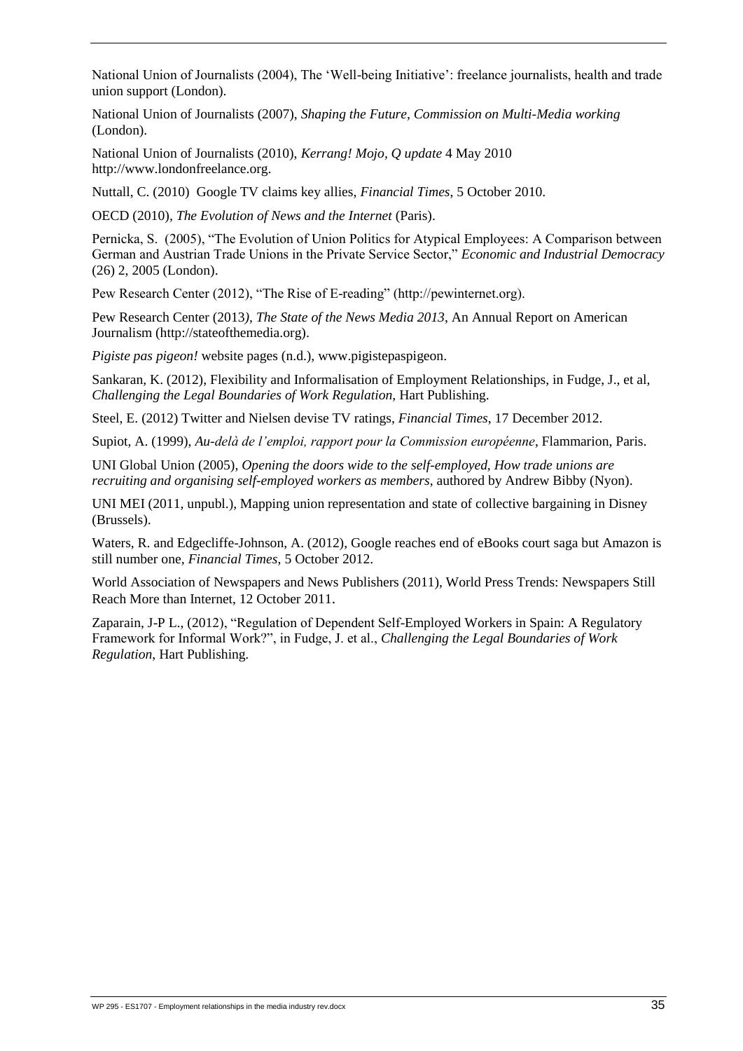National Union of Journalists (2004), The 'Well-being Initiative': freelance journalists, health and trade union support (London).

National Union of Journalists (2007), *Shaping the Future, Commission on Multi-Media working* (London).

National Union of Journalists (2010), *Kerrang! Mojo, Q update* 4 May 2010 http://www.londonfreelance.org.

Nuttall, C. (2010) Google TV claims key allies, *Financial Times*, 5 October 2010.

OECD (2010), *The Evolution of News and the Internet* (Paris).

Pernicka, S. (2005), "The Evolution of Union Politics for Atypical Employees: A Comparison between German and Austrian Trade Unions in the Private Service Sector," *Economic and Industrial Democracy* (26) 2, 2005 (London).

Pew Research Center (2012), "The Rise of E-reading" (http://pewinternet.org).

Pew Research Center (2013*), The State of the News Media 2013*, An Annual Report on American Journalism (http://stateofthemedia.org).

*Pigiste pas pigeon!* website pages (n.d.), www.pigistepaspigeon.

Sankaran, K. (2012), Flexibility and Informalisation of Employment Relationships, in Fudge, J., et al, *Challenging the Legal Boundaries of Work Regulation*, Hart Publishing.

Steel, E. (2012) Twitter and Nielsen devise TV ratings, *Financial Times*, 17 December 2012.

Supiot, A. (1999), *Au-delà de l'emploi, rapport pour la Commission européenne*, Flammarion, Paris.

UNI Global Union (2005), *Opening the doors wide to the self-employed, How trade unions are recruiting and organising self-employed workers as members*, authored by Andrew Bibby (Nyon).

UNI MEI (2011, unpubl.), Mapping union representation and state of collective bargaining in Disney (Brussels).

Waters, R. and Edgecliffe-Johnson, A. (2012), Google reaches end of eBooks court saga but Amazon is still number one, *Financial Times*, 5 October 2012.

World Association of Newspapers and News Publishers (2011), World Press Trends: Newspapers Still Reach More than Internet, 12 October 2011.

Zaparain, J-P L., (2012), "Regulation of Dependent Self-Employed Workers in Spain: A Regulatory Framework for Informal Work?", in Fudge, J. et al., *Challenging the Legal Boundaries of Work Regulation*, Hart Publishing.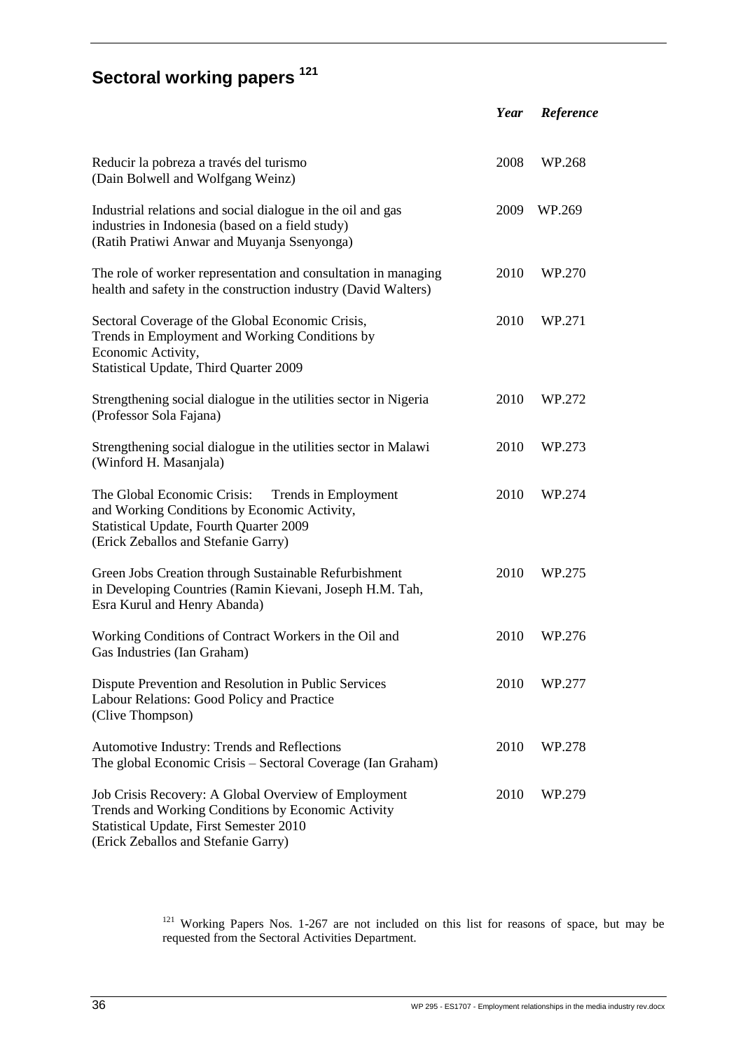# <span id="page-46-0"></span>**Sectoral working papers <sup>121</sup>**

|                                                                                                                                                                                                     | Year | Reference |
|-----------------------------------------------------------------------------------------------------------------------------------------------------------------------------------------------------|------|-----------|
| Reducir la pobreza a través del turismo<br>(Dain Bolwell and Wolfgang Weinz)                                                                                                                        | 2008 | WP.268    |
| Industrial relations and social dialogue in the oil and gas<br>industries in Indonesia (based on a field study)<br>(Ratih Pratiwi Anwar and Muyanja Ssenyonga)                                      | 2009 | WP.269    |
| The role of worker representation and consultation in managing<br>health and safety in the construction industry (David Walters)                                                                    | 2010 | WP.270    |
| Sectoral Coverage of the Global Economic Crisis,<br>Trends in Employment and Working Conditions by<br>Economic Activity,<br>Statistical Update, Third Quarter 2009                                  | 2010 | WP.271    |
| Strengthening social dialogue in the utilities sector in Nigeria<br>(Professor Sola Fajana)                                                                                                         | 2010 | WP.272    |
| Strengthening social dialogue in the utilities sector in Malawi<br>(Winford H. Masanjala)                                                                                                           | 2010 | WP.273    |
| The Global Economic Crisis:<br>Trends in Employment<br>and Working Conditions by Economic Activity,<br>Statistical Update, Fourth Quarter 2009<br>(Erick Zeballos and Stefanie Garry)               | 2010 | WP.274    |
| Green Jobs Creation through Sustainable Refurbishment<br>in Developing Countries (Ramin Kievani, Joseph H.M. Tah,<br>Esra Kurul and Henry Abanda)                                                   | 2010 | WP.275    |
| Working Conditions of Contract Workers in the Oil and<br>Gas Industries (Ian Graham)                                                                                                                | 2010 | WP.276    |
| Dispute Prevention and Resolution in Public Services<br>Labour Relations: Good Policy and Practice<br>(Clive Thompson)                                                                              | 2010 | WP.277    |
| Automotive Industry: Trends and Reflections<br>The global Economic Crisis - Sectoral Coverage (Ian Graham)                                                                                          | 2010 | WP.278    |
| Job Crisis Recovery: A Global Overview of Employment<br>Trends and Working Conditions by Economic Activity<br><b>Statistical Update, First Semester 2010</b><br>(Erick Zeballos and Stefanie Garry) | 2010 | WP.279    |

 $121$  Working Papers Nos. 1-267 are not included on this list for reasons of space, but may be requested from the Sectoral Activities Department.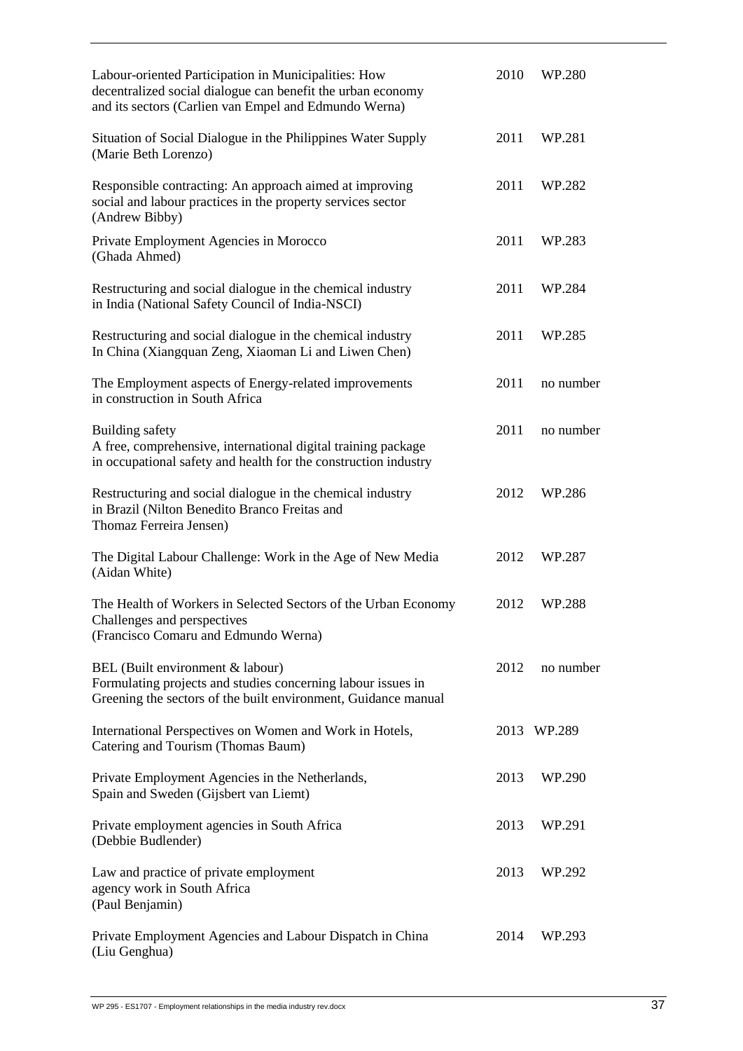| Labour-oriented Participation in Municipalities: How<br>decentralized social dialogue can benefit the urban economy<br>and its sectors (Carlien van Empel and Edmundo Werna) | 2010 | WP.280    |
|------------------------------------------------------------------------------------------------------------------------------------------------------------------------------|------|-----------|
| Situation of Social Dialogue in the Philippines Water Supply<br>(Marie Beth Lorenzo)                                                                                         | 2011 | WP.281    |
| Responsible contracting: An approach aimed at improving<br>social and labour practices in the property services sector<br>(Andrew Bibby)                                     | 2011 | WP.282    |
| Private Employment Agencies in Morocco<br>(Ghada Ahmed)                                                                                                                      | 2011 | WP.283    |
| Restructuring and social dialogue in the chemical industry<br>in India (National Safety Council of India-NSCI)                                                               | 2011 | WP.284    |
| Restructuring and social dialogue in the chemical industry<br>In China (Xiangquan Zeng, Xiaoman Li and Liwen Chen)                                                           | 2011 | WP.285    |
| The Employment aspects of Energy-related improvements<br>in construction in South Africa                                                                                     | 2011 | no number |
| Building safety<br>A free, comprehensive, international digital training package<br>in occupational safety and health for the construction industry                          | 2011 | no number |
| Restructuring and social dialogue in the chemical industry<br>in Brazil (Nilton Benedito Branco Freitas and<br>Thomaz Ferreira Jensen)                                       | 2012 | WP.286    |
| The Digital Labour Challenge: Work in the Age of New Media<br>(Aidan White)                                                                                                  | 2012 | WP.287    |
| The Health of Workers in Selected Sectors of the Urban Economy<br>Challenges and perspectives<br>(Francisco Comaru and Edmundo Werna)                                        | 2012 | WP.288    |
| BEL (Built environment & labour)<br>Formulating projects and studies concerning labour issues in<br>Greening the sectors of the built environment, Guidance manual           | 2012 | no number |
| International Perspectives on Women and Work in Hotels,<br>Catering and Tourism (Thomas Baum)                                                                                | 2013 | WP.289    |
| Private Employment Agencies in the Netherlands,<br>Spain and Sweden (Gijsbert van Liemt)                                                                                     | 2013 | WP.290    |
| Private employment agencies in South Africa<br>(Debbie Budlender)                                                                                                            | 2013 | WP.291    |
| Law and practice of private employment<br>agency work in South Africa<br>(Paul Benjamin)                                                                                     | 2013 | WP.292    |
| Private Employment Agencies and Labour Dispatch in China<br>(Liu Genghua)                                                                                                    | 2014 | WP.293    |